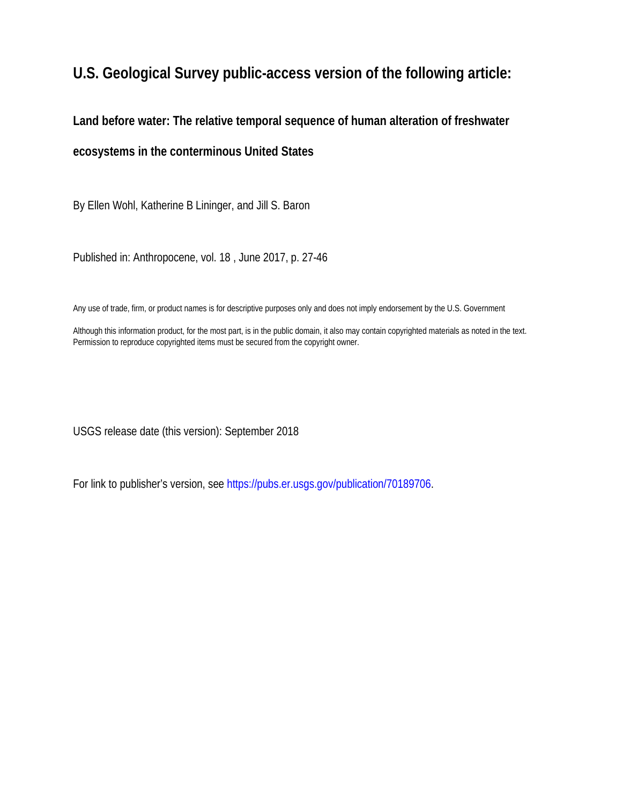# **U.S. Geological Survey public-access version of the following article:**

**Land before water: The relative temporal sequence of human alteration of freshwater ecosystems in the conterminous United States**

By Ellen Wohl, Katherine B Lininger, and Jill S. Baron

Published in: Anthropocene, vol. 18 , June 2017, p. 27-46

Any use of trade, firm, or product names is for descriptive purposes only and does not imply endorsement by the U.S. Government

Although this information product, for the most part, is in the public domain, it also may contain copyrighted materials as noted in the text. Permission to reproduce copyrighted items must be secured from the copyright owner.

USGS release date (this version): September 2018

For link to publisher's version, see [https://pubs.er.usgs.gov/publication/70189706.](https://pubs.er.usgs.gov/publication/70189706)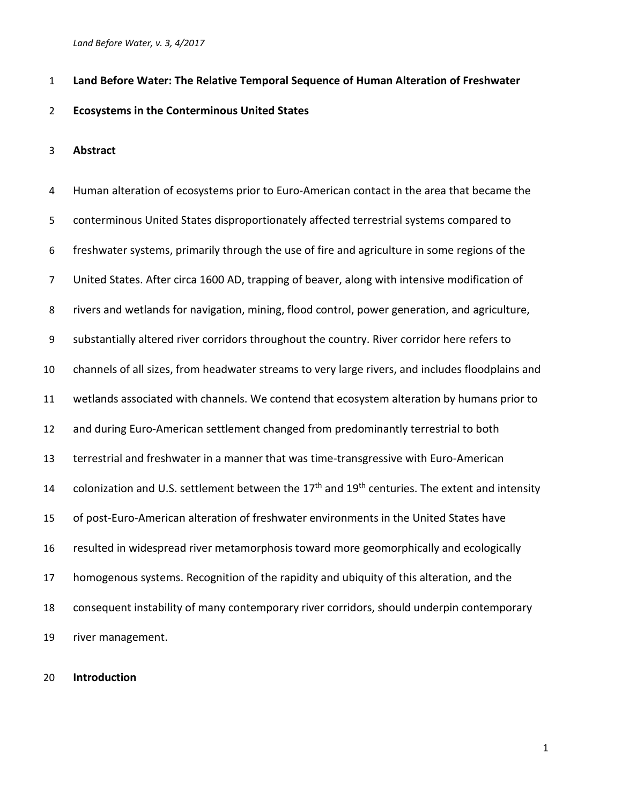### **Land Before Water: The Relative Temporal Sequence of Human Alteration of Freshwater**

### **Ecosystems in the Conterminous United States**

### **Abstract**

 Human alteration of ecosystems prior to Euro-American contact in the area that became the conterminous United States disproportionately affected terrestrial systems compared to freshwater systems, primarily through the use of fire and agriculture in some regions of the United States. After circa 1600 AD, trapping of beaver, along with intensive modification of rivers and wetlands for navigation, mining, flood control, power generation, and agriculture, substantially altered river corridors throughout the country. River corridor here refers to channels of all sizes, from headwater streams to very large rivers, and includes floodplains and wetlands associated with channels. We contend that ecosystem alteration by humans prior to and during Euro-American settlement changed from predominantly terrestrial to both terrestrial and freshwater in a manner that was time-transgressive with Euro-American 14 colonization and U.S. settlement between the 17<sup>th</sup> and 19<sup>th</sup> centuries. The extent and intensity of post-Euro-American alteration of freshwater environments in the United States have resulted in widespread river metamorphosis toward more geomorphically and ecologically homogenous systems. Recognition of the rapidity and ubiquity of this alteration, and the consequent instability of many contemporary river corridors, should underpin contemporary river management.

### **Introduction**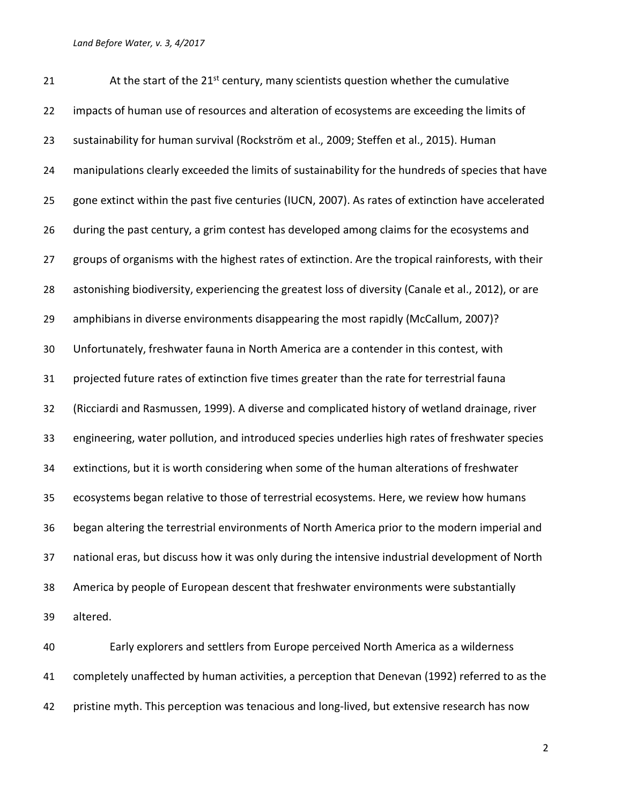$\blacksquare$  At the start of the 21<sup>st</sup> century, many scientists question whether the cumulative 22 impacts of human use of resources and alteration of ecosystems are exceeding the limits of sustainability for human survival (Rockström et al., 2009; Steffen et al., 2015). Human manipulations clearly exceeded the limits of sustainability for the hundreds of species that have gone extinct within the past five centuries (IUCN, 2007). As rates of extinction have accelerated during the past century, a grim contest has developed among claims for the ecosystems and groups of organisms with the highest rates of extinction. Are the tropical rainforests, with their astonishing biodiversity, experiencing the greatest loss of diversity (Canale et al., 2012), or are amphibians in diverse environments disappearing the most rapidly (McCallum, 2007)? Unfortunately, freshwater fauna in North America are a contender in this contest, with projected future rates of extinction five times greater than the rate for terrestrial fauna (Ricciardi and Rasmussen, 1999). A diverse and complicated history of wetland drainage, river engineering, water pollution, and introduced species underlies high rates of freshwater species extinctions, but it is worth considering when some of the human alterations of freshwater ecosystems began relative to those of terrestrial ecosystems. Here, we review how humans began altering the terrestrial environments of North America prior to the modern imperial and national eras, but discuss how it was only during the intensive industrial development of North America by people of European descent that freshwater environments were substantially altered.

 Early explorers and settlers from Europe perceived North America as a wilderness completely unaffected by human activities, a perception that Denevan (1992) referred to as the 42 pristine myth. This perception was tenacious and long-lived, but extensive research has now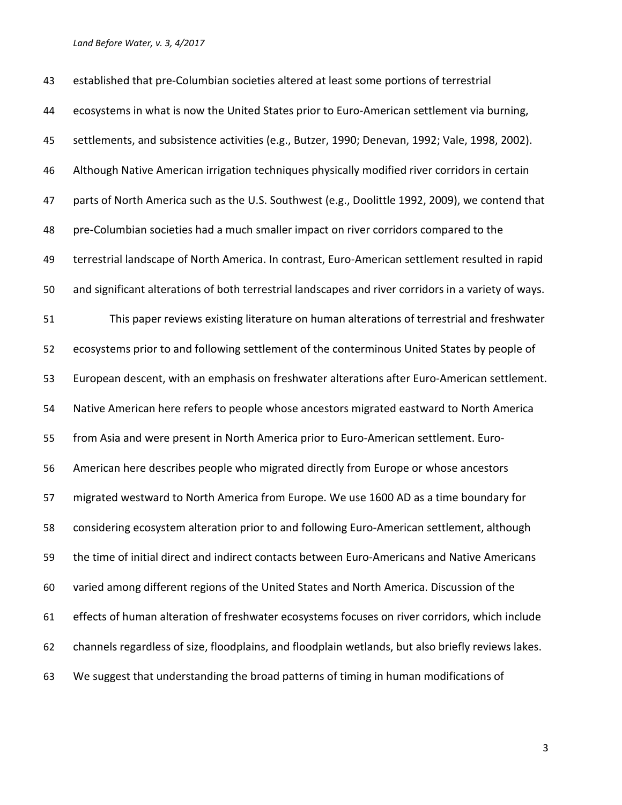established that pre-Columbian societies altered at least some portions of terrestrial ecosystems in what is now the United States prior to Euro-American settlement via burning, settlements, and subsistence activities (e.g., Butzer, 1990; Denevan, 1992; Vale, 1998, 2002). Although Native American irrigation techniques physically modified river corridors in certain parts of North America such as the U.S. Southwest (e.g., Doolittle 1992, 2009), we contend that pre-Columbian societies had a much smaller impact on river corridors compared to the terrestrial landscape of North America. In contrast, Euro-American settlement resulted in rapid and significant alterations of both terrestrial landscapes and river corridors in a variety of ways. This paper reviews existing literature on human alterations of terrestrial and freshwater ecosystems prior to and following settlement of the conterminous United States by people of European descent, with an emphasis on freshwater alterations after Euro-American settlement. Native American here refers to people whose ancestors migrated eastward to North America from Asia and were present in North America prior to Euro-American settlement. Euro- American here describes people who migrated directly from Europe or whose ancestors migrated westward to North America from Europe. We use 1600 AD as a time boundary for considering ecosystem alteration prior to and following Euro-American settlement, although the time of initial direct and indirect contacts between Euro-Americans and Native Americans varied among different regions of the United States and North America. Discussion of the effects of human alteration of freshwater ecosystems focuses on river corridors, which include channels regardless of size, floodplains, and floodplain wetlands, but also briefly reviews lakes. We suggest that understanding the broad patterns of timing in human modifications of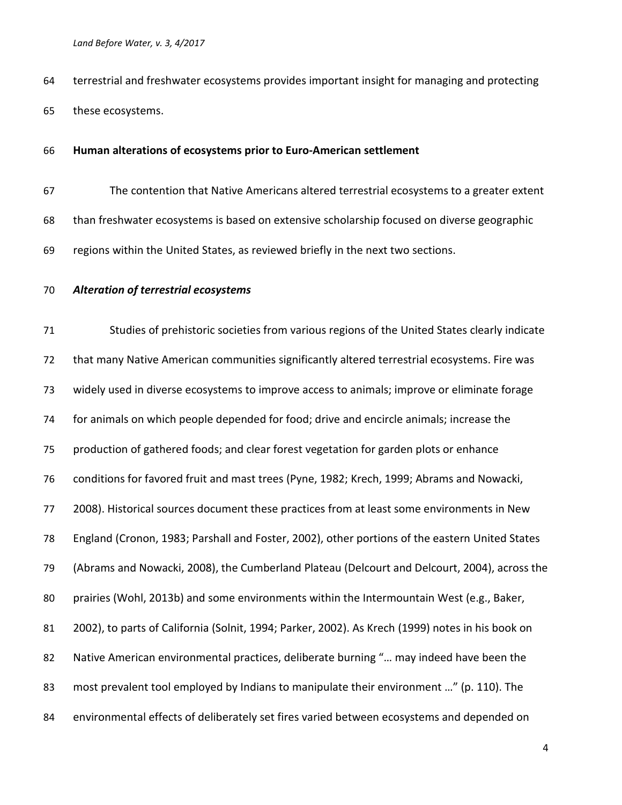terrestrial and freshwater ecosystems provides important insight for managing and protecting these ecosystems.

### **Human alterations of ecosystems prior to Euro-American settlement**

- The contention that Native Americans altered terrestrial ecosystems to a greater extent than freshwater ecosystems is based on extensive scholarship focused on diverse geographic regions within the United States, as reviewed briefly in the next two sections.
- *Alteration of terrestrial ecosystems*

 Studies of prehistoric societies from various regions of the United States clearly indicate that many Native American communities significantly altered terrestrial ecosystems. Fire was widely used in diverse ecosystems to improve access to animals; improve or eliminate forage for animals on which people depended for food; drive and encircle animals; increase the production of gathered foods; and clear forest vegetation for garden plots or enhance conditions for favored fruit and mast trees (Pyne, 1982; Krech, 1999; Abrams and Nowacki, 2008). Historical sources document these practices from at least some environments in New England (Cronon, 1983; Parshall and Foster, 2002), other portions of the eastern United States (Abrams and Nowacki, 2008), the Cumberland Plateau (Delcourt and Delcourt, 2004), across the prairies (Wohl, 2013b) and some environments within the Intermountain West (e.g., Baker, 2002), to parts of California (Solnit, 1994; Parker, 2002). As Krech (1999) notes in his book on 82 Native American environmental practices, deliberate burning "... may indeed have been the 83 most prevalent tool employed by Indians to manipulate their environment ..." (p. 110). The environmental effects of deliberately set fires varied between ecosystems and depended on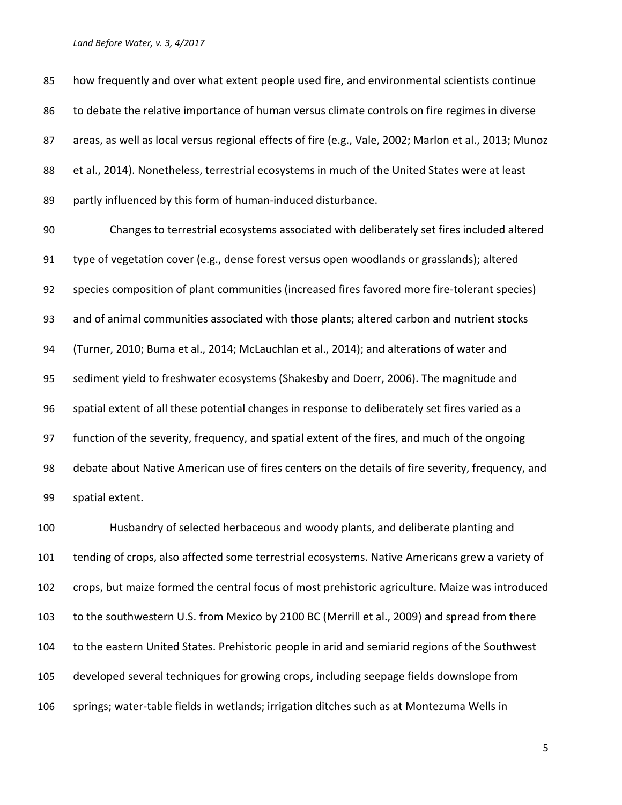how frequently and over what extent people used fire, and environmental scientists continue 86 to debate the relative importance of human versus climate controls on fire regimes in diverse 87 areas, as well as local versus regional effects of fire (e.g., Vale, 2002; Marlon et al., 2013; Munoz et al., 2014). Nonetheless, terrestrial ecosystems in much of the United States were at least partly influenced by this form of human-induced disturbance.

 Changes to terrestrial ecosystems associated with deliberately set fires included altered type of vegetation cover (e.g., dense forest versus open woodlands or grasslands); altered species composition of plant communities (increased fires favored more fire-tolerant species) and of animal communities associated with those plants; altered carbon and nutrient stocks (Turner, 2010; Buma et al., 2014; McLauchlan et al., 2014); and alterations of water and sediment yield to freshwater ecosystems (Shakesby and Doerr, 2006). The magnitude and spatial extent of all these potential changes in response to deliberately set fires varied as a function of the severity, frequency, and spatial extent of the fires, and much of the ongoing debate about Native American use of fires centers on the details of fire severity, frequency, and spatial extent.

 Husbandry of selected herbaceous and woody plants, and deliberate planting and tending of crops, also affected some terrestrial ecosystems. Native Americans grew a variety of crops, but maize formed the central focus of most prehistoric agriculture. Maize was introduced to the southwestern U.S. from Mexico by 2100 BC (Merrill et al., 2009) and spread from there to the eastern United States. Prehistoric people in arid and semiarid regions of the Southwest developed several techniques for growing crops, including seepage fields downslope from springs; water-table fields in wetlands; irrigation ditches such as at Montezuma Wells in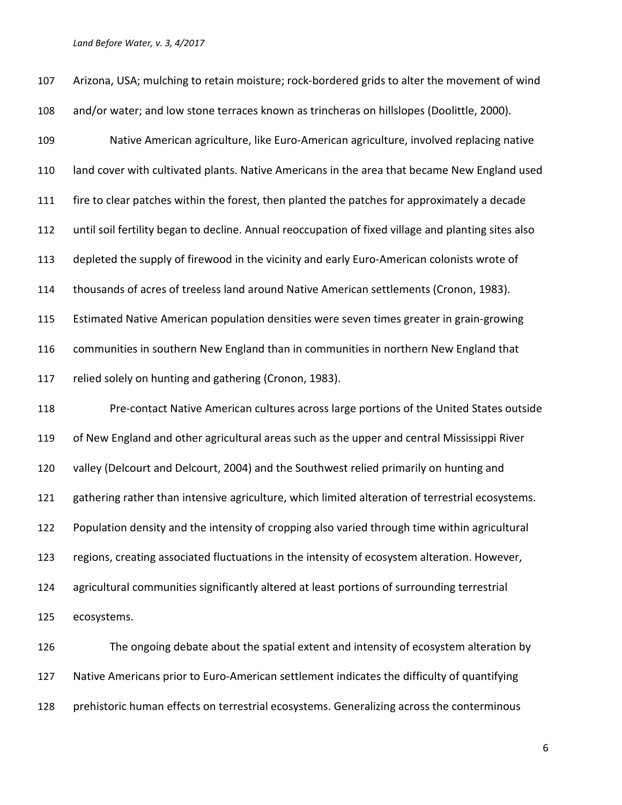| 107 | Arizona, USA; mulching to retain moisture; rock-bordered grids to alter the movement of wind        |
|-----|-----------------------------------------------------------------------------------------------------|
| 108 | and/or water; and low stone terraces known as trincheras on hillslopes (Doolittle, 2000).           |
| 109 | Native American agriculture, like Euro-American agriculture, involved replacing native              |
| 110 | land cover with cultivated plants. Native Americans in the area that became New England used        |
| 111 | fire to clear patches within the forest, then planted the patches for approximately a decade        |
| 112 | until soil fertility began to decline. Annual reoccupation of fixed village and planting sites also |
| 113 | depleted the supply of firewood in the vicinity and early Euro-American colonists wrote of          |
| 114 | thousands of acres of treeless land around Native American settlements (Cronon, 1983).              |
| 115 | Estimated Native American population densities were seven times greater in grain-growing            |
| 116 | communities in southern New England than in communities in northern New England that                |
| 117 | relied solely on hunting and gathering (Cronon, 1983).                                              |
| 118 | Pre-contact Native American cultures across large portions of the United States outside             |
| 119 | of New England and other agricultural areas such as the upper and central Mississippi River         |
| 120 | valley (Delcourt and Delcourt, 2004) and the Southwest relied primarily on hunting and              |
| 121 | gathering rather than intensive agriculture, which limited alteration of terrestrial ecosystems.    |
| 122 | Population density and the intensity of cropping also varied through time within agricultural       |
| 123 | regions, creating associated fluctuations in the intensity of ecosystem alteration. However,        |
| 124 | agricultural communities significantly altered at least portions of surrounding terrestrial         |
| 125 | ecosystems.                                                                                         |
| 126 | The ongoing debate about the spatial extent and intensity of ecosystem alteration by                |
| 127 | Native Americans prior to Euro-American settlement indicates the difficulty of quantifying          |

prehistoric human effects on terrestrial ecosystems. Generalizing across the conterminous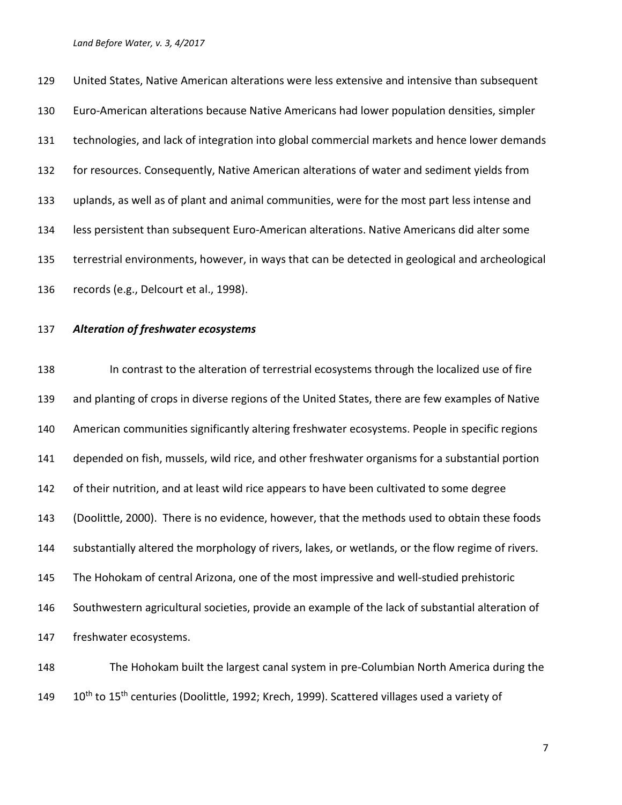United States, Native American alterations were less extensive and intensive than subsequent Euro-American alterations because Native Americans had lower population densities, simpler technologies, and lack of integration into global commercial markets and hence lower demands for resources. Consequently, Native American alterations of water and sediment yields from uplands, as well as of plant and animal communities, were for the most part less intense and less persistent than subsequent Euro-American alterations. Native Americans did alter some terrestrial environments, however, in ways that can be detected in geological and archeological records (e.g., Delcourt et al., 1998).

### *Alteration of freshwater ecosystems*

 In contrast to the alteration of terrestrial ecosystems through the localized use of fire and planting of crops in diverse regions of the United States, there are few examples of Native American communities significantly altering freshwater ecosystems. People in specific regions depended on fish, mussels, wild rice, and other freshwater organisms for a substantial portion of their nutrition, and at least wild rice appears to have been cultivated to some degree (Doolittle, 2000). There is no evidence, however, that the methods used to obtain these foods substantially altered the morphology of rivers, lakes, or wetlands, or the flow regime of rivers. The Hohokam of central Arizona, one of the most impressive and well-studied prehistoric Southwestern agricultural societies, provide an example of the lack of substantial alteration of freshwater ecosystems.

 The Hohokam built the largest canal system in pre-Columbian North America during the 149 10<sup>th</sup> to 15<sup>th</sup> centuries (Doolittle, 1992; Krech, 1999). Scattered villages used a variety of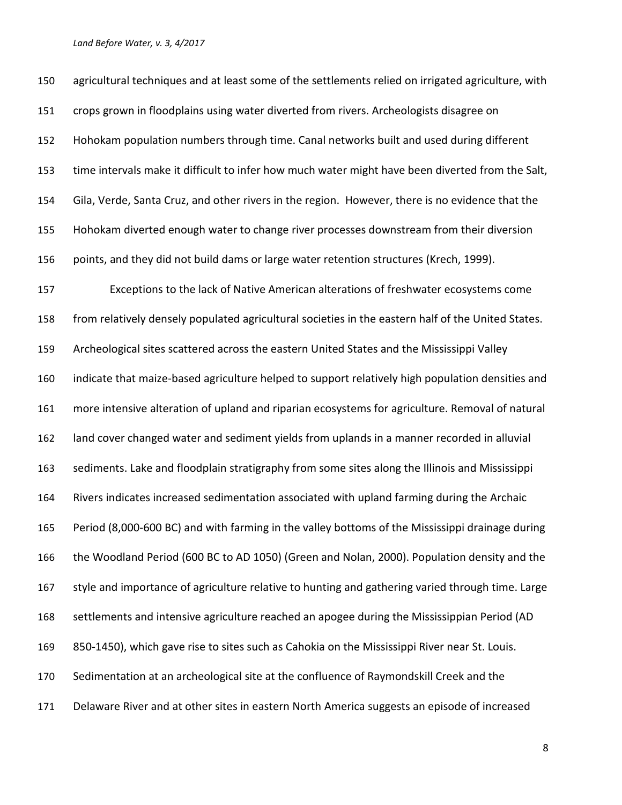agricultural techniques and at least some of the settlements relied on irrigated agriculture, with crops grown in floodplains using water diverted from rivers. Archeologists disagree on Hohokam population numbers through time. Canal networks built and used during different time intervals make it difficult to infer how much water might have been diverted from the Salt, Gila, Verde, Santa Cruz, and other rivers in the region. However, there is no evidence that the Hohokam diverted enough water to change river processes downstream from their diversion points, and they did not build dams or large water retention structures (Krech, 1999). Exceptions to the lack of Native American alterations of freshwater ecosystems come from relatively densely populated agricultural societies in the eastern half of the United States. Archeological sites scattered across the eastern United States and the Mississippi Valley indicate that maize-based agriculture helped to support relatively high population densities and more intensive alteration of upland and riparian ecosystems for agriculture. Removal of natural land cover changed water and sediment yields from uplands in a manner recorded in alluvial sediments. Lake and floodplain stratigraphy from some sites along the Illinois and Mississippi Rivers indicates increased sedimentation associated with upland farming during the Archaic Period (8,000-600 BC) and with farming in the valley bottoms of the Mississippi drainage during the Woodland Period (600 BC to AD 1050) (Green and Nolan, 2000). Population density and the 167 style and importance of agriculture relative to hunting and gathering varied through time. Large settlements and intensive agriculture reached an apogee during the Mississippian Period (AD 850-1450), which gave rise to sites such as Cahokia on the Mississippi River near St. Louis. Sedimentation at an archeological site at the confluence of Raymondskill Creek and the Delaware River and at other sites in eastern North America suggests an episode of increased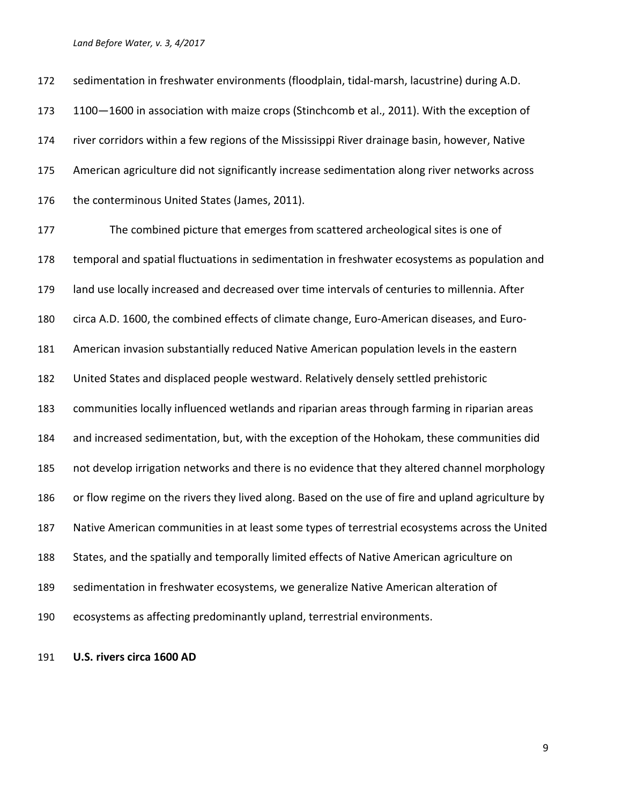sedimentation in freshwater environments (floodplain, tidal-marsh, lacustrine) during A.D. 173 1100–1600 in association with maize crops (Stinchcomb et al., 2011). With the exception of river corridors within a few regions of the Mississippi River drainage basin, however, Native American agriculture did not significantly increase sedimentation along river networks across 176 the conterminous United States (James, 2011).

 The combined picture that emerges from scattered archeological sites is one of temporal and spatial fluctuations in sedimentation in freshwater ecosystems as population and land use locally increased and decreased over time intervals of centuries to millennia. After circa A.D. 1600, the combined effects of climate change, Euro-American diseases, and Euro- American invasion substantially reduced Native American population levels in the eastern United States and displaced people westward. Relatively densely settled prehistoric communities locally influenced wetlands and riparian areas through farming in riparian areas and increased sedimentation, but, with the exception of the Hohokam, these communities did not develop irrigation networks and there is no evidence that they altered channel morphology or flow regime on the rivers they lived along. Based on the use of fire and upland agriculture by Native American communities in at least some types of terrestrial ecosystems across the United States, and the spatially and temporally limited effects of Native American agriculture on sedimentation in freshwater ecosystems, we generalize Native American alteration of ecosystems as affecting predominantly upland, terrestrial environments.

**U.S. rivers circa 1600 AD**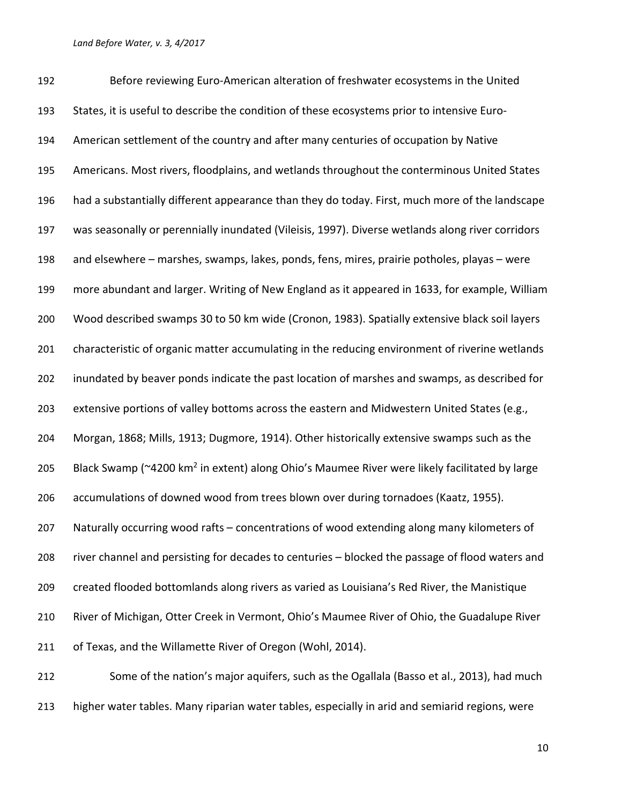Before reviewing Euro-American alteration of freshwater ecosystems in the United States, it is useful to describe the condition of these ecosystems prior to intensive Euro- American settlement of the country and after many centuries of occupation by Native Americans. Most rivers, floodplains, and wetlands throughout the conterminous United States had a substantially different appearance than they do today. First, much more of the landscape was seasonally or perennially inundated (Vileisis, 1997). Diverse wetlands along river corridors and elsewhere – marshes, swamps, lakes, ponds, fens, mires, prairie potholes, playas – were more abundant and larger. Writing of New England as it appeared in 1633, for example, William Wood described swamps 30 to 50 km wide (Cronon, 1983). Spatially extensive black soil layers characteristic of organic matter accumulating in the reducing environment of riverine wetlands inundated by beaver ponds indicate the past location of marshes and swamps, as described for 203 extensive portions of valley bottoms across the eastern and Midwestern United States (e.g., Morgan, 1868; Mills, 1913; Dugmore, 1914). Other historically extensive swamps such as the 205 Black Swamp ( $\approx$ 4200 km<sup>2</sup> in extent) along Ohio's Maumee River were likely facilitated by large accumulations of downed wood from trees blown over during tornadoes (Kaatz, 1955). Naturally occurring wood rafts – concentrations of wood extending along many kilometers of river channel and persisting for decades to centuries – blocked the passage of flood waters and created flooded bottomlands along rivers as varied as Louisiana's Red River, the Manistique River of Michigan, Otter Creek in Vermont, Ohio's Maumee River of Ohio, the Guadalupe River of Texas, and the Willamette River of Oregon (Wohl, 2014). Some of the nation's major aquifers, such as the Ogallala (Basso et al., 2013), had much

higher water tables. Many riparian water tables, especially in arid and semiarid regions, were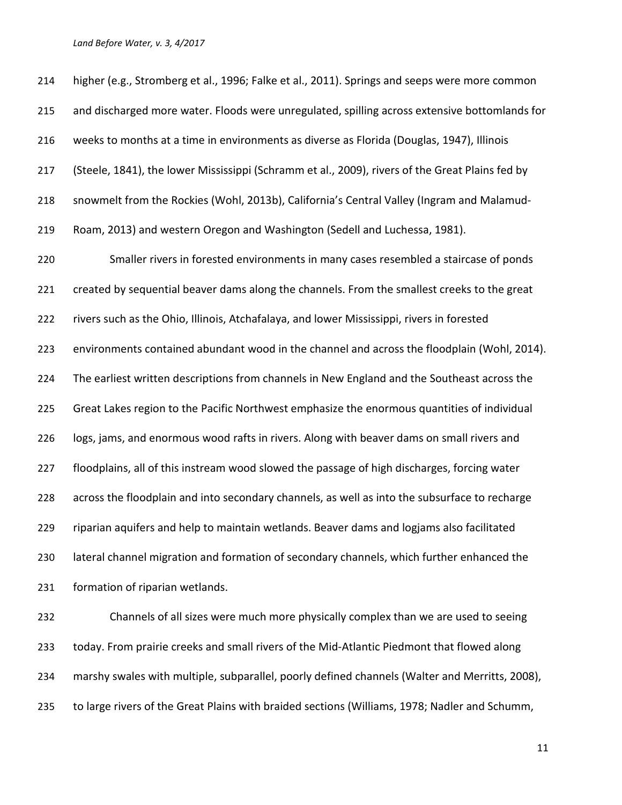| 214 | higher (e.g., Stromberg et al., 1996; Falke et al., 2011). Springs and seeps were more common   |
|-----|-------------------------------------------------------------------------------------------------|
| 215 | and discharged more water. Floods were unregulated, spilling across extensive bottomlands for   |
| 216 | weeks to months at a time in environments as diverse as Florida (Douglas, 1947), Illinois       |
| 217 | (Steele, 1841), the lower Mississippi (Schramm et al., 2009), rivers of the Great Plains fed by |
| 218 | snowmelt from the Rockies (Wohl, 2013b), California's Central Valley (Ingram and Malamud-       |
| 219 | Roam, 2013) and western Oregon and Washington (Sedell and Luchessa, 1981).                      |
| 220 | Smaller rivers in forested environments in many cases resembled a staircase of ponds            |
| 221 | created by sequential beaver dams along the channels. From the smallest creeks to the great     |
| 222 | rivers such as the Ohio, Illinois, Atchafalaya, and lower Mississippi, rivers in forested       |
| 223 | environments contained abundant wood in the channel and across the floodplain (Wohl, 2014).     |
| 224 | The earliest written descriptions from channels in New England and the Southeast across the     |
| 225 | Great Lakes region to the Pacific Northwest emphasize the enormous quantities of individual     |
| 226 | logs, jams, and enormous wood rafts in rivers. Along with beaver dams on small rivers and       |
| 227 | floodplains, all of this instream wood slowed the passage of high discharges, forcing water     |
| 228 | across the floodplain and into secondary channels, as well as into the subsurface to recharge   |
| 229 | riparian aquifers and help to maintain wetlands. Beaver dams and logjams also facilitated       |
| 230 | lateral channel migration and formation of secondary channels, which further enhanced the       |
| 231 | formation of riparian wetlands.                                                                 |
| 232 | Channels of all sizes were much more physically complex than we are used to seeing              |
| 233 | today. From prairie creeks and small rivers of the Mid-Atlantic Piedmont that flowed along      |
| 234 | marshy swales with multiple, subparallel, poorly defined channels (Walter and Merritts, 2008),  |
| 235 | to large rivers of the Great Plains with braided sections (Williams, 1978; Nadler and Schumm,   |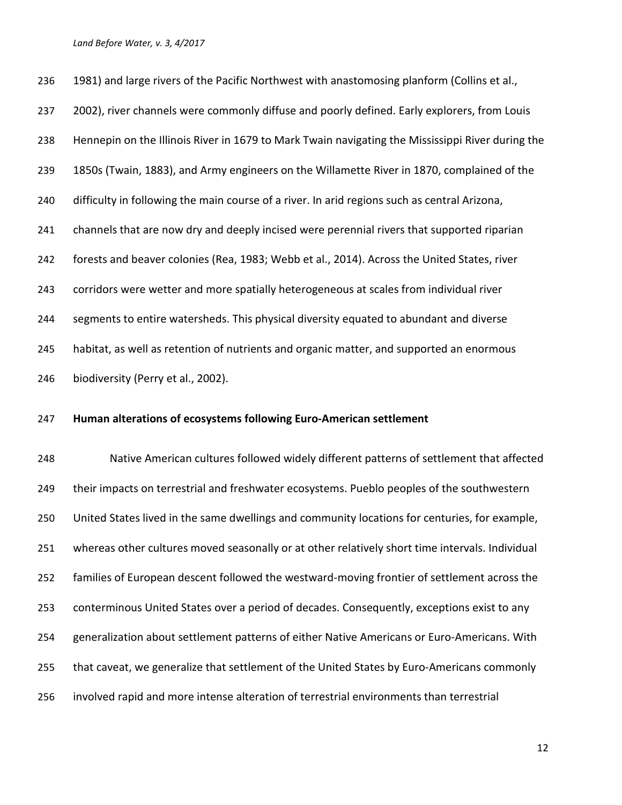236 1981) and large rivers of the Pacific Northwest with anastomosing planform (Collins et al., 237 2002), river channels were commonly diffuse and poorly defined. Early explorers, from Louis Hennepin on the Illinois River in 1679 to Mark Twain navigating the Mississippi River during the 1850s (Twain, 1883), and Army engineers on the Willamette River in 1870, complained of the difficulty in following the main course of a river. In arid regions such as central Arizona, 241 channels that are now dry and deeply incised were perennial rivers that supported riparian forests and beaver colonies (Rea, 1983; Webb et al., 2014). Across the United States, river corridors were wetter and more spatially heterogeneous at scales from individual river segments to entire watersheds. This physical diversity equated to abundant and diverse habitat, as well as retention of nutrients and organic matter, and supported an enormous biodiversity (Perry et al., 2002). **Human alterations of ecosystems following Euro-American settlement** Native American cultures followed widely different patterns of settlement that affected 249 their impacts on terrestrial and freshwater ecosystems. Pueblo peoples of the southwestern United States lived in the same dwellings and community locations for centuries, for example, whereas other cultures moved seasonally or at other relatively short time intervals. Individual families of European descent followed the westward-moving frontier of settlement across the conterminous United States over a period of decades. Consequently, exceptions exist to any generalization about settlement patterns of either Native Americans or Euro-Americans. With that caveat, we generalize that settlement of the United States by Euro-Americans commonly

involved rapid and more intense alteration of terrestrial environments than terrestrial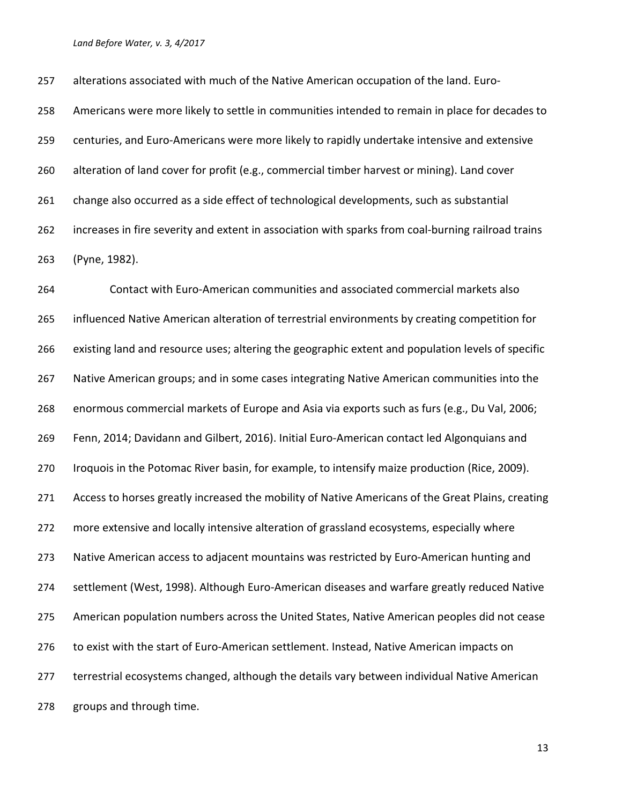alterations associated with much of the Native American occupation of the land. Euro- Americans were more likely to settle in communities intended to remain in place for decades to centuries, and Euro-Americans were more likely to rapidly undertake intensive and extensive alteration of land cover for profit (e.g., commercial timber harvest or mining). Land cover change also occurred as a side effect of technological developments, such as substantial increases in fire severity and extent in association with sparks from coal-burning railroad trains (Pyne, 1982).

 Contact with Euro-American communities and associated commercial markets also influenced Native American alteration of terrestrial environments by creating competition for existing land and resource uses; altering the geographic extent and population levels of specific Native American groups; and in some cases integrating Native American communities into the enormous commercial markets of Europe and Asia via exports such as furs (e.g., Du Val, 2006; Fenn, 2014; Davidann and Gilbert, 2016). Initial Euro-American contact led Algonquians and Iroquois in the Potomac River basin, for example, to intensify maize production (Rice, 2009). 271 Access to horses greatly increased the mobility of Native Americans of the Great Plains, creating 272 more extensive and locally intensive alteration of grassland ecosystems, especially where Native American access to adjacent mountains was restricted by Euro-American hunting and settlement (West, 1998). Although Euro-American diseases and warfare greatly reduced Native American population numbers across the United States, Native American peoples did not cease to exist with the start of Euro-American settlement. Instead, Native American impacts on terrestrial ecosystems changed, although the details vary between individual Native American groups and through time.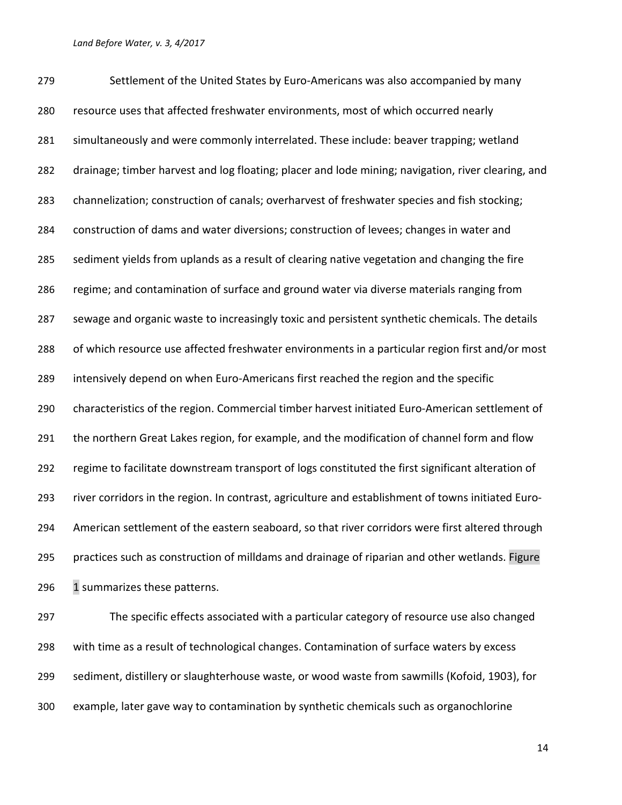Settlement of the United States by Euro-Americans was also accompanied by many resource uses that affected freshwater environments, most of which occurred nearly simultaneously and were commonly interrelated. These include: beaver trapping; wetland drainage; timber harvest and log floating; placer and lode mining; navigation, river clearing, and channelization; construction of canals; overharvest of freshwater species and fish stocking; construction of dams and water diversions; construction of levees; changes in water and sediment yields from uplands as a result of clearing native vegetation and changing the fire regime; and contamination of surface and ground water via diverse materials ranging from sewage and organic waste to increasingly toxic and persistent synthetic chemicals. The details of which resource use affected freshwater environments in a particular region first and/or most intensively depend on when Euro-Americans first reached the region and the specific characteristics of the region. Commercial timber harvest initiated Euro-American settlement of 291 the northern Great Lakes region, for example, and the modification of channel form and flow regime to facilitate downstream transport of logs constituted the first significant alteration of river corridors in the region. In contrast, agriculture and establishment of towns initiated Euro- American settlement of the eastern seaboard, so that river corridors were first altered through practices such as construction of milldams and drainage of riparian and other wetlands. Figure 296 1 summarizes these patterns.

 The specific effects associated with a particular category of resource use also changed with time as a result of technological changes. Contamination of surface waters by excess sediment, distillery or slaughterhouse waste, or wood waste from sawmills (Kofoid, 1903), for example, later gave way to contamination by synthetic chemicals such as organochlorine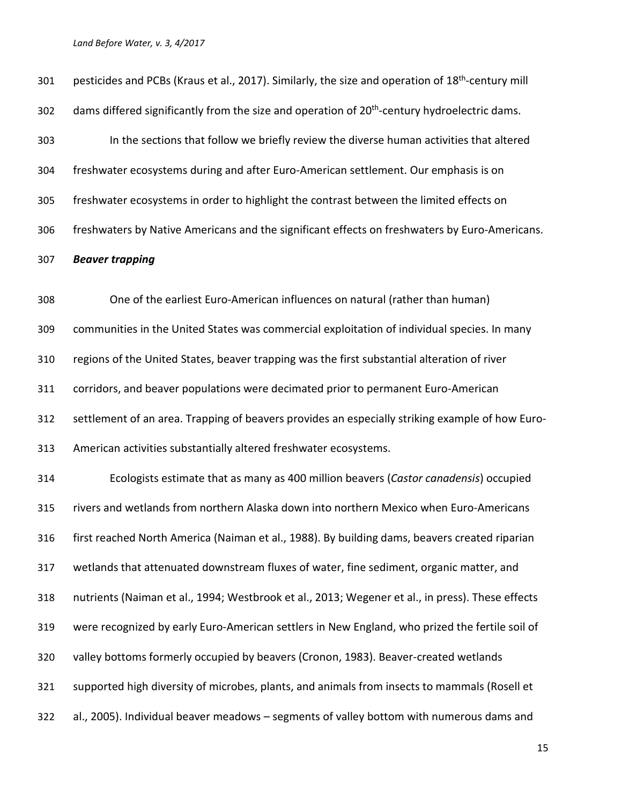| 301 | pesticides and PCBs (Kraus et al., 2017). Similarly, the size and operation of 18 <sup>th</sup> -century mill |
|-----|---------------------------------------------------------------------------------------------------------------|
| 302 | dams differed significantly from the size and operation of 20 <sup>th</sup> -century hydroelectric dams.      |
| 303 | In the sections that follow we briefly review the diverse human activities that altered                       |
| 304 | freshwater ecosystems during and after Euro-American settlement. Our emphasis is on                           |
| 305 | freshwater ecosystems in order to highlight the contrast between the limited effects on                       |
| 306 | freshwaters by Native Americans and the significant effects on freshwaters by Euro-Americans.                 |
| 307 | <b>Beaver trapping</b>                                                                                        |
| 308 | One of the earliest Euro-American influences on natural (rather than human)                                   |
| 309 | communities in the United States was commercial exploitation of individual species. In many                   |
| 310 | regions of the United States, beaver trapping was the first substantial alteration of river                   |
| 311 | corridors, and beaver populations were decimated prior to permanent Euro-American                             |
| 312 | settlement of an area. Trapping of beavers provides an especially striking example of how Euro-               |
| 313 | American activities substantially altered freshwater ecosystems.                                              |
| 314 | Ecologists estimate that as many as 400 million beavers (Castor canadensis) occupied                          |
| 315 | rivers and wetlands from northern Alaska down into northern Mexico when Euro-Americans                        |
| 316 | first reached North America (Naiman et al., 1988). By building dams, beavers created riparian                 |
| 317 | wetlands that attenuated downstream fluxes of water, fine sediment, organic matter, and                       |
| 318 | nutrients (Naiman et al., 1994; Westbrook et al., 2013; Wegener et al., in press). These effects              |
| 319 | were recognized by early Euro-American settlers in New England, who prized the fertile soil of                |
| 320 | valley bottoms formerly occupied by beavers (Cronon, 1983). Beaver-created wetlands                           |
| 321 | supported high diversity of microbes, plants, and animals from insects to mammals (Rosell et                  |
| 322 | al., 2005). Individual beaver meadows - segments of valley bottom with numerous dams and                      |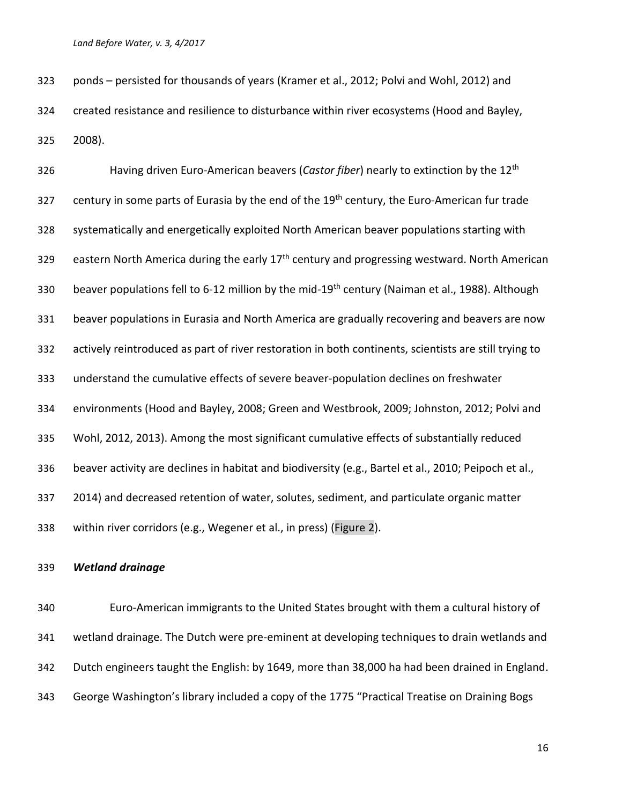ponds – persisted for thousands of years (Kramer et al., 2012; Polvi and Wohl, 2012) and created resistance and resilience to disturbance within river ecosystems (Hood and Bayley, 2008).

Having driven Euro-American beavers (*Castor fiber*) nearly to extinction by the 12th 327 century in some parts of Eurasia by the end of the 19<sup>th</sup> century, the Euro-American fur trade systematically and energetically exploited North American beaver populations starting with 329 eastern North America during the early 17<sup>th</sup> century and progressing westward. North American 330 beaver populations fell to 6-12 million by the mid-19<sup>th</sup> century (Naiman et al., 1988). Although beaver populations in Eurasia and North America are gradually recovering and beavers are now actively reintroduced as part of river restoration in both continents, scientists are still trying to understand the cumulative effects of severe beaver-population declines on freshwater environments (Hood and Bayley, 2008; Green and Westbrook, 2009; Johnston, 2012; Polvi and Wohl, 2012, 2013). Among the most significant cumulative effects of substantially reduced beaver activity are declines in habitat and biodiversity (e.g., Bartel et al., 2010; Peipoch et al., 2014) and decreased retention of water, solutes, sediment, and particulate organic matter within river corridors (e.g., Wegener et al., in press) (Figure 2).

### *Wetland drainage*

 Euro-American immigrants to the United States brought with them a cultural history of wetland drainage. The Dutch were pre-eminent at developing techniques to drain wetlands and Dutch engineers taught the English: by 1649, more than 38,000 ha had been drained in England. George Washington's library included a copy of the 1775 "Practical Treatise on Draining Bogs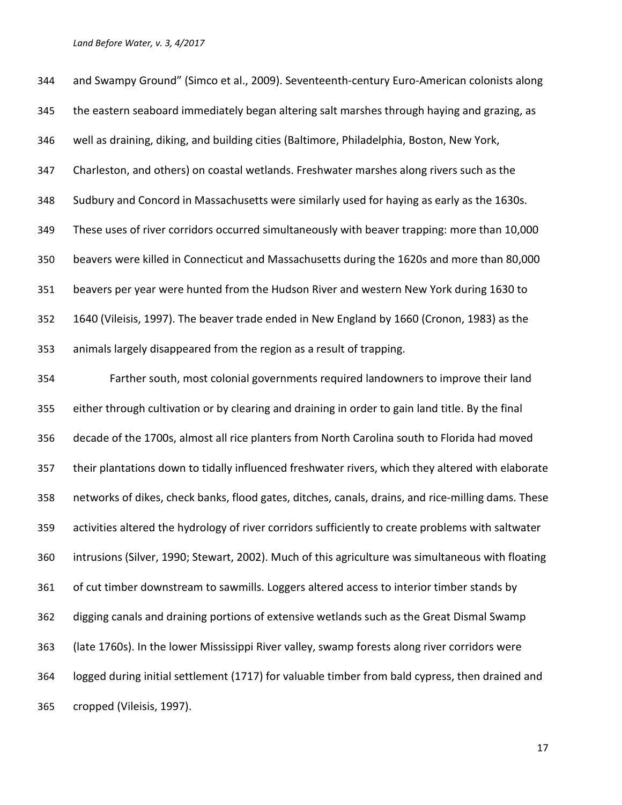and Swampy Ground" (Simco et al., 2009). Seventeenth-century Euro-American colonists along the eastern seaboard immediately began altering salt marshes through haying and grazing, as well as draining, diking, and building cities (Baltimore, Philadelphia, Boston, New York, Charleston, and others) on coastal wetlands. Freshwater marshes along rivers such as the Sudbury and Concord in Massachusetts were similarly used for haying as early as the 1630s. These uses of river corridors occurred simultaneously with beaver trapping: more than 10,000 beavers were killed in Connecticut and Massachusetts during the 1620s and more than 80,000 beavers per year were hunted from the Hudson River and western New York during 1630 to 1640 (Vileisis, 1997). The beaver trade ended in New England by 1660 (Cronon, 1983) as the animals largely disappeared from the region as a result of trapping.

 Farther south, most colonial governments required landowners to improve their land either through cultivation or by clearing and draining in order to gain land title. By the final decade of the 1700s, almost all rice planters from North Carolina south to Florida had moved their plantations down to tidally influenced freshwater rivers, which they altered with elaborate networks of dikes, check banks, flood gates, ditches, canals, drains, and rice-milling dams. These activities altered the hydrology of river corridors sufficiently to create problems with saltwater intrusions (Silver, 1990; Stewart, 2002). Much of this agriculture was simultaneous with floating of cut timber downstream to sawmills. Loggers altered access to interior timber stands by digging canals and draining portions of extensive wetlands such as the Great Dismal Swamp (late 1760s). In the lower Mississippi River valley, swamp forests along river corridors were logged during initial settlement (1717) for valuable timber from bald cypress, then drained and cropped (Vileisis, 1997).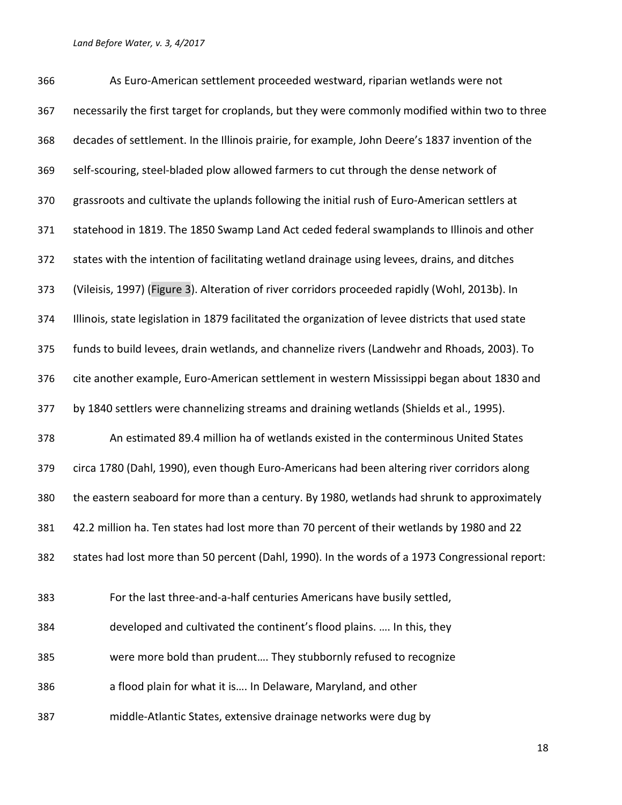As Euro-American settlement proceeded westward, riparian wetlands were not necessarily the first target for croplands, but they were commonly modified within two to three decades of settlement. In the Illinois prairie, for example, John Deere's 1837 invention of the self-scouring, steel-bladed plow allowed farmers to cut through the dense network of grassroots and cultivate the uplands following the initial rush of Euro-American settlers at statehood in 1819. The 1850 Swamp Land Act ceded federal swamplands to Illinois and other states with the intention of facilitating wetland drainage using levees, drains, and ditches (Vileisis, 1997) (Figure 3). Alteration of river corridors proceeded rapidly (Wohl, 2013b). In Illinois, state legislation in 1879 facilitated the organization of levee districts that used state funds to build levees, drain wetlands, and channelize rivers (Landwehr and Rhoads, 2003). To cite another example, Euro-American settlement in western Mississippi began about 1830 and by 1840 settlers were channelizing streams and draining wetlands (Shields et al., 1995). An estimated 89.4 million ha of wetlands existed in the conterminous United States circa 1780 (Dahl, 1990), even though Euro-Americans had been altering river corridors along the eastern seaboard for more than a century. By 1980, wetlands had shrunk to approximately 42.2 million ha. Ten states had lost more than 70 percent of their wetlands by 1980 and 22 states had lost more than 50 percent (Dahl, 1990). In the words of a 1973 Congressional report: For the last three-and-a-half centuries Americans have busily settled, developed and cultivated the continent's flood plains. …. In this, they were more bold than prudent…. They stubbornly refused to recognize a flood plain for what it is…. In Delaware, Maryland, and other middle-Atlantic States, extensive drainage networks were dug by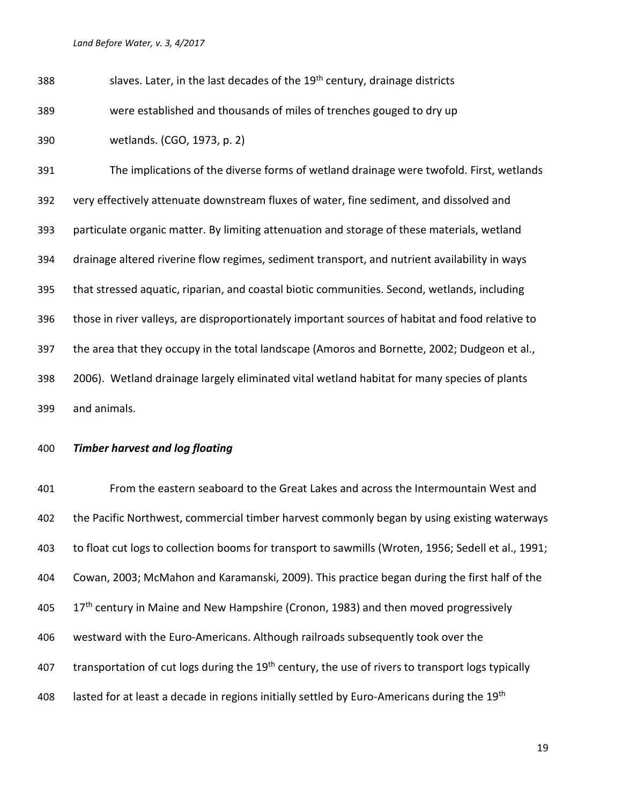| 388 | slaves. Later, in the last decades of the 19 <sup>th</sup> century, drainage districts           |
|-----|--------------------------------------------------------------------------------------------------|
| 389 | were established and thousands of miles of trenches gouged to dry up                             |
| 390 | wetlands. (CGO, 1973, p. 2)                                                                      |
| 391 | The implications of the diverse forms of wetland drainage were twofold. First, wetlands          |
| 392 | very effectively attenuate downstream fluxes of water, fine sediment, and dissolved and          |
| 393 | particulate organic matter. By limiting attenuation and storage of these materials, wetland      |
| 394 | drainage altered riverine flow regimes, sediment transport, and nutrient availability in ways    |
| 395 | that stressed aquatic, riparian, and coastal biotic communities. Second, wetlands, including     |
| 396 | those in river valleys, are disproportionately important sources of habitat and food relative to |
| 397 | the area that they occupy in the total landscape (Amoros and Bornette, 2002; Dudgeon et al.,     |
| 398 | 2006). Wetland drainage largely eliminated vital wetland habitat for many species of plants      |
| 399 | and animals.                                                                                     |

## *Timber harvest and log floating*

 From the eastern seaboard to the Great Lakes and across the Intermountain West and the Pacific Northwest, commercial timber harvest commonly began by using existing waterways to float cut logs to collection booms for transport to sawmills (Wroten, 1956; Sedell et al., 1991; Cowan, 2003; McMahon and Karamanski, 2009). This practice began during the first half of the 405 17<sup>th</sup> century in Maine and New Hampshire (Cronon, 1983) and then moved progressively westward with the Euro-Americans. Although railroads subsequently took over the 407 transportation of cut logs during the 19<sup>th</sup> century, the use of rivers to transport logs typically 408 lasted for at least a decade in regions initially settled by Euro-Americans during the 19<sup>th</sup>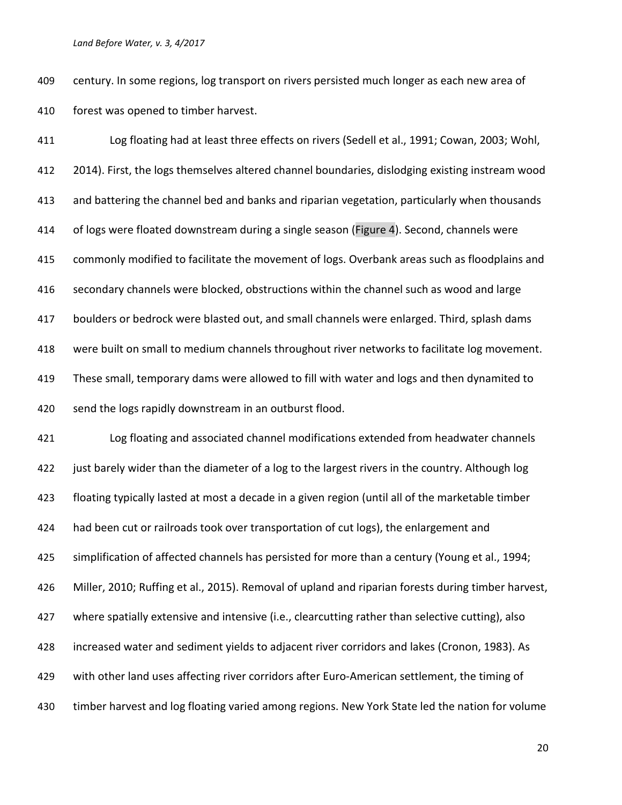century. In some regions, log transport on rivers persisted much longer as each new area of forest was opened to timber harvest.

 Log floating had at least three effects on rivers (Sedell et al., 1991; Cowan, 2003; Wohl, 2014). First, the logs themselves altered channel boundaries, dislodging existing instream wood and battering the channel bed and banks and riparian vegetation, particularly when thousands of logs were floated downstream during a single season (Figure 4). Second, channels were commonly modified to facilitate the movement of logs. Overbank areas such as floodplains and secondary channels were blocked, obstructions within the channel such as wood and large boulders or bedrock were blasted out, and small channels were enlarged. Third, splash dams were built on small to medium channels throughout river networks to facilitate log movement. These small, temporary dams were allowed to fill with water and logs and then dynamited to send the logs rapidly downstream in an outburst flood.

 Log floating and associated channel modifications extended from headwater channels just barely wider than the diameter of a log to the largest rivers in the country. Although log floating typically lasted at most a decade in a given region (until all of the marketable timber 424 had been cut or railroads took over transportation of cut logs), the enlargement and simplification of affected channels has persisted for more than a century (Young et al., 1994; Miller, 2010; Ruffing et al., 2015). Removal of upland and riparian forests during timber harvest, where spatially extensive and intensive (i.e., clearcutting rather than selective cutting), also increased water and sediment yields to adjacent river corridors and lakes (Cronon, 1983). As with other land uses affecting river corridors after Euro-American settlement, the timing of timber harvest and log floating varied among regions. New York State led the nation for volume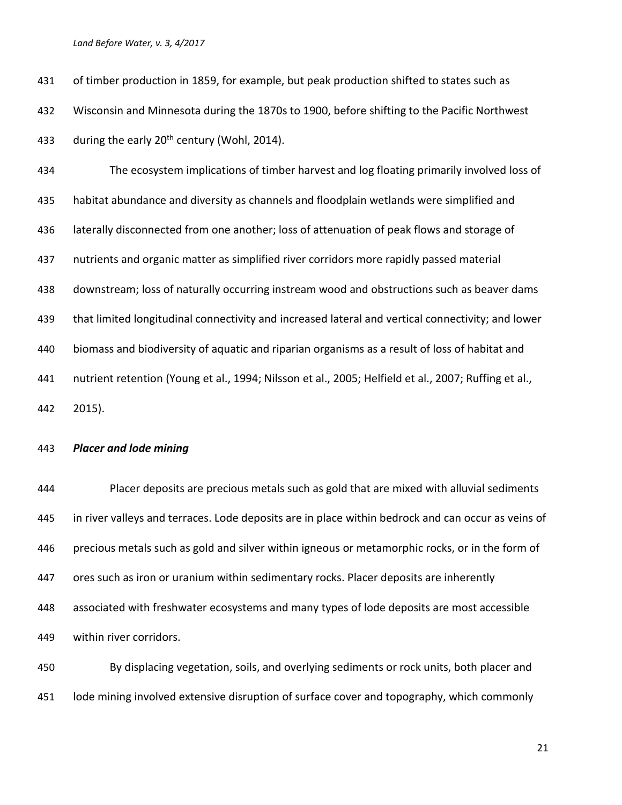of timber production in 1859, for example, but peak production shifted to states such as Wisconsin and Minnesota during the 1870s to 1900, before shifting to the Pacific Northwest 433 during the early  $20<sup>th</sup>$  century (Wohl, 2014).

 The ecosystem implications of timber harvest and log floating primarily involved loss of habitat abundance and diversity as channels and floodplain wetlands were simplified and laterally disconnected from one another; loss of attenuation of peak flows and storage of nutrients and organic matter as simplified river corridors more rapidly passed material downstream; loss of naturally occurring instream wood and obstructions such as beaver dams that limited longitudinal connectivity and increased lateral and vertical connectivity; and lower biomass and biodiversity of aquatic and riparian organisms as a result of loss of habitat and nutrient retention (Young et al., 1994; Nilsson et al., 2005; Helfield et al., 2007; Ruffing et al., 2015).

### *Placer and lode mining*

 Placer deposits are precious metals such as gold that are mixed with alluvial sediments in river valleys and terraces. Lode deposits are in place within bedrock and can occur as veins of precious metals such as gold and silver within igneous or metamorphic rocks, or in the form of ores such as iron or uranium within sedimentary rocks. Placer deposits are inherently associated with freshwater ecosystems and many types of lode deposits are most accessible within river corridors.

 By displacing vegetation, soils, and overlying sediments or rock units, both placer and lode mining involved extensive disruption of surface cover and topography, which commonly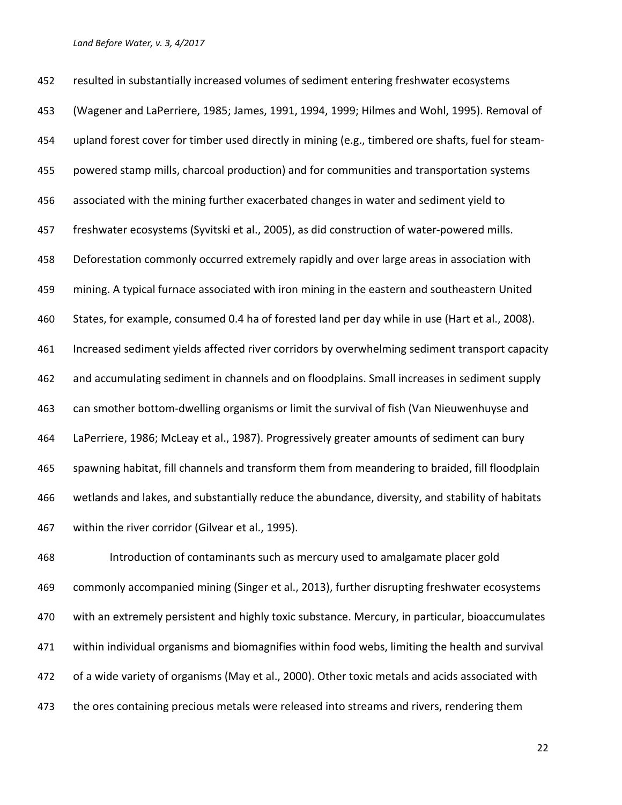resulted in substantially increased volumes of sediment entering freshwater ecosystems (Wagener and LaPerriere, 1985; James, 1991, 1994, 1999; Hilmes and Wohl, 1995). Removal of upland forest cover for timber used directly in mining (e.g., timbered ore shafts, fuel for steam- powered stamp mills, charcoal production) and for communities and transportation systems associated with the mining further exacerbated changes in water and sediment yield to freshwater ecosystems (Syvitski et al., 2005), as did construction of water-powered mills. Deforestation commonly occurred extremely rapidly and over large areas in association with mining. A typical furnace associated with iron mining in the eastern and southeastern United States, for example, consumed 0.4 ha of forested land per day while in use (Hart et al., 2008). Increased sediment yields affected river corridors by overwhelming sediment transport capacity and accumulating sediment in channels and on floodplains. Small increases in sediment supply can smother bottom-dwelling organisms or limit the survival of fish (Van Nieuwenhuyse and LaPerriere, 1986; McLeay et al., 1987). Progressively greater amounts of sediment can bury spawning habitat, fill channels and transform them from meandering to braided, fill floodplain wetlands and lakes, and substantially reduce the abundance, diversity, and stability of habitats within the river corridor (Gilvear et al., 1995).

 Introduction of contaminants such as mercury used to amalgamate placer gold commonly accompanied mining (Singer et al., 2013), further disrupting freshwater ecosystems with an extremely persistent and highly toxic substance. Mercury, in particular, bioaccumulates within individual organisms and biomagnifies within food webs, limiting the health and survival of a wide variety of organisms (May et al., 2000). Other toxic metals and acids associated with 473 the ores containing precious metals were released into streams and rivers, rendering them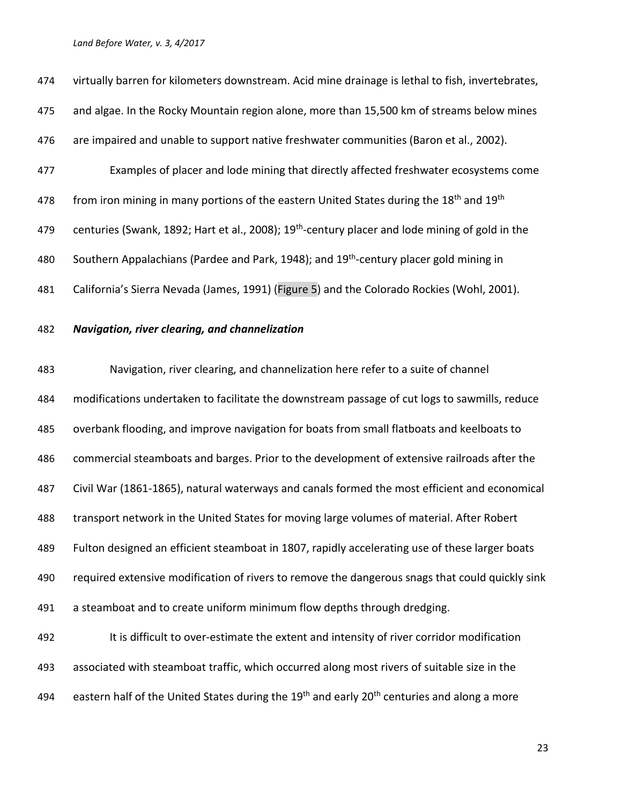| 474 | virtually barren for kilometers downstream. Acid mine drainage is lethal to fish, invertebrates,                |
|-----|-----------------------------------------------------------------------------------------------------------------|
| 475 | and algae. In the Rocky Mountain region alone, more than 15,500 km of streams below mines                       |
| 476 | are impaired and unable to support native freshwater communities (Baron et al., 2002).                          |
| 477 | Examples of placer and lode mining that directly affected freshwater ecosystems come                            |
| 478 | from iron mining in many portions of the eastern United States during the 18 <sup>th</sup> and 19 <sup>th</sup> |
| 479 | centuries (Swank, 1892; Hart et al., 2008); 19 <sup>th</sup> -century placer and lode mining of gold in the     |
| 480 | Southern Appalachians (Pardee and Park, 1948); and 19 <sup>th</sup> -century placer gold mining in              |
| 481 | California's Sierra Nevada (James, 1991) (Figure 5) and the Colorado Rockies (Wohl, 2001).                      |

### *Navigation, river clearing, and channelization*

 Navigation, river clearing, and channelization here refer to a suite of channel modifications undertaken to facilitate the downstream passage of cut logs to sawmills, reduce overbank flooding, and improve navigation for boats from small flatboats and keelboats to commercial steamboats and barges. Prior to the development of extensive railroads after the Civil War (1861-1865), natural waterways and canals formed the most efficient and economical transport network in the United States for moving large volumes of material. After Robert Fulton designed an efficient steamboat in 1807, rapidly accelerating use of these larger boats required extensive modification of rivers to remove the dangerous snags that could quickly sink a steamboat and to create uniform minimum flow depths through dredging.

 It is difficult to over-estimate the extent and intensity of river corridor modification associated with steamboat traffic, which occurred along most rivers of suitable size in the 494 eastern half of the United States during the  $19<sup>th</sup>$  and early 20<sup>th</sup> centuries and along a more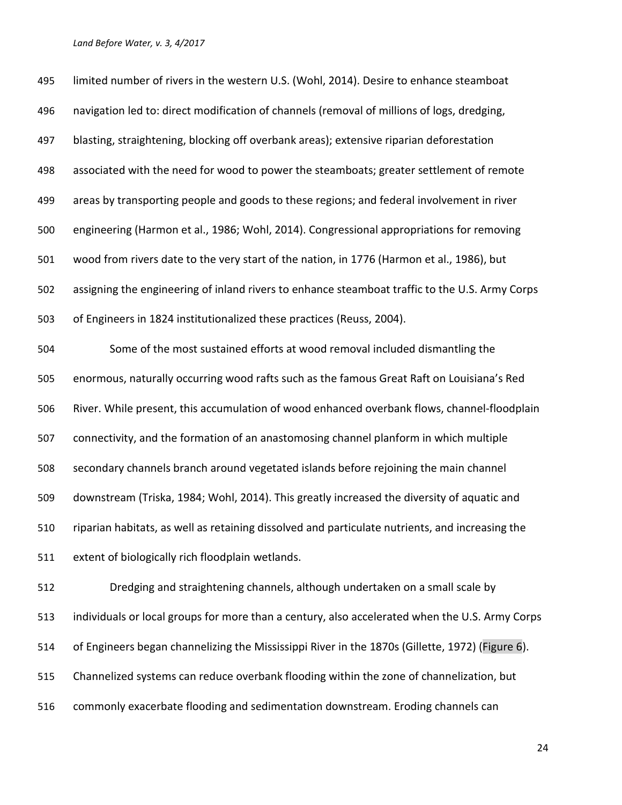| 495 | limited number of rivers in the western U.S. (Wohl, 2014). Desire to enhance steamboat          |
|-----|-------------------------------------------------------------------------------------------------|
| 496 | navigation led to: direct modification of channels (removal of millions of logs, dredging,      |
| 497 | blasting, straightening, blocking off overbank areas); extensive riparian deforestation         |
| 498 | associated with the need for wood to power the steamboats; greater settlement of remote         |
| 499 | areas by transporting people and goods to these regions; and federal involvement in river       |
| 500 | engineering (Harmon et al., 1986; Wohl, 2014). Congressional appropriations for removing        |
| 501 | wood from rivers date to the very start of the nation, in 1776 (Harmon et al., 1986), but       |
| 502 | assigning the engineering of inland rivers to enhance steamboat traffic to the U.S. Army Corps  |
| 503 | of Engineers in 1824 institutionalized these practices (Reuss, 2004).                           |
| 504 | Some of the most sustained efforts at wood removal included dismantling the                     |
| 505 | enormous, naturally occurring wood rafts such as the famous Great Raft on Louisiana's Red       |
| 506 | River. While present, this accumulation of wood enhanced overbank flows, channel-floodplain     |
| 507 | connectivity, and the formation of an anastomosing channel planform in which multiple           |
| 508 | secondary channels branch around vegetated islands before rejoining the main channel            |
| 509 | downstream (Triska, 1984; Wohl, 2014). This greatly increased the diversity of aquatic and      |
| 510 | riparian habitats, as well as retaining dissolved and particulate nutrients, and increasing the |
| 511 | extent of biologically rich floodplain wetlands.                                                |
| 512 | Dredging and straightening channels, although undertaken on a small scale by                    |
| 513 | individuals or local groups for more than a century, also accelerated when the U.S. Army Corps  |
| 514 | of Engineers began channelizing the Mississippi River in the 1870s (Gillette, 1972) (Figure 6). |
| 515 | Channelized systems can reduce overbank flooding within the zone of channelization, but         |
| 516 | commonly exacerbate flooding and sedimentation downstream. Eroding channels can                 |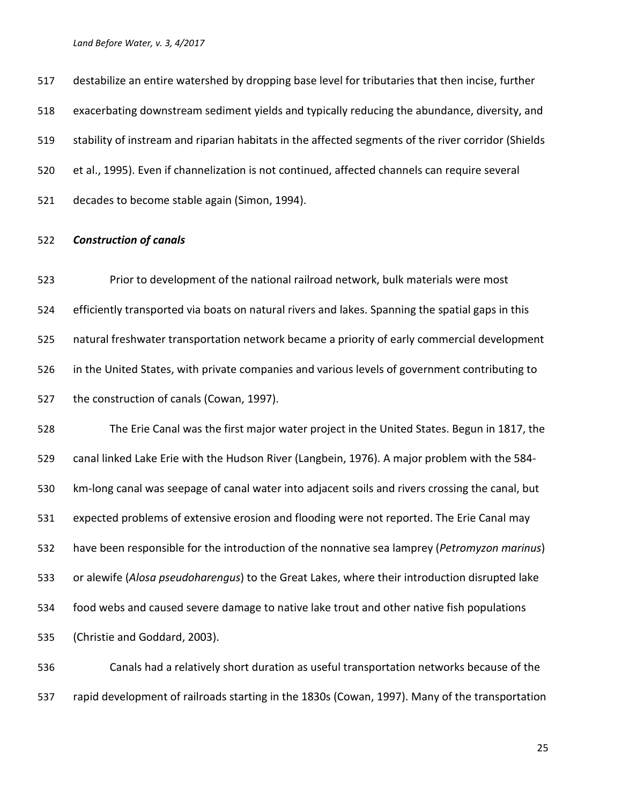destabilize an entire watershed by dropping base level for tributaries that then incise, further exacerbating downstream sediment yields and typically reducing the abundance, diversity, and stability of instream and riparian habitats in the affected segments of the river corridor (Shields et al., 1995). Even if channelization is not continued, affected channels can require several decades to become stable again (Simon, 1994).

### *Construction of canals*

 Prior to development of the national railroad network, bulk materials were most efficiently transported via boats on natural rivers and lakes. Spanning the spatial gaps in this natural freshwater transportation network became a priority of early commercial development in the United States, with private companies and various levels of government contributing to the construction of canals (Cowan, 1997).

 The Erie Canal was the first major water project in the United States. Begun in 1817, the canal linked Lake Erie with the Hudson River (Langbein, 1976). A major problem with the 584- km-long canal was seepage of canal water into adjacent soils and rivers crossing the canal, but expected problems of extensive erosion and flooding were not reported. The Erie Canal may have been responsible for the introduction of the nonnative sea lamprey (*Petromyzon marinus*) or alewife (*Alosa pseudoharengus*) to the Great Lakes, where their introduction disrupted lake food webs and caused severe damage to native lake trout and other native fish populations (Christie and Goddard, 2003).

 Canals had a relatively short duration as useful transportation networks because of the rapid development of railroads starting in the 1830s (Cowan, 1997). Many of the transportation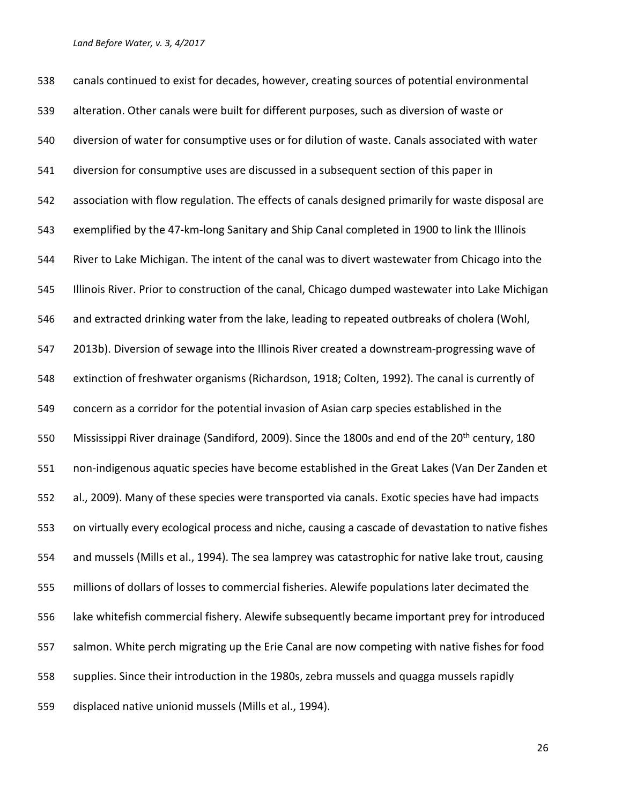canals continued to exist for decades, however, creating sources of potential environmental alteration. Other canals were built for different purposes, such as diversion of waste or diversion of water for consumptive uses or for dilution of waste. Canals associated with water diversion for consumptive uses are discussed in a subsequent section of this paper in association with flow regulation. The effects of canals designed primarily for waste disposal are exemplified by the 47-km-long Sanitary and Ship Canal completed in 1900 to link the Illinois River to Lake Michigan. The intent of the canal was to divert wastewater from Chicago into the Illinois River. Prior to construction of the canal, Chicago dumped wastewater into Lake Michigan and extracted drinking water from the lake, leading to repeated outbreaks of cholera (Wohl, 2013b). Diversion of sewage into the Illinois River created a downstream-progressing wave of extinction of freshwater organisms (Richardson, 1918; Colten, 1992). The canal is currently of concern as a corridor for the potential invasion of Asian carp species established in the 550 Mississippi River drainage (Sandiford, 2009). Since the 1800s and end of the 20<sup>th</sup> century, 180 non-indigenous aquatic species have become established in the Great Lakes (Van Der Zanden et al., 2009). Many of these species were transported via canals. Exotic species have had impacts on virtually every ecological process and niche, causing a cascade of devastation to native fishes and mussels (Mills et al., 1994). The sea lamprey was catastrophic for native lake trout, causing millions of dollars of losses to commercial fisheries. Alewife populations later decimated the lake whitefish commercial fishery. Alewife subsequently became important prey for introduced salmon. White perch migrating up the Erie Canal are now competing with native fishes for food supplies. Since their introduction in the 1980s, zebra mussels and quagga mussels rapidly displaced native unionid mussels (Mills et al., 1994).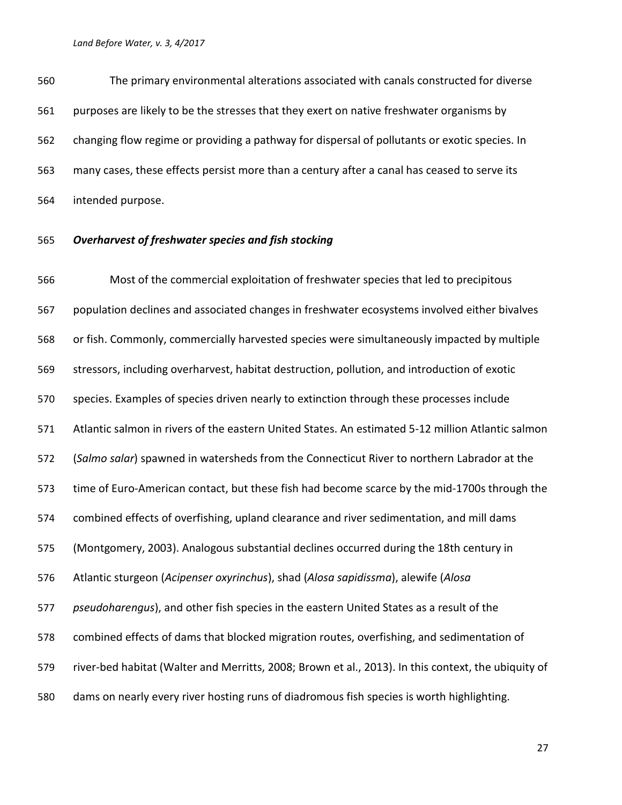The primary environmental alterations associated with canals constructed for diverse purposes are likely to be the stresses that they exert on native freshwater organisms by changing flow regime or providing a pathway for dispersal of pollutants or exotic species. In many cases, these effects persist more than a century after a canal has ceased to serve its intended purpose.

### *Overharvest of freshwater species and fish stocking*

 Most of the commercial exploitation of freshwater species that led to precipitous population declines and associated changes in freshwater ecosystems involved either bivalves or fish. Commonly, commercially harvested species were simultaneously impacted by multiple stressors, including overharvest, habitat destruction, pollution, and introduction of exotic species. Examples of species driven nearly to extinction through these processes include Atlantic salmon in rivers of the eastern United States. An estimated 5-12 million Atlantic salmon (*Salmo salar*) spawned in watersheds from the Connecticut River to northern Labrador at the time of Euro-American contact, but these fish had become scarce by the mid-1700s through the combined effects of overfishing, upland clearance and river sedimentation, and mill dams (Montgomery, 2003). Analogous substantial declines occurred during the 18th century in Atlantic sturgeon (*Acipenser oxyrinchus*), shad (*Alosa sapidissma*), alewife (*Alosa pseudoharengus*), and other fish species in the eastern United States as a result of the combined effects of dams that blocked migration routes, overfishing, and sedimentation of river-bed habitat (Walter and Merritts, 2008; Brown et al., 2013). In this context, the ubiquity of dams on nearly every river hosting runs of diadromous fish species is worth highlighting.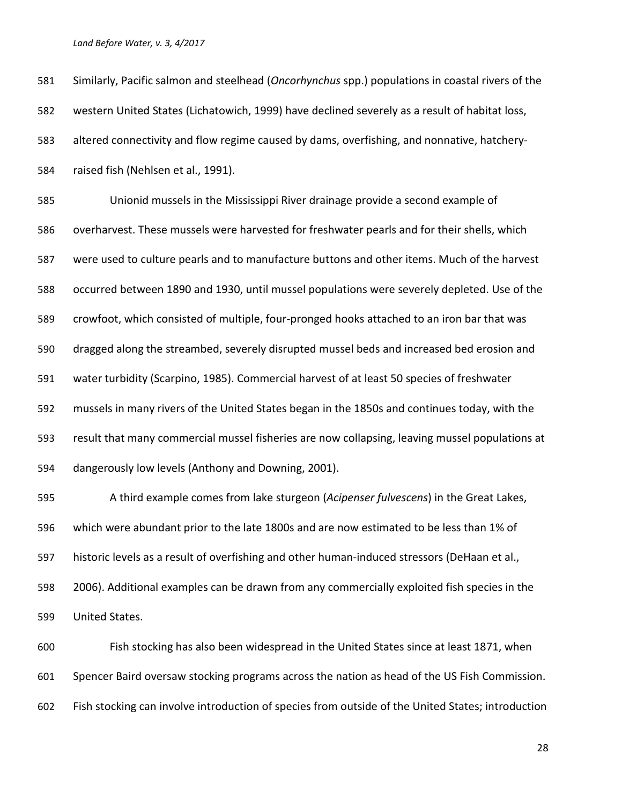| 581 | Similarly, Pacific salmon and steelhead (Oncorhynchus spp.) populations in coastal rivers of the |
|-----|--------------------------------------------------------------------------------------------------|
| 582 | western United States (Lichatowich, 1999) have declined severely as a result of habitat loss,    |
| 583 | altered connectivity and flow regime caused by dams, overfishing, and nonnative, hatchery-       |
| 584 | raised fish (Nehlsen et al., 1991).                                                              |
| 585 | Unionid mussels in the Mississippi River drainage provide a second example of                    |
| 586 | overharvest. These mussels were harvested for freshwater pearls and for their shells, which      |
| 587 | were used to culture pearls and to manufacture buttons and other items. Much of the harvest      |
| 588 | occurred between 1890 and 1930, until mussel populations were severely depleted. Use of the      |
| 589 | crowfoot, which consisted of multiple, four-pronged hooks attached to an iron bar that was       |
| 590 | dragged along the streambed, severely disrupted mussel beds and increased bed erosion and        |
| 591 | water turbidity (Scarpino, 1985). Commercial harvest of at least 50 species of freshwater        |
| 592 | mussels in many rivers of the United States began in the 1850s and continues today, with the     |
| 593 | result that many commercial mussel fisheries are now collapsing, leaving mussel populations at   |
| 594 | dangerously low levels (Anthony and Downing, 2001).                                              |
| 595 | A third example comes from lake sturgeon (Acipenser fulvescens) in the Great Lakes,              |
| 596 | which were abundant prior to the late 1800s and are now estimated to be less than 1% of          |
| 597 | historic levels as a result of overfishing and other human-induced stressors (DeHaan et al.,     |
| 598 | 2006). Additional examples can be drawn from any commercially exploited fish species in the      |
| 599 | United States.                                                                                   |

 Fish stocking has also been widespread in the United States since at least 1871, when Spencer Baird oversaw stocking programs across the nation as head of the US Fish Commission. Fish stocking can involve introduction of species from outside of the United States; introduction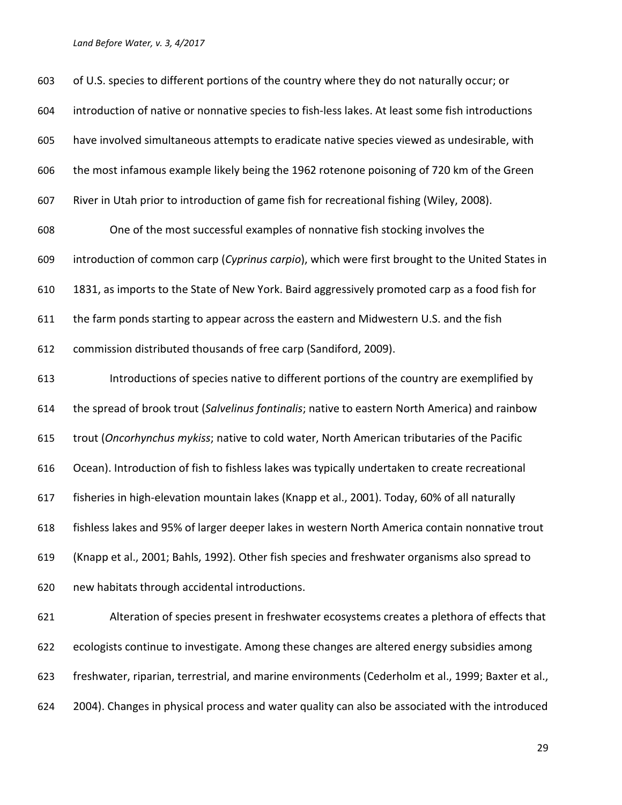| 603 | of U.S. species to different portions of the country where they do not naturally occur; or         |
|-----|----------------------------------------------------------------------------------------------------|
| 604 | introduction of native or nonnative species to fish-less lakes. At least some fish introductions   |
| 605 | have involved simultaneous attempts to eradicate native species viewed as undesirable, with        |
| 606 | the most infamous example likely being the 1962 rotenone poisoning of 720 km of the Green          |
| 607 | River in Utah prior to introduction of game fish for recreational fishing (Wiley, 2008).           |
| 608 | One of the most successful examples of nonnative fish stocking involves the                        |
| 609 | introduction of common carp (Cyprinus carpio), which were first brought to the United States in    |
| 610 | 1831, as imports to the State of New York. Baird aggressively promoted carp as a food fish for     |
| 611 | the farm ponds starting to appear across the eastern and Midwestern U.S. and the fish              |
| 612 | commission distributed thousands of free carp (Sandiford, 2009).                                   |
| 613 | Introductions of species native to different portions of the country are exemplified by            |
| 614 | the spread of brook trout (Salvelinus fontinalis; native to eastern North America) and rainbow     |
| 615 | trout (Oncorhynchus mykiss; native to cold water, North American tributaries of the Pacific        |
| 616 | Ocean). Introduction of fish to fishless lakes was typically undertaken to create recreational     |
| 617 | fisheries in high-elevation mountain lakes (Knapp et al., 2001). Today, 60% of all naturally       |
| 618 | fishless lakes and 95% of larger deeper lakes in western North America contain nonnative trout     |
| 619 | (Knapp et al., 2001; Bahls, 1992). Other fish species and freshwater organisms also spread to      |
| 620 | new habitats through accidental introductions.                                                     |
| 621 | Alteration of species present in freshwater ecosystems creates a plethora of effects that          |
| 622 | ecologists continue to investigate. Among these changes are altered energy subsidies among         |
| 623 | freshwater, riparian, terrestrial, and marine environments (Cederholm et al., 1999; Baxter et al., |
| 624 | 2004). Changes in physical process and water quality can also be associated with the introduced    |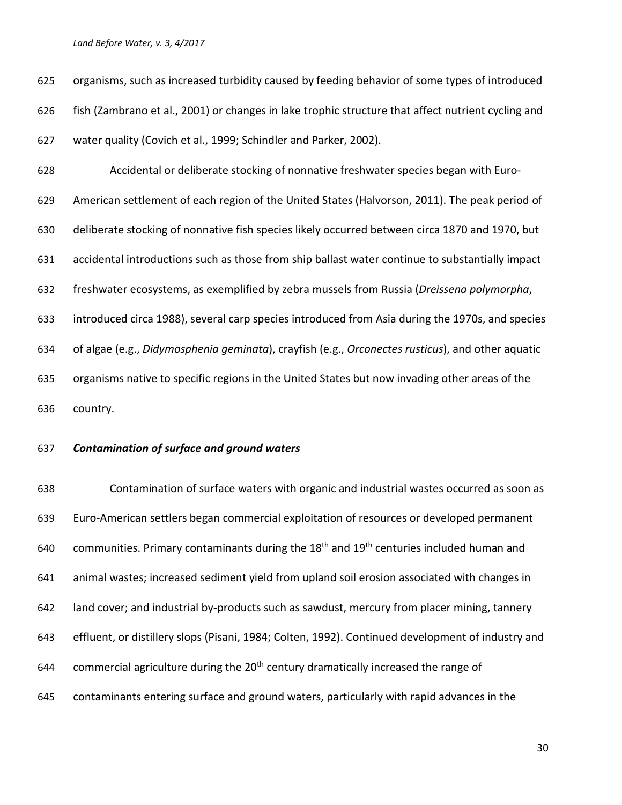organisms, such as increased turbidity caused by feeding behavior of some types of introduced fish (Zambrano et al., 2001) or changes in lake trophic structure that affect nutrient cycling and water quality (Covich et al., 1999; Schindler and Parker, 2002). Accidental or deliberate stocking of nonnative freshwater species began with Euro-

 American settlement of each region of the United States (Halvorson, 2011). The peak period of deliberate stocking of nonnative fish species likely occurred between circa 1870 and 1970, but accidental introductions such as those from ship ballast water continue to substantially impact freshwater ecosystems, as exemplified by zebra mussels from Russia (*Dreissena polymorpha*, introduced circa 1988), several carp species introduced from Asia during the 1970s, and species of algae (e.g., *Didymosphenia geminata*), crayfish (e.g., *Orconectes rusticus*), and other aquatic organisms native to specific regions in the United States but now invading other areas of the country.

### *Contamination of surface and ground waters*

 Contamination of surface waters with organic and industrial wastes occurred as soon as Euro-American settlers began commercial exploitation of resources or developed permanent 640 communities. Primary contaminants during the  $18<sup>th</sup>$  and  $19<sup>th</sup>$  centuries included human and animal wastes; increased sediment yield from upland soil erosion associated with changes in land cover; and industrial by-products such as sawdust, mercury from placer mining, tannery effluent, or distillery slops (Pisani, 1984; Colten, 1992). Continued development of industry and 644 commercial agriculture during the  $20<sup>th</sup>$  century dramatically increased the range of contaminants entering surface and ground waters, particularly with rapid advances in the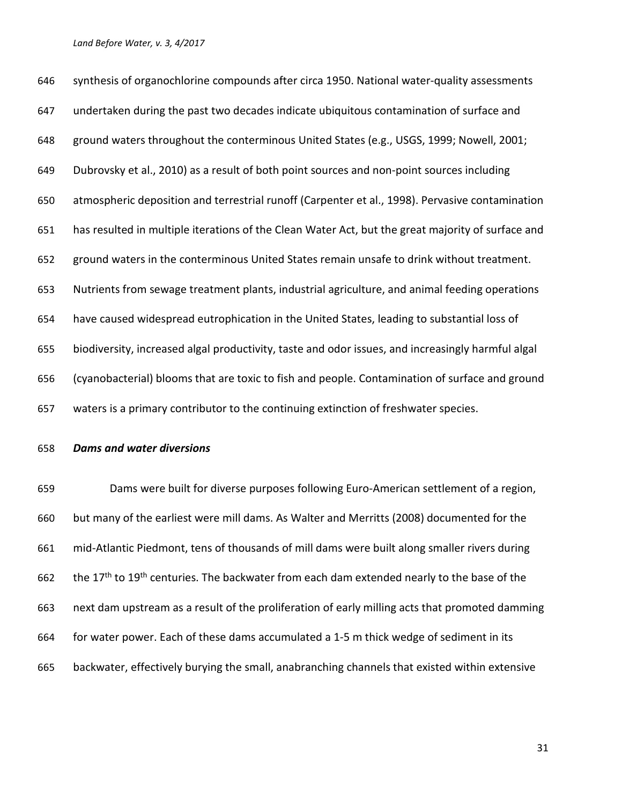synthesis of organochlorine compounds after circa 1950. National water-quality assessments undertaken during the past two decades indicate ubiquitous contamination of surface and ground waters throughout the conterminous United States (e.g., USGS, 1999; Nowell, 2001; Dubrovsky et al., 2010) as a result of both point sources and non-point sources including atmospheric deposition and terrestrial runoff (Carpenter et al., 1998). Pervasive contamination has resulted in multiple iterations of the Clean Water Act, but the great majority of surface and ground waters in the conterminous United States remain unsafe to drink without treatment. Nutrients from sewage treatment plants, industrial agriculture, and animal feeding operations have caused widespread eutrophication in the United States, leading to substantial loss of biodiversity, increased algal productivity, taste and odor issues, and increasingly harmful algal (cyanobacterial) blooms that are toxic to fish and people. Contamination of surface and ground waters is a primary contributor to the continuing extinction of freshwater species.

*Dams and water diversions*

 Dams were built for diverse purposes following Euro-American settlement of a region, but many of the earliest were mill dams. As Walter and Merritts (2008) documented for the mid-Atlantic Piedmont, tens of thousands of mill dams were built along smaller rivers during 662 the 17<sup>th</sup> to 19<sup>th</sup> centuries. The backwater from each dam extended nearly to the base of the next dam upstream as a result of the proliferation of early milling acts that promoted damming for water power. Each of these dams accumulated a 1-5 m thick wedge of sediment in its backwater, effectively burying the small, anabranching channels that existed within extensive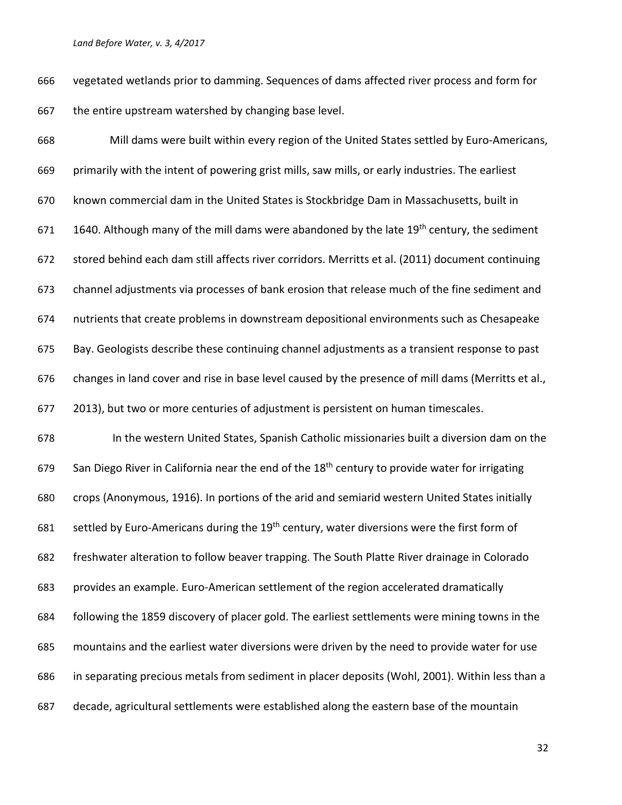vegetated wetlands prior to damming. Sequences of dams affected river process and form for 667 the entire upstream watershed by changing base level.

 Mill dams were built within every region of the United States settled by Euro-Americans, primarily with the intent of powering grist mills, saw mills, or early industries. The earliest known commercial dam in the United States is Stockbridge Dam in Massachusetts, built in 671 1640. Although many of the mill dams were abandoned by the late  $19<sup>th</sup>$  century, the sediment stored behind each dam still affects river corridors. Merritts et al. (2011) document continuing channel adjustments via processes of bank erosion that release much of the fine sediment and nutrients that create problems in downstream depositional environments such as Chesapeake Bay. Geologists describe these continuing channel adjustments as a transient response to past changes in land cover and rise in base level caused by the presence of mill dams (Merritts et al., 2013), but two or more centuries of adjustment is persistent on human timescales. In the western United States, Spanish Catholic missionaries built a diversion dam on the 679 San Diego River in California near the end of the  $18<sup>th</sup>$  century to provide water for irrigating crops (Anonymous, 1916). In portions of the arid and semiarid western United States initially 681 settled by Euro-Americans during the  $19<sup>th</sup>$  century, water diversions were the first form of freshwater alteration to follow beaver trapping. The South Platte River drainage in Colorado provides an example. Euro-American settlement of the region accelerated dramatically following the 1859 discovery of placer gold. The earliest settlements were mining towns in the mountains and the earliest water diversions were driven by the need to provide water for use in separating precious metals from sediment in placer deposits (Wohl, 2001). Within less than a

decade, agricultural settlements were established along the eastern base of the mountain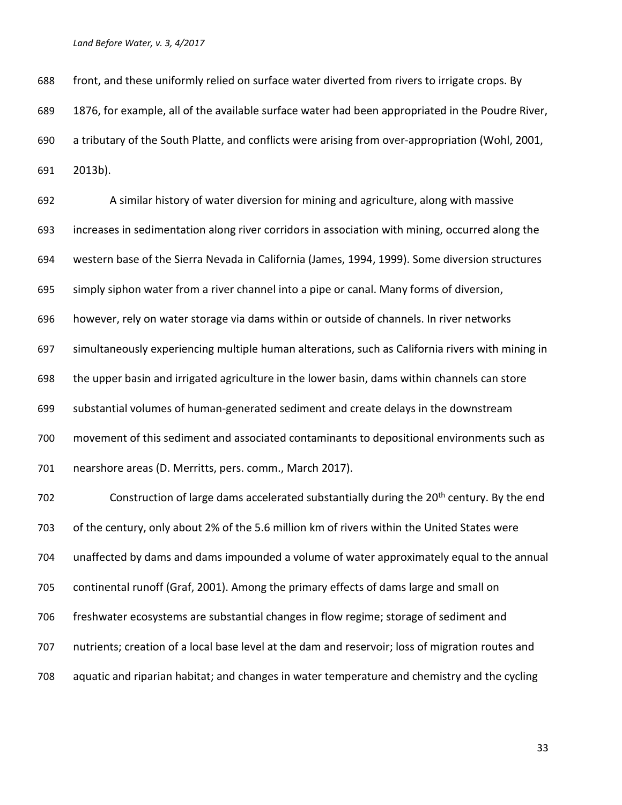front, and these uniformly relied on surface water diverted from rivers to irrigate crops. By 1876, for example, all of the available surface water had been appropriated in the Poudre River, a tributary of the South Platte, and conflicts were arising from over-appropriation (Wohl, 2001, 2013b).

 A similar history of water diversion for mining and agriculture, along with massive increases in sedimentation along river corridors in association with mining, occurred along the western base of the Sierra Nevada in California (James, 1994, 1999). Some diversion structures simply siphon water from a river channel into a pipe or canal. Many forms of diversion, however, rely on water storage via dams within or outside of channels. In river networks simultaneously experiencing multiple human alterations, such as California rivers with mining in the upper basin and irrigated agriculture in the lower basin, dams within channels can store substantial volumes of human-generated sediment and create delays in the downstream movement of this sediment and associated contaminants to depositional environments such as nearshore areas (D. Merritts, pers. comm., March 2017). 702 Construction of large dams accelerated substantially during the 20<sup>th</sup> century. By the end

 of the century, only about 2% of the 5.6 million km of rivers within the United States were unaffected by dams and dams impounded a volume of water approximately equal to the annual continental runoff (Graf, 2001). Among the primary effects of dams large and small on freshwater ecosystems are substantial changes in flow regime; storage of sediment and nutrients; creation of a local base level at the dam and reservoir; loss of migration routes and aquatic and riparian habitat; and changes in water temperature and chemistry and the cycling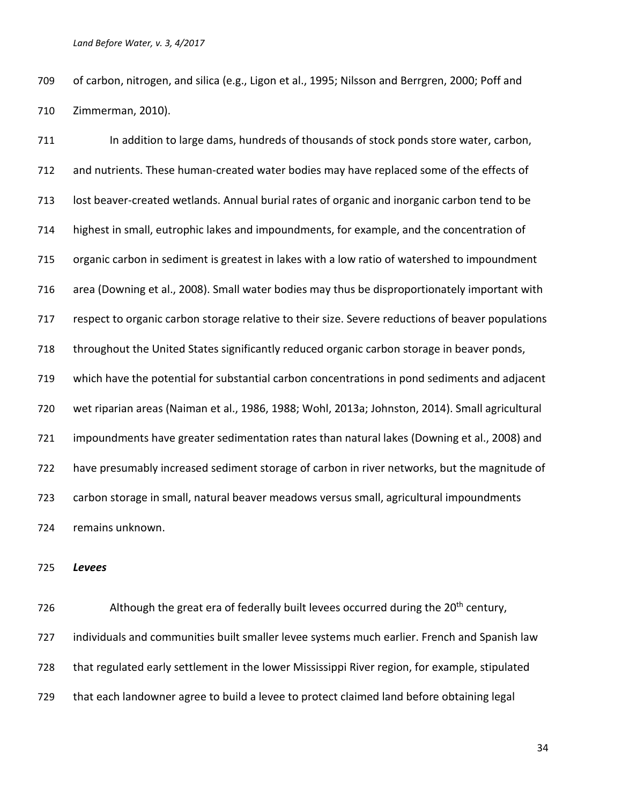of carbon, nitrogen, and silica (e.g., Ligon et al., 1995; Nilsson and Berrgren, 2000; Poff and Zimmerman, 2010).

711 In addition to large dams, hundreds of thousands of stock ponds store water, carbon, and nutrients. These human-created water bodies may have replaced some of the effects of lost beaver-created wetlands. Annual burial rates of organic and inorganic carbon tend to be highest in small, eutrophic lakes and impoundments, for example, and the concentration of organic carbon in sediment is greatest in lakes with a low ratio of watershed to impoundment area (Downing et al., 2008). Small water bodies may thus be disproportionately important with respect to organic carbon storage relative to their size. Severe reductions of beaver populations throughout the United States significantly reduced organic carbon storage in beaver ponds, which have the potential for substantial carbon concentrations in pond sediments and adjacent wet riparian areas (Naiman et al., 1986, 1988; Wohl, 2013a; Johnston, 2014). Small agricultural impoundments have greater sedimentation rates than natural lakes (Downing et al., 2008) and have presumably increased sediment storage of carbon in river networks, but the magnitude of carbon storage in small, natural beaver meadows versus small, agricultural impoundments remains unknown.

*Levees*

726 Although the great era of federally built levees occurred during the  $20<sup>th</sup>$  century, individuals and communities built smaller levee systems much earlier. French and Spanish law that regulated early settlement in the lower Mississippi River region, for example, stipulated that each landowner agree to build a levee to protect claimed land before obtaining legal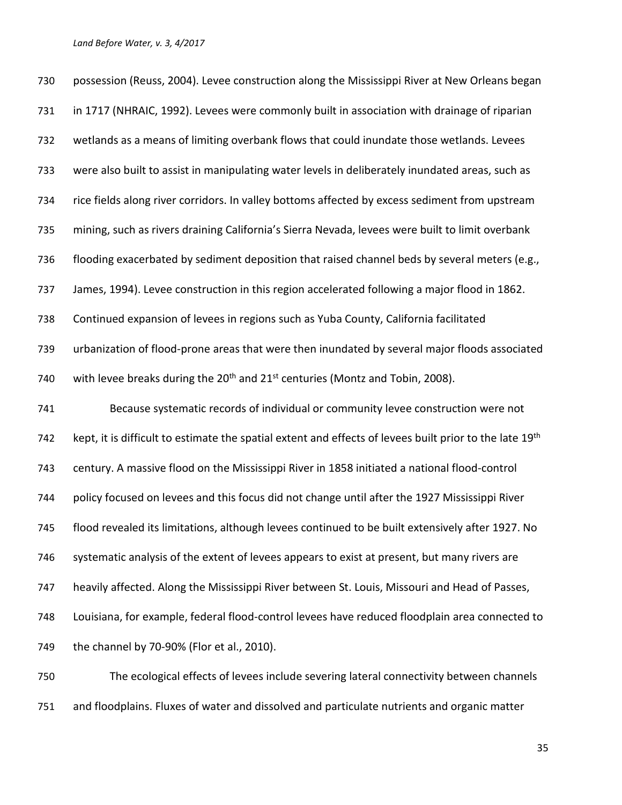| 730 | possession (Reuss, 2004). Levee construction along the Mississippi River at New Orleans began                       |
|-----|---------------------------------------------------------------------------------------------------------------------|
| 731 | in 1717 (NHRAIC, 1992). Levees were commonly built in association with drainage of riparian                         |
| 732 | wetlands as a means of limiting overbank flows that could inundate those wetlands. Levees                           |
| 733 | were also built to assist in manipulating water levels in deliberately inundated areas, such as                     |
| 734 | rice fields along river corridors. In valley bottoms affected by excess sediment from upstream                      |
| 735 | mining, such as rivers draining California's Sierra Nevada, levees were built to limit overbank                     |
| 736 | flooding exacerbated by sediment deposition that raised channel beds by several meters (e.g.,                       |
| 737 | James, 1994). Levee construction in this region accelerated following a major flood in 1862.                        |
| 738 | Continued expansion of levees in regions such as Yuba County, California facilitated                                |
| 739 | urbanization of flood-prone areas that were then inundated by several major floods associated                       |
| 740 | with levee breaks during the 20 <sup>th</sup> and 21 <sup>st</sup> centuries (Montz and Tobin, 2008).               |
| 741 | Because systematic records of individual or community levee construction were not                                   |
| 742 | kept, it is difficult to estimate the spatial extent and effects of levees built prior to the late 19 <sup>th</sup> |
| 743 | century. A massive flood on the Mississippi River in 1858 initiated a national flood-control                        |
| 744 | policy focused on levees and this focus did not change until after the 1927 Mississippi River                       |
| 745 | flood revealed its limitations, although levees continued to be built extensively after 1927. No                    |
| 746 | systematic analysis of the extent of levees appears to exist at present, but many rivers are                        |
| 747 | heavily affected. Along the Mississippi River between St. Louis, Missouri and Head of Passes,                       |
| 748 | Louisiana, for example, federal flood-control levees have reduced floodplain area connected to                      |
| 749 | the channel by 70-90% (Flor et al., 2010).                                                                          |
| 750 | The ecological effects of levees include severing lateral connectivity between channels                             |

and floodplains. Fluxes of water and dissolved and particulate nutrients and organic matter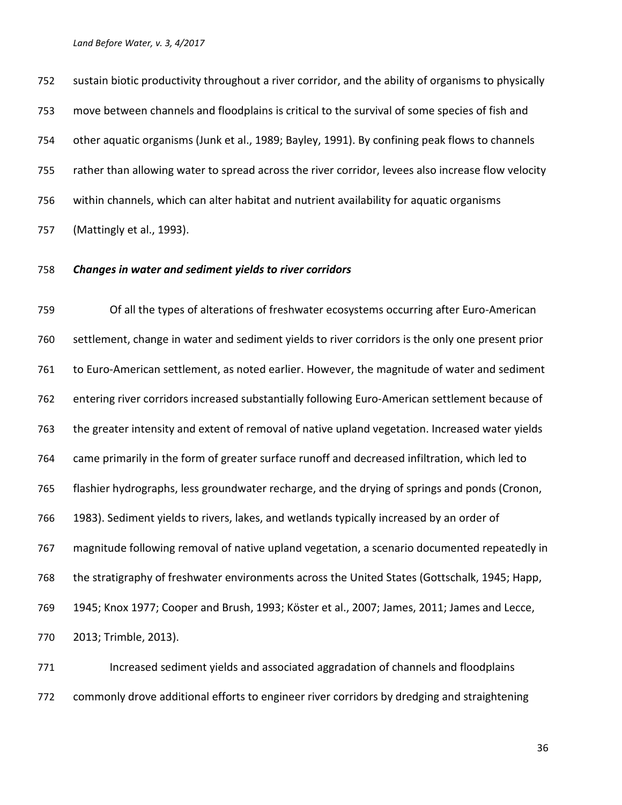sustain biotic productivity throughout a river corridor, and the ability of organisms to physically move between channels and floodplains is critical to the survival of some species of fish and other aquatic organisms (Junk et al., 1989; Bayley, 1991). By confining peak flows to channels rather than allowing water to spread across the river corridor, levees also increase flow velocity within channels, which can alter habitat and nutrient availability for aquatic organisms (Mattingly et al., 1993).

## *Changes in water and sediment yields to river corridors*

 Of all the types of alterations of freshwater ecosystems occurring after Euro-American settlement, change in water and sediment yields to river corridors is the only one present prior to Euro-American settlement, as noted earlier. However, the magnitude of water and sediment entering river corridors increased substantially following Euro-American settlement because of the greater intensity and extent of removal of native upland vegetation. Increased water yields came primarily in the form of greater surface runoff and decreased infiltration, which led to flashier hydrographs, less groundwater recharge, and the drying of springs and ponds (Cronon, 1983). Sediment yields to rivers, lakes, and wetlands typically increased by an order of magnitude following removal of native upland vegetation, a scenario documented repeatedly in the stratigraphy of freshwater environments across the United States (Gottschalk, 1945; Happ, 1945; Knox 1977; Cooper and Brush, 1993; Köster et al., 2007; James, 2011; James and Lecce, 2013; Trimble, 2013).

771 Increased sediment yields and associated aggradation of channels and floodplains commonly drove additional efforts to engineer river corridors by dredging and straightening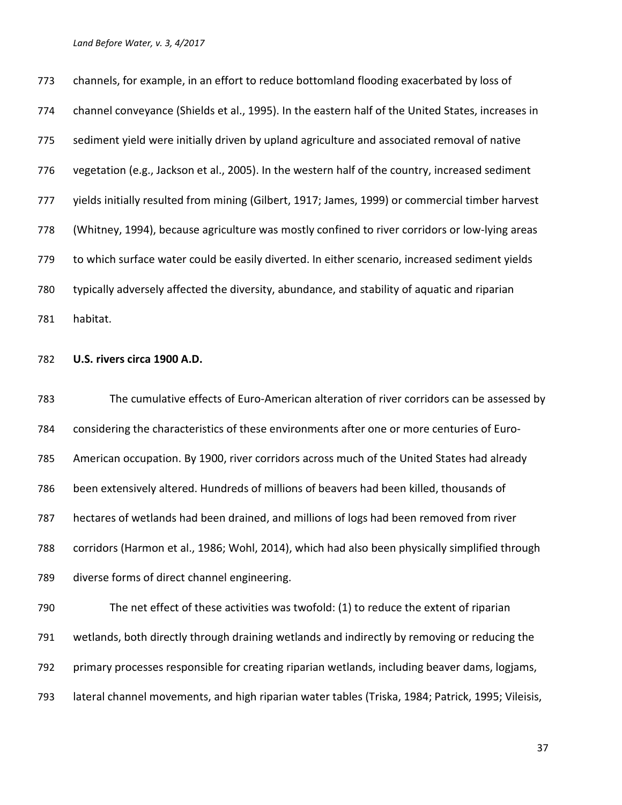channels, for example, in an effort to reduce bottomland flooding exacerbated by loss of channel conveyance (Shields et al., 1995). In the eastern half of the United States, increases in sediment yield were initially driven by upland agriculture and associated removal of native vegetation (e.g., Jackson et al., 2005). In the western half of the country, increased sediment yields initially resulted from mining (Gilbert, 1917; James, 1999) or commercial timber harvest (Whitney, 1994), because agriculture was mostly confined to river corridors or low-lying areas to which surface water could be easily diverted. In either scenario, increased sediment yields typically adversely affected the diversity, abundance, and stability of aquatic and riparian habitat.

## **U.S. rivers circa 1900 A.D.**

 The cumulative effects of Euro-American alteration of river corridors can be assessed by considering the characteristics of these environments after one or more centuries of Euro- American occupation. By 1900, river corridors across much of the United States had already been extensively altered. Hundreds of millions of beavers had been killed, thousands of hectares of wetlands had been drained, and millions of logs had been removed from river corridors (Harmon et al., 1986; Wohl, 2014), which had also been physically simplified through diverse forms of direct channel engineering. The net effect of these activities was twofold: (1) to reduce the extent of riparian

 wetlands, both directly through draining wetlands and indirectly by removing or reducing the primary processes responsible for creating riparian wetlands, including beaver dams, logjams, lateral channel movements, and high riparian water tables (Triska, 1984; Patrick, 1995; Vileisis,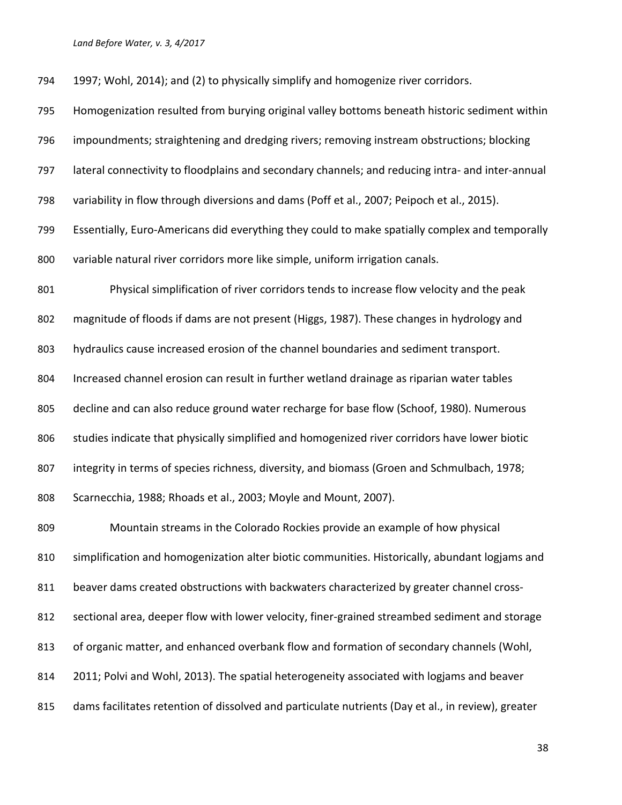| 794 | 1997; Wohl, 2014); and (2) to physically simplify and homogenize river corridors.                  |
|-----|----------------------------------------------------------------------------------------------------|
| 795 | Homogenization resulted from burying original valley bottoms beneath historic sediment within      |
| 796 | impoundments; straightening and dredging rivers; removing instream obstructions; blocking          |
| 797 | lateral connectivity to floodplains and secondary channels; and reducing intra- and inter-annual   |
| 798 | variability in flow through diversions and dams (Poff et al., 2007; Peipoch et al., 2015).         |
| 799 | Essentially, Euro-Americans did everything they could to make spatially complex and temporally     |
| 800 | variable natural river corridors more like simple, uniform irrigation canals.                      |
| 801 | Physical simplification of river corridors tends to increase flow velocity and the peak            |
| 802 | magnitude of floods if dams are not present (Higgs, 1987). These changes in hydrology and          |
| 803 | hydraulics cause increased erosion of the channel boundaries and sediment transport.               |
| 804 | Increased channel erosion can result in further wetland drainage as riparian water tables          |
| 805 | decline and can also reduce ground water recharge for base flow (Schoof, 1980). Numerous           |
| 806 | studies indicate that physically simplified and homogenized river corridors have lower biotic      |
| 807 | integrity in terms of species richness, diversity, and biomass (Groen and Schmulbach, 1978;        |
| 808 | Scarnecchia, 1988; Rhoads et al., 2003; Moyle and Mount, 2007).                                    |
| 809 | Mountain streams in the Colorado Rockies provide an example of how physical                        |
| 810 | simplification and homogenization alter biotic communities. Historically, abundant logjams and     |
| 811 | beaver dams created obstructions with backwaters characterized by greater channel cross-           |
| 812 | sectional area, deeper flow with lower velocity, finer-grained streambed sediment and storage      |
| 813 | of organic matter, and enhanced overbank flow and formation of secondary channels (Wohl,           |
| 814 | 2011; Polvi and Wohl, 2013). The spatial heterogeneity associated with logjams and beaver          |
| 815 | dams facilitates retention of dissolved and particulate nutrients (Day et al., in review), greater |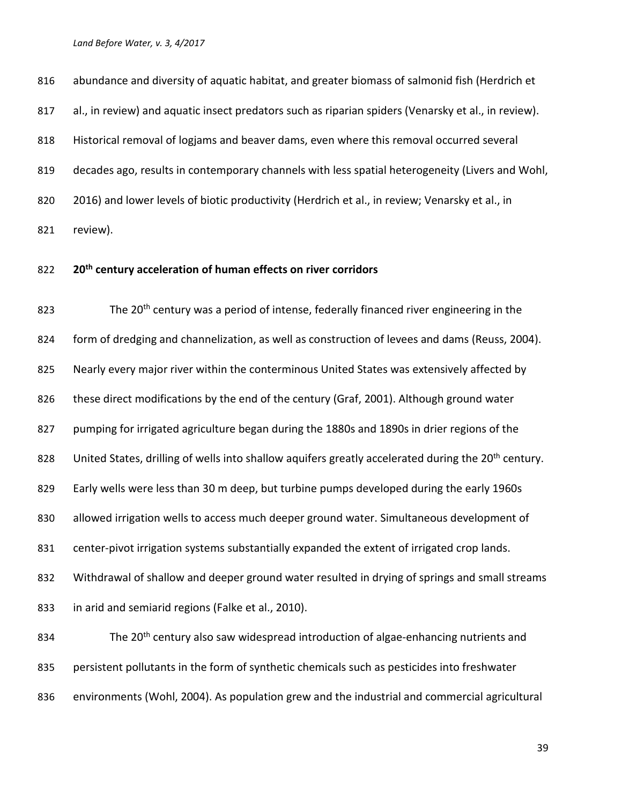816 abundance and diversity of aquatic habitat, and greater biomass of salmonid fish (Herdrich et al., in review) and aquatic insect predators such as riparian spiders (Venarsky et al., in review). Historical removal of logjams and beaver dams, even where this removal occurred several decades ago, results in contemporary channels with less spatial heterogeneity (Livers and Wohl, 820 2016) and lower levels of biotic productivity (Herdrich et al., in review; Venarsky et al., in review).

# **20th century acceleration of human effects on river corridors**

823 The  $20<sup>th</sup>$  century was a period of intense, federally financed river engineering in the form of dredging and channelization, as well as construction of levees and dams (Reuss, 2004). 825 Nearly every major river within the conterminous United States was extensively affected by these direct modifications by the end of the century (Graf, 2001). Although ground water pumping for irrigated agriculture began during the 1880s and 1890s in drier regions of the 828 United States, drilling of wells into shallow aquifers greatly accelerated during the 20<sup>th</sup> century. Early wells were less than 30 m deep, but turbine pumps developed during the early 1960s allowed irrigation wells to access much deeper ground water. Simultaneous development of 831 center-pivot irrigation systems substantially expanded the extent of irrigated crop lands. Withdrawal of shallow and deeper ground water resulted in drying of springs and small streams in arid and semiarid regions (Falke et al., 2010). 834 The 20<sup>th</sup> century also saw widespread introduction of algae-enhancing nutrients and persistent pollutants in the form of synthetic chemicals such as pesticides into freshwater environments (Wohl, 2004). As population grew and the industrial and commercial agricultural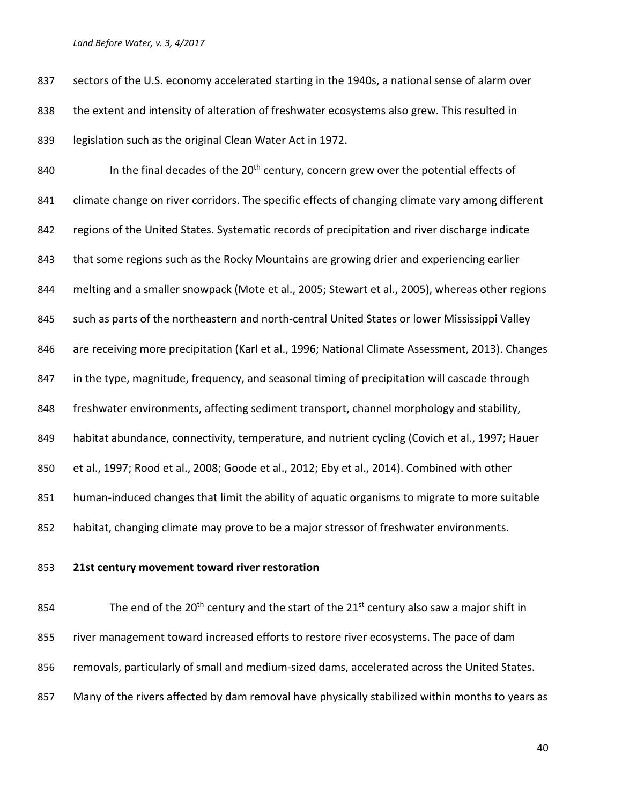837 sectors of the U.S. economy accelerated starting in the 1940s, a national sense of alarm over the extent and intensity of alteration of freshwater ecosystems also grew. This resulted in legislation such as the original Clean Water Act in 1972.

**In the final decades of the 20<sup>th</sup> century, concern grew over the potential effects of** 841 climate change on river corridors. The specific effects of changing climate vary among different 842 regions of the United States. Systematic records of precipitation and river discharge indicate that some regions such as the Rocky Mountains are growing drier and experiencing earlier melting and a smaller snowpack (Mote et al., 2005; Stewart et al., 2005), whereas other regions such as parts of the northeastern and north-central United States or lower Mississippi Valley are receiving more precipitation (Karl et al., 1996; National Climate Assessment, 2013). Changes in the type, magnitude, frequency, and seasonal timing of precipitation will cascade through freshwater environments, affecting sediment transport, channel morphology and stability, habitat abundance, connectivity, temperature, and nutrient cycling (Covich et al., 1997; Hauer et al., 1997; Rood et al., 2008; Goode et al., 2012; Eby et al., 2014). Combined with other 851 human-induced changes that limit the ability of aquatic organisms to migrate to more suitable habitat, changing climate may prove to be a major stressor of freshwater environments.

**21st century movement toward river restoration**

854 The end of the 20<sup>th</sup> century and the start of the  $21^{st}$  century also saw a major shift in river management toward increased efforts to restore river ecosystems. The pace of dam 856 removals, particularly of small and medium-sized dams, accelerated across the United States. Many of the rivers affected by dam removal have physically stabilized within months to years as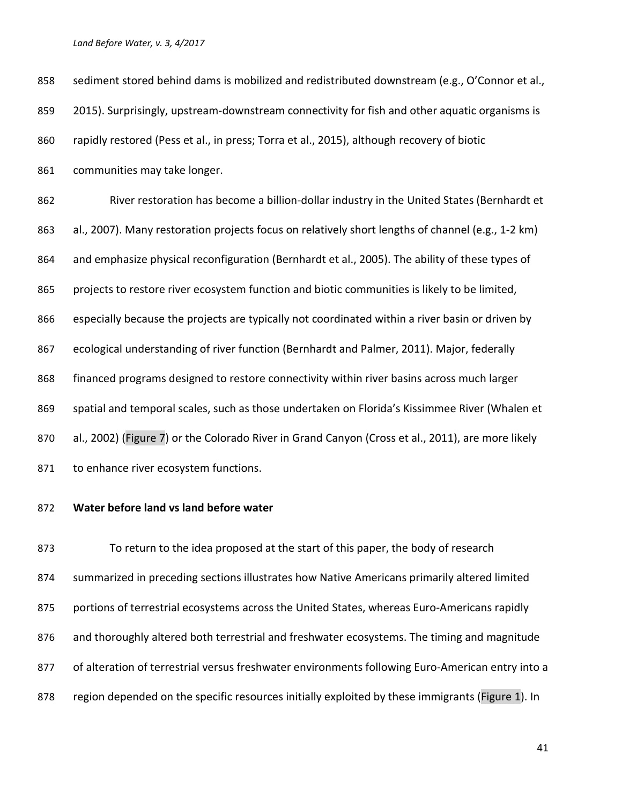| 858 | sediment stored behind dams is mobilized and redistributed downstream (e.g., O'Connor et al.,     |
|-----|---------------------------------------------------------------------------------------------------|
| 859 | 2015). Surprisingly, upstream-downstream connectivity for fish and other aquatic organisms is     |
| 860 | rapidly restored (Pess et al., in press; Torra et al., 2015), although recovery of biotic         |
| 861 | communities may take longer.                                                                      |
| 862 | River restoration has become a billion-dollar industry in the United States (Bernhardt et         |
| 863 | al., 2007). Many restoration projects focus on relatively short lengths of channel (e.g., 1-2 km) |
| 864 | and emphasize physical reconfiguration (Bernhardt et al., 2005). The ability of these types of    |
| 865 | projects to restore river ecosystem function and biotic communities is likely to be limited,      |
| 866 | especially because the projects are typically not coordinated within a river basin or driven by   |
| 867 | ecological understanding of river function (Bernhardt and Palmer, 2011). Major, federally         |
| 868 | financed programs designed to restore connectivity within river basins across much larger         |
| 869 | spatial and temporal scales, such as those undertaken on Florida's Kissimmee River (Whalen et     |
| 870 | al., 2002) (Figure 7) or the Colorado River in Grand Canyon (Cross et al., 2011), are more likely |
| 871 | to enhance river ecosystem functions.                                                             |

## **Water before land vs land before water**

 To return to the idea proposed at the start of this paper, the body of research summarized in preceding sections illustrates how Native Americans primarily altered limited 875 portions of terrestrial ecosystems across the United States, whereas Euro-Americans rapidly 876 and thoroughly altered both terrestrial and freshwater ecosystems. The timing and magnitude 877 of alteration of terrestrial versus freshwater environments following Euro-American entry into a 878 region depended on the specific resources initially exploited by these immigrants (Figure 1). In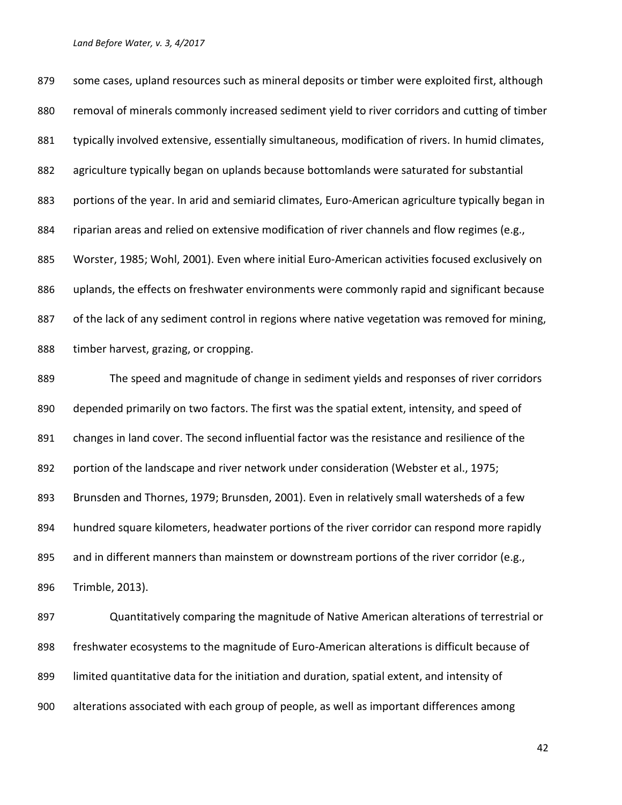879 some cases, upland resources such as mineral deposits or timber were exploited first, although removal of minerals commonly increased sediment yield to river corridors and cutting of timber 881 typically involved extensive, essentially simultaneous, modification of rivers. In humid climates, agriculture typically began on uplands because bottomlands were saturated for substantial 883 portions of the year. In arid and semiarid climates, Euro-American agriculture typically began in riparian areas and relied on extensive modification of river channels and flow regimes (e.g., Worster, 1985; Wohl, 2001). Even where initial Euro-American activities focused exclusively on uplands, the effects on freshwater environments were commonly rapid and significant because 887 of the lack of any sediment control in regions where native vegetation was removed for mining, timber harvest, grazing, or cropping.

 The speed and magnitude of change in sediment yields and responses of river corridors depended primarily on two factors. The first was the spatial extent, intensity, and speed of 891 changes in land cover. The second influential factor was the resistance and resilience of the 892 portion of the landscape and river network under consideration (Webster et al., 1975; Brunsden and Thornes, 1979; Brunsden, 2001). Even in relatively small watersheds of a few hundred square kilometers, headwater portions of the river corridor can respond more rapidly 895 and in different manners than mainstem or downstream portions of the river corridor (e.g., Trimble, 2013).

 Quantitatively comparing the magnitude of Native American alterations of terrestrial or freshwater ecosystems to the magnitude of Euro-American alterations is difficult because of limited quantitative data for the initiation and duration, spatial extent, and intensity of alterations associated with each group of people, as well as important differences among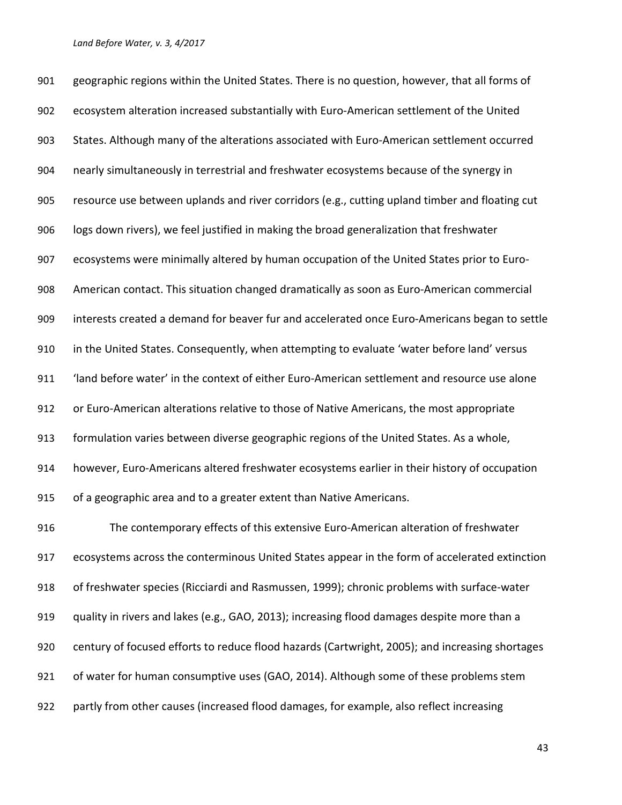geographic regions within the United States. There is no question, however, that all forms of ecosystem alteration increased substantially with Euro-American settlement of the United States. Although many of the alterations associated with Euro-American settlement occurred nearly simultaneously in terrestrial and freshwater ecosystems because of the synergy in resource use between uplands and river corridors (e.g., cutting upland timber and floating cut logs down rivers), we feel justified in making the broad generalization that freshwater ecosystems were minimally altered by human occupation of the United States prior to Euro- American contact. This situation changed dramatically as soon as Euro-American commercial interests created a demand for beaver fur and accelerated once Euro-Americans began to settle in the United States. Consequently, when attempting to evaluate 'water before land' versus 'land before water' in the context of either Euro-American settlement and resource use alone or Euro-American alterations relative to those of Native Americans, the most appropriate formulation varies between diverse geographic regions of the United States. As a whole, however, Euro-Americans altered freshwater ecosystems earlier in their history of occupation of a geographic area and to a greater extent than Native Americans. The contemporary effects of this extensive Euro-American alteration of freshwater ecosystems across the conterminous United States appear in the form of accelerated extinction of freshwater species (Ricciardi and Rasmussen, 1999); chronic problems with surface-water quality in rivers and lakes (e.g., GAO, 2013); increasing flood damages despite more than a century of focused efforts to reduce flood hazards (Cartwright, 2005); and increasing shortages of water for human consumptive uses (GAO, 2014). Although some of these problems stem partly from other causes (increased flood damages, for example, also reflect increasing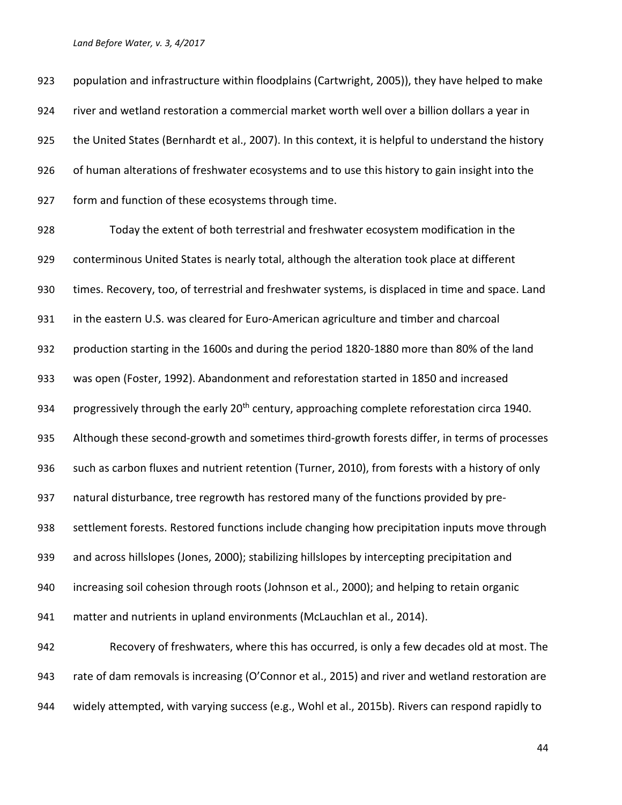population and infrastructure within floodplains (Cartwright, 2005)), they have helped to make river and wetland restoration a commercial market worth well over a billion dollars a year in the United States (Bernhardt et al., 2007). In this context, it is helpful to understand the history of human alterations of freshwater ecosystems and to use this history to gain insight into the form and function of these ecosystems through time.

 Today the extent of both terrestrial and freshwater ecosystem modification in the conterminous United States is nearly total, although the alteration took place at different times. Recovery, too, of terrestrial and freshwater systems, is displaced in time and space. Land 931 in the eastern U.S. was cleared for Euro-American agriculture and timber and charcoal production starting in the 1600s and during the period 1820-1880 more than 80% of the land was open (Foster, 1992). Abandonment and reforestation started in 1850 and increased 934 progressively through the early 20<sup>th</sup> century, approaching complete reforestation circa 1940. Although these second-growth and sometimes third-growth forests differ, in terms of processes 936 such as carbon fluxes and nutrient retention (Turner, 2010), from forests with a history of only natural disturbance, tree regrowth has restored many of the functions provided by pre- settlement forests. Restored functions include changing how precipitation inputs move through and across hillslopes (Jones, 2000); stabilizing hillslopes by intercepting precipitation and increasing soil cohesion through roots (Johnson et al., 2000); and helping to retain organic matter and nutrients in upland environments (McLauchlan et al., 2014). Recovery of freshwaters, where this has occurred, is only a few decades old at most. The 943 rate of dam removals is increasing (O'Connor et al., 2015) and river and wetland restoration are

widely attempted, with varying success (e.g., Wohl et al., 2015b). Rivers can respond rapidly to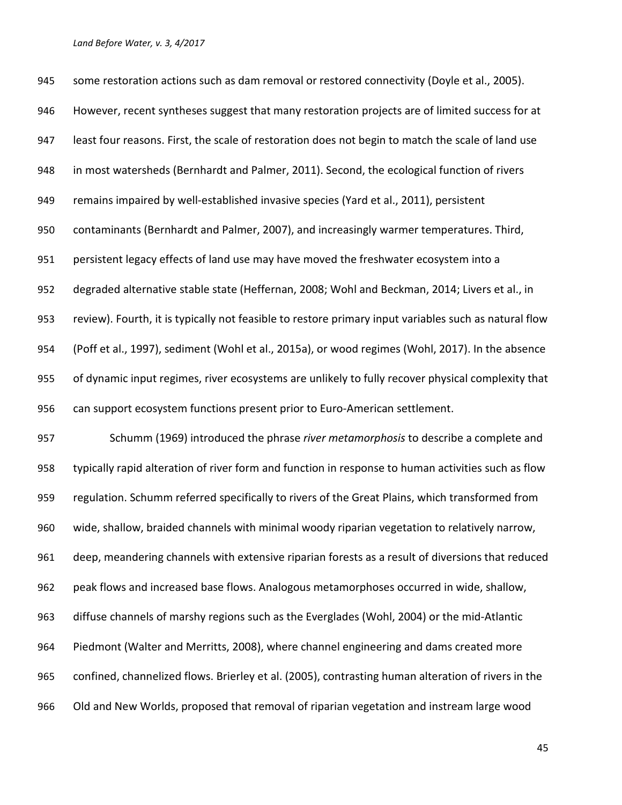945 some restoration actions such as dam removal or restored connectivity (Doyle et al., 2005). However, recent syntheses suggest that many restoration projects are of limited success for at least four reasons. First, the scale of restoration does not begin to match the scale of land use in most watersheds (Bernhardt and Palmer, 2011). Second, the ecological function of rivers remains impaired by well-established invasive species (Yard et al., 2011), persistent contaminants (Bernhardt and Palmer, 2007), and increasingly warmer temperatures. Third, persistent legacy effects of land use may have moved the freshwater ecosystem into a degraded alternative stable state (Heffernan, 2008; Wohl and Beckman, 2014; Livers et al., in review). Fourth, it is typically not feasible to restore primary input variables such as natural flow (Poff et al., 1997), sediment (Wohl et al., 2015a), or wood regimes (Wohl, 2017). In the absence of dynamic input regimes, river ecosystems are unlikely to fully recover physical complexity that can support ecosystem functions present prior to Euro-American settlement. Schumm (1969) introduced the phrase *river metamorphosis* to describe a complete and typically rapid alteration of river form and function in response to human activities such as flow regulation. Schumm referred specifically to rivers of the Great Plains, which transformed from wide, shallow, braided channels with minimal woody riparian vegetation to relatively narrow, deep, meandering channels with extensive riparian forests as a result of diversions that reduced peak flows and increased base flows. Analogous metamorphoses occurred in wide, shallow, diffuse channels of marshy regions such as the Everglades (Wohl, 2004) or the mid-Atlantic Piedmont (Walter and Merritts, 2008), where channel engineering and dams created more confined, channelized flows. Brierley et al. (2005), contrasting human alteration of rivers in the Old and New Worlds, proposed that removal of riparian vegetation and instream large wood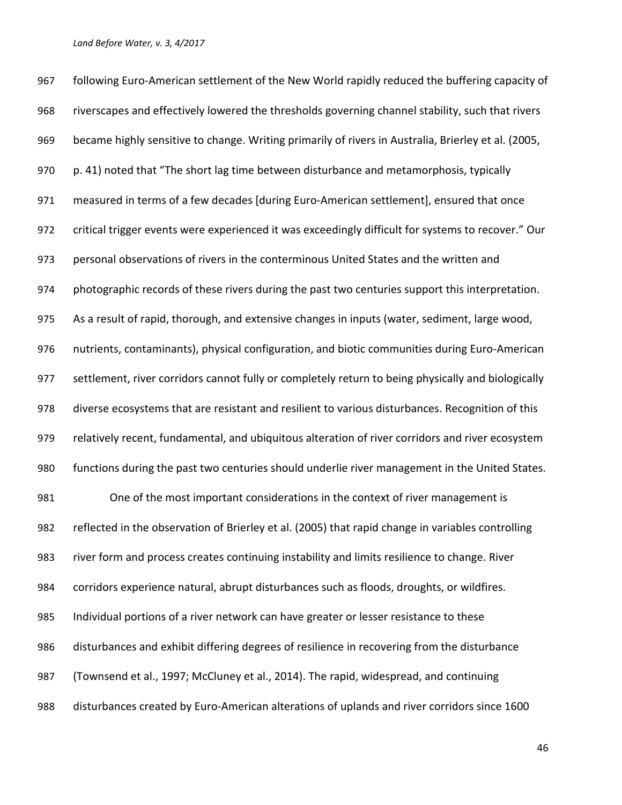following Euro-American settlement of the New World rapidly reduced the buffering capacity of riverscapes and effectively lowered the thresholds governing channel stability, such that rivers became highly sensitive to change. Writing primarily of rivers in Australia, Brierley et al. (2005, p. 41) noted that "The short lag time between disturbance and metamorphosis, typically measured in terms of a few decades [during Euro-American settlement], ensured that once critical trigger events were experienced it was exceedingly difficult for systems to recover." Our personal observations of rivers in the conterminous United States and the written and photographic records of these rivers during the past two centuries support this interpretation. As a result of rapid, thorough, and extensive changes in inputs (water, sediment, large wood, nutrients, contaminants), physical configuration, and biotic communities during Euro-American settlement, river corridors cannot fully or completely return to being physically and biologically diverse ecosystems that are resistant and resilient to various disturbances. Recognition of this relatively recent, fundamental, and ubiquitous alteration of river corridors and river ecosystem functions during the past two centuries should underlie river management in the United States. One of the most important considerations in the context of river management is reflected in the observation of Brierley et al. (2005) that rapid change in variables controlling river form and process creates continuing instability and limits resilience to change. River corridors experience natural, abrupt disturbances such as floods, droughts, or wildfires. Individual portions of a river network can have greater or lesser resistance to these disturbances and exhibit differing degrees of resilience in recovering from the disturbance (Townsend et al., 1997; McCluney et al., 2014). The rapid, widespread, and continuing disturbances created by Euro-American alterations of uplands and river corridors since 1600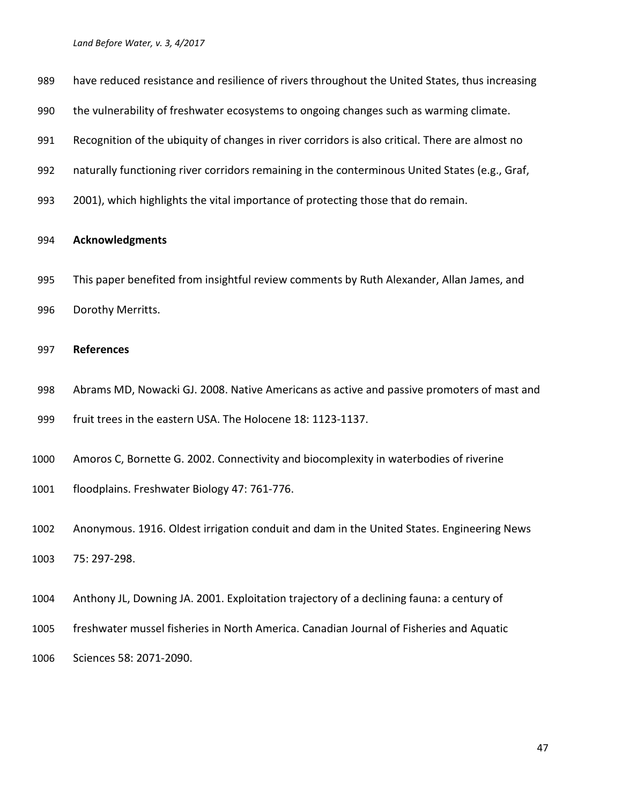| 989  | have reduced resistance and resilience of rivers throughout the United States, thus increasing  |
|------|-------------------------------------------------------------------------------------------------|
| 990  | the vulnerability of freshwater ecosystems to ongoing changes such as warming climate.          |
| 991  | Recognition of the ubiquity of changes in river corridors is also critical. There are almost no |
| 992  | naturally functioning river corridors remaining in the conterminous United States (e.g., Graf,  |
| 993  | 2001), which highlights the vital importance of protecting those that do remain.                |
| 994  | <b>Acknowledgments</b>                                                                          |
| 995  | This paper benefited from insightful review comments by Ruth Alexander, Allan James, and        |
| 996  | Dorothy Merritts.                                                                               |
| 997  | <b>References</b>                                                                               |
| 998  | Abrams MD, Nowacki GJ. 2008. Native Americans as active and passive promoters of mast and       |
| 999  | fruit trees in the eastern USA. The Holocene 18: 1123-1137.                                     |
| 1000 | Amoros C, Bornette G. 2002. Connectivity and biocomplexity in waterbodies of riverine           |
| 1001 | floodplains. Freshwater Biology 47: 761-776.                                                    |
| 1002 | Anonymous. 1916. Oldest irrigation conduit and dam in the United States. Engineering News       |
| 1003 | 75: 297-298.                                                                                    |
| 1004 | Anthony JL, Downing JA. 2001. Exploitation trajectory of a declining fauna: a century of        |
| 1005 | freshwater mussel fisheries in North America. Canadian Journal of Fisheries and Aquatic         |
| 1006 | Sciences 58: 2071-2090.                                                                         |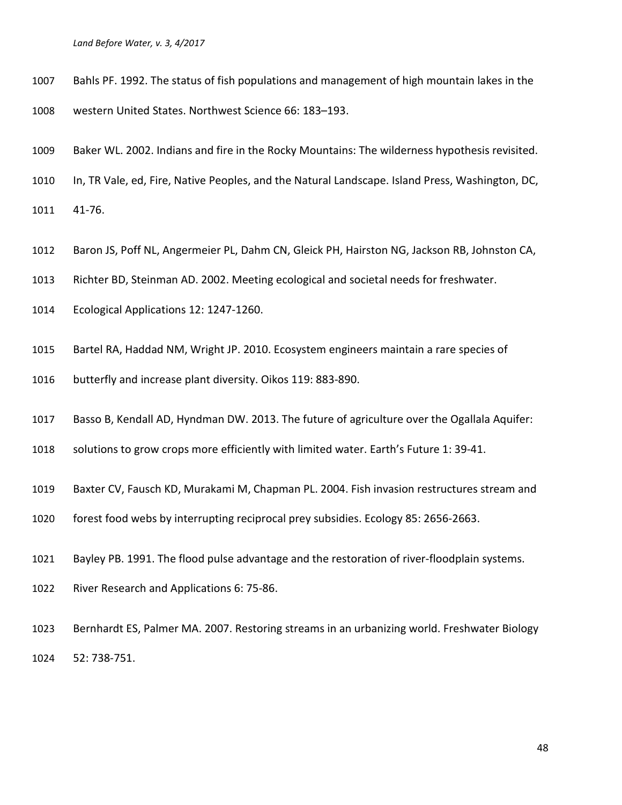- Bahls PF. 1992. The status of fish populations and management of high mountain lakes in the
- western United States. Northwest Science 66: 183–193.
- Baker WL. 2002. Indians and fire in the Rocky Mountains: The wilderness hypothesis revisited.
- In, TR Vale, ed, Fire, Native Peoples, and the Natural Landscape. Island Press, Washington, DC,
- 41-76.
- Baron JS, Poff NL, Angermeier PL, Dahm CN, Gleick PH, Hairston NG, Jackson RB, Johnston CA,
- Richter BD, Steinman AD. 2002. Meeting ecological and societal needs for freshwater.
- Ecological Applications 12: 1247-1260.
- Bartel RA, Haddad NM, Wright JP. 2010. Ecosystem engineers maintain a rare species of
- butterfly and increase plant diversity. Oikos 119: 883-890.
- Basso B, Kendall AD, Hyndman DW. 2013. The future of agriculture over the Ogallala Aquifer:
- solutions to grow crops more efficiently with limited water. Earth's Future 1: 39-41.
- Baxter CV, Fausch KD, Murakami M, Chapman PL. 2004. Fish invasion restructures stream and
- forest food webs by interrupting reciprocal prey subsidies. Ecology 85: 2656-2663.
- Bayley PB. 1991. The flood pulse advantage and the restoration of river-floodplain systems.
- River Research and Applications 6: 75-86.
- Bernhardt ES, Palmer MA. 2007. Restoring streams in an urbanizing world. Freshwater Biology 52: 738-751.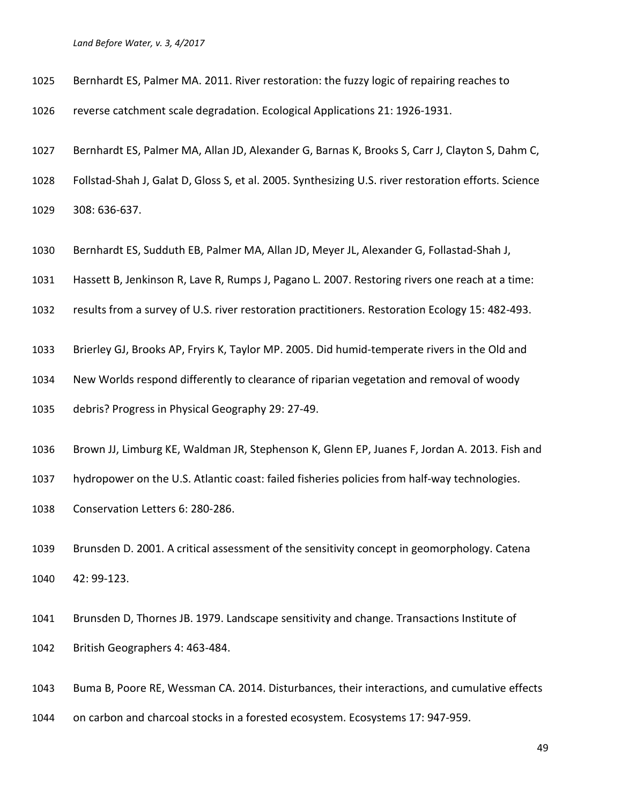- Bernhardt ES, Palmer MA. 2011. River restoration: the fuzzy logic of repairing reaches to
- reverse catchment scale degradation. Ecological Applications 21: 1926-1931.
- Bernhardt ES, Palmer MA, Allan JD, Alexander G, Barnas K, Brooks S, Carr J, Clayton S, Dahm C,
- Follstad-Shah J, Galat D, Gloss S, et al. 2005. Synthesizing U.S. river restoration efforts. Science
- 308: 636-637.
- Bernhardt ES, Sudduth EB, Palmer MA, Allan JD, Meyer JL, Alexander G, Follastad-Shah J,
- Hassett B, Jenkinson R, Lave R, Rumps J, Pagano L. 2007. Restoring rivers one reach at a time:
- results from a survey of U.S. river restoration practitioners. Restoration Ecology 15: 482-493.
- Brierley GJ, Brooks AP, Fryirs K, Taylor MP. 2005. Did humid-temperate rivers in the Old and
- New Worlds respond differently to clearance of riparian vegetation and removal of woody
- debris? Progress in Physical Geography 29: 27-49.
- Brown JJ, Limburg KE, Waldman JR, Stephenson K, Glenn EP, Juanes F, Jordan A. 2013. Fish and
- hydropower on the U.S. Atlantic coast: failed fisheries policies from half-way technologies.
- Conservation Letters 6: 280-286.
- Brunsden D. 2001. A critical assessment of the sensitivity concept in geomorphology. Catena 42: 99-123.
- Brunsden D, Thornes JB. 1979. Landscape sensitivity and change. Transactions Institute of British Geographers 4: 463-484.
- Buma B, Poore RE, Wessman CA. 2014. Disturbances, their interactions, and cumulative effects
- on carbon and charcoal stocks in a forested ecosystem. Ecosystems 17: 947-959.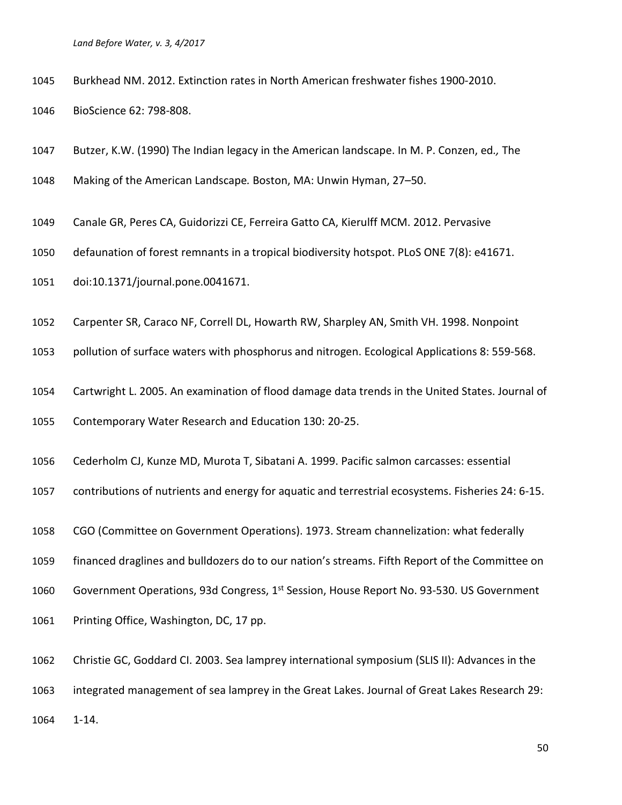Burkhead NM. 2012. Extinction rates in North American freshwater fishes 1900-2010.

BioScience 62: 798-808.

Butzer, K.W. (1990) The Indian legacy in the American landscape. In M. P. Conzen, ed*.,* The

Making of the American Landscape*.* Boston, MA: Unwin Hyman, 27–50.

Canale GR, Peres CA, Guidorizzi CE, Ferreira Gatto CA, Kierulff MCM. 2012. Pervasive

defaunation of forest remnants in a tropical biodiversity hotspot. PLoS ONE 7(8): e41671.

doi:10.1371/journal.pone.0041671.

Carpenter SR, Caraco NF, Correll DL, Howarth RW, Sharpley AN, Smith VH. 1998. Nonpoint

pollution of surface waters with phosphorus and nitrogen. Ecological Applications 8: 559-568.

Cartwright L. 2005. An examination of flood damage data trends in the United States. Journal of

Contemporary Water Research and Education 130: 20-25.

Cederholm CJ, Kunze MD, Murota T, Sibatani A. 1999. Pacific salmon carcasses: essential

contributions of nutrients and energy for aquatic and terrestrial ecosystems. Fisheries 24: 6-15.

CGO (Committee on Government Operations). 1973. Stream channelization: what federally

financed draglines and bulldozers do to our nation's streams. Fifth Report of the Committee on

1060 Government Operations, 93d Congress, 1<sup>st</sup> Session, House Report No. 93-530. US Government

Printing Office, Washington, DC, 17 pp.

Christie GC, Goddard CI. 2003. Sea lamprey international symposium (SLIS II): Advances in the

integrated management of sea lamprey in the Great Lakes. Journal of Great Lakes Research 29:

1-14.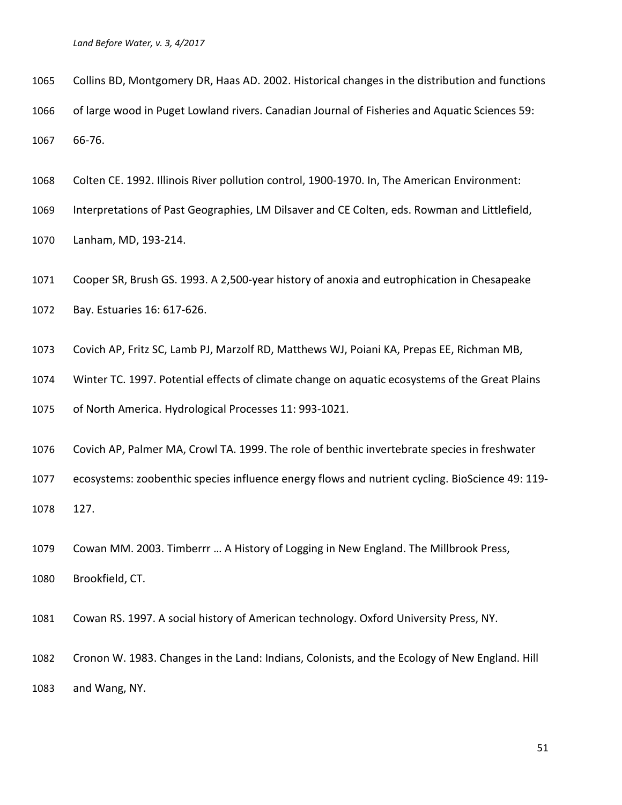Collins BD, Montgomery DR, Haas AD. 2002. Historical changes in the distribution and functions of large wood in Puget Lowland rivers. Canadian Journal of Fisheries and Aquatic Sciences 59: 66-76.

Colten CE. 1992. Illinois River pollution control, 1900-1970. In, The American Environment:

Interpretations of Past Geographies, LM Dilsaver and CE Colten, eds. Rowman and Littlefield,

Lanham, MD, 193-214.

Cooper SR, Brush GS. 1993. A 2,500-year history of anoxia and eutrophication in Chesapeake

Bay. Estuaries 16: 617-626.

Covich AP, Fritz SC, Lamb PJ, Marzolf RD, Matthews WJ, Poiani KA, Prepas EE, Richman MB,

Winter TC. 1997. Potential effects of climate change on aquatic ecosystems of the Great Plains

of North America. Hydrological Processes 11: 993-1021.

Covich AP, Palmer MA, Crowl TA. 1999. The role of benthic invertebrate species in freshwater

 ecosystems: zoobenthic species influence energy flows and nutrient cycling. BioScience 49: 119- 127.

Cowan MM. 2003. Timberrr … A History of Logging in New England. The Millbrook Press,

Brookfield, CT.

Cowan RS. 1997. A social history of American technology. Oxford University Press, NY.

 Cronon W. 1983. Changes in the Land: Indians, Colonists, and the Ecology of New England. Hill and Wang, NY.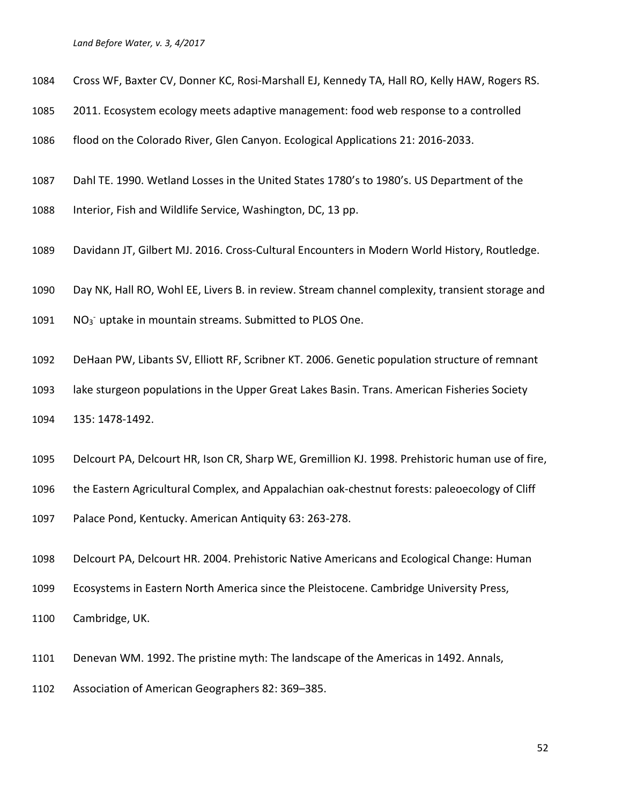- Cross WF, Baxter CV, Donner KC, Rosi-Marshall EJ, Kennedy TA, Hall RO, Kelly HAW, Rogers RS.
- 2011. Ecosystem ecology meets adaptive management: food web response to a controlled
- flood on the Colorado River, Glen Canyon. Ecological Applications 21: 2016-2033.
- Dahl TE. 1990. Wetland Losses in the United States 1780's to 1980's. US Department of the
- Interior, Fish and Wildlife Service, Washington, DC, 13 pp.
- Davidann JT, Gilbert MJ. 2016. Cross-Cultural Encounters in Modern World History, Routledge.
- Day NK, Hall RO, Wohl EE, Livers B. in review. Stream channel complexity, transient storage and
- 1091  $NO_3$ <sup>-</sup> uptake in mountain streams. Submitted to PLOS One.
- DeHaan PW, Libants SV, Elliott RF, Scribner KT. 2006. Genetic population structure of remnant
- lake sturgeon populations in the Upper Great Lakes Basin. Trans. American Fisheries Society 135: 1478-1492.
- Delcourt PA, Delcourt HR, Ison CR, Sharp WE, Gremillion KJ. 1998. Prehistoric human use of fire,
- the Eastern Agricultural Complex, and Appalachian oak-chestnut forests: paleoecology of Cliff
- Palace Pond, Kentucky. American Antiquity 63: 263-278.
- Delcourt PA, Delcourt HR. 2004. Prehistoric Native Americans and Ecological Change: Human
- Ecosystems in Eastern North America since the Pleistocene. Cambridge University Press,
- Cambridge, UK.
- Denevan WM. 1992. The pristine myth: The landscape of the Americas in 1492. Annals,
- Association of American Geographers 82: 369–385.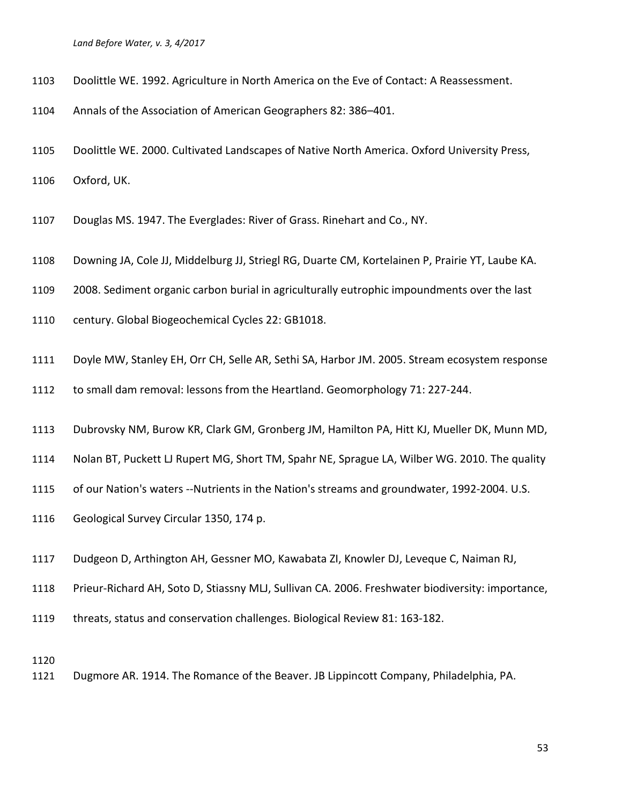- Doolittle WE. 1992. Agriculture in North America on the Eve of Contact: A Reassessment.
- Annals of the Association of American Geographers 82: 386–401.
- Doolittle WE. 2000. Cultivated Landscapes of Native North America. Oxford University Press, Oxford, UK.
- Douglas MS. 1947. The Everglades: River of Grass. Rinehart and Co., NY.
- Downing JA, Cole JJ, Middelburg JJ, Striegl RG, Duarte CM, Kortelainen P, Prairie YT, Laube KA.
- 2008. Sediment organic carbon burial in agriculturally eutrophic impoundments over the last
- century. Global Biogeochemical Cycles 22: GB1018.
- Doyle MW, Stanley EH, Orr CH, Selle AR, Sethi SA, Harbor JM. 2005. Stream ecosystem response
- to small dam removal: lessons from the Heartland. Geomorphology 71: 227-244.
- Dubrovsky NM, Burow KR, Clark GM, Gronberg JM, Hamilton PA, Hitt KJ, Mueller DK, Munn MD,
- Nolan BT, Puckett LJ Rupert MG, Short TM, Spahr NE, Sprague LA, Wilber WG. 2010. The quality
- of our Nation's waters --Nutrients in the Nation's streams and groundwater, 1992-2004. U.S.
- Geological Survey Circular 1350, 174 p.
- Dudgeon D, Arthington AH, Gessner MO, Kawabata ZI, Knowler DJ, Leveque C, Naiman RJ,
- Prieur-Richard AH, Soto D, Stiassny MLJ, Sullivan CA. 2006. Freshwater biodiversity: importance,
- threats, status and conservation challenges. Biological Review 81: 163-182.

Dugmore AR. 1914. The Romance of the Beaver. JB Lippincott Company, Philadelphia, PA.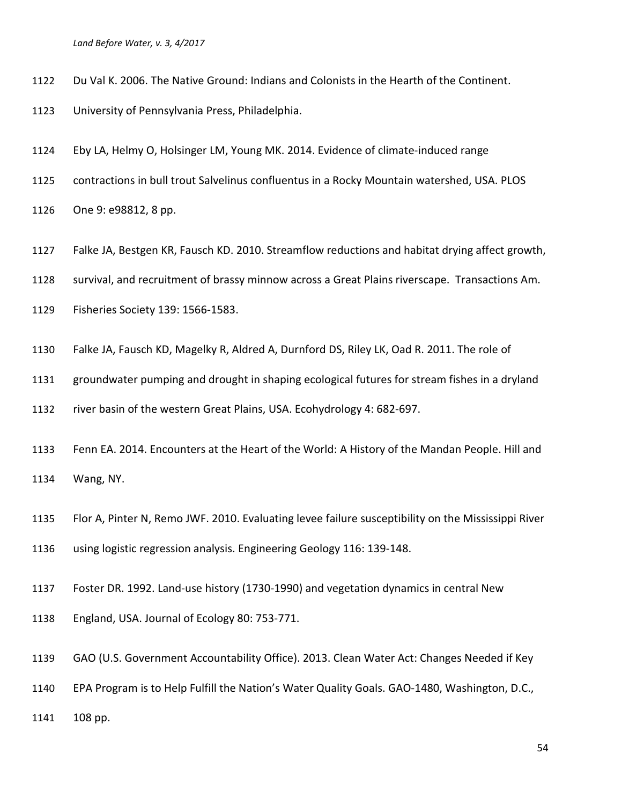- Du Val K. 2006. The Native Ground: Indians and Colonists in the Hearth of the Continent.
- University of Pennsylvania Press, Philadelphia.
- Eby LA, Helmy O, Holsinger LM, Young MK. 2014. Evidence of climate-induced range
- contractions in bull trout Salvelinus confluentus in a Rocky Mountain watershed, USA. PLOS
- One 9: e98812, 8 pp.
- Falke JA, Bestgen KR, Fausch KD. 2010. Streamflow reductions and habitat drying affect growth,
- survival, and recruitment of brassy minnow across a Great Plains riverscape. Transactions Am.
- Fisheries Society 139: 1566-1583.
- Falke JA, Fausch KD, Magelky R, Aldred A, Durnford DS, Riley LK, Oad R. 2011. The role of
- groundwater pumping and drought in shaping ecological futures for stream fishes in a dryland
- river basin of the western Great Plains, USA. Ecohydrology 4: 682-697.
- Fenn EA. 2014. Encounters at the Heart of the World: A History of the Mandan People. Hill and Wang, NY.
- Flor A, Pinter N, Remo JWF. 2010. Evaluating levee failure susceptibility on the Mississippi River using logistic regression analysis. Engineering Geology 116: 139-148.
- Foster DR. 1992. Land-use history (1730-1990) and vegetation dynamics in central New
- England, USA. Journal of Ecology 80: 753-771.
- GAO (U.S. Government Accountability Office). 2013. Clean Water Act: Changes Needed if Key
- EPA Program is to Help Fulfill the Nation's Water Quality Goals. GAO-1480, Washington, D.C.,
- 108 pp.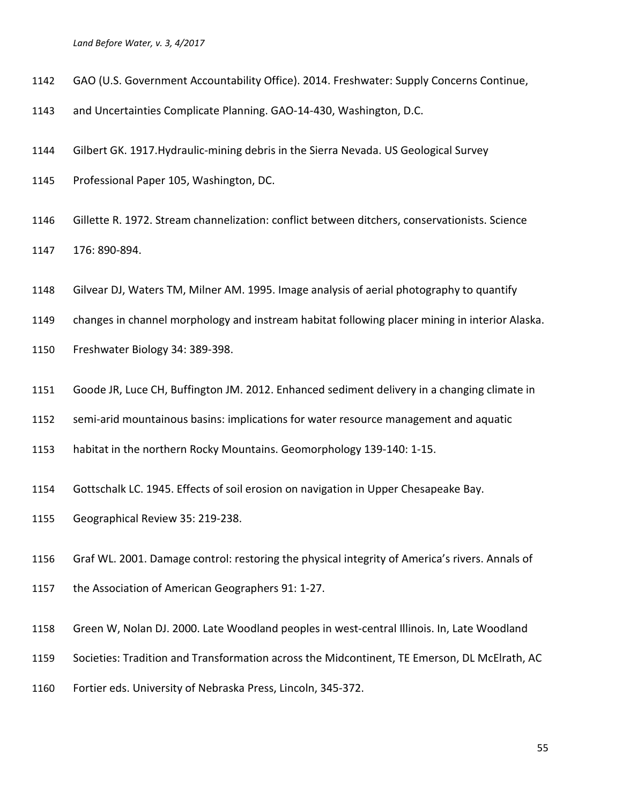- GAO (U.S. Government Accountability Office). 2014. Freshwater: Supply Concerns Continue,
- and Uncertainties Complicate Planning. GAO-14-430, Washington, D.C.
- Gilbert GK. 1917.Hydraulic-mining debris in the Sierra Nevada. US Geological Survey
- Professional Paper 105, Washington, DC.
- Gillette R. 1972. Stream channelization: conflict between ditchers, conservationists. Science 176: 890-894.
- Gilvear DJ, Waters TM, Milner AM. 1995. Image analysis of aerial photography to quantify
- changes in channel morphology and instream habitat following placer mining in interior Alaska.
- Freshwater Biology 34: 389-398.
- Goode JR, Luce CH, Buffington JM. 2012. Enhanced sediment delivery in a changing climate in
- semi-arid mountainous basins: implications for water resource management and aquatic
- habitat in the northern Rocky Mountains. Geomorphology 139-140: 1-15.
- Gottschalk LC. 1945. Effects of soil erosion on navigation in Upper Chesapeake Bay.
- Geographical Review 35: 219-238.
- Graf WL. 2001. Damage control: restoring the physical integrity of America's rivers. Annals of
- the Association of American Geographers 91: 1-27.
- Green W, Nolan DJ. 2000. Late Woodland peoples in west-central Illinois. In, Late Woodland
- Societies: Tradition and Transformation across the Midcontinent, TE Emerson, DL McElrath, AC
- Fortier eds. University of Nebraska Press, Lincoln, 345-372.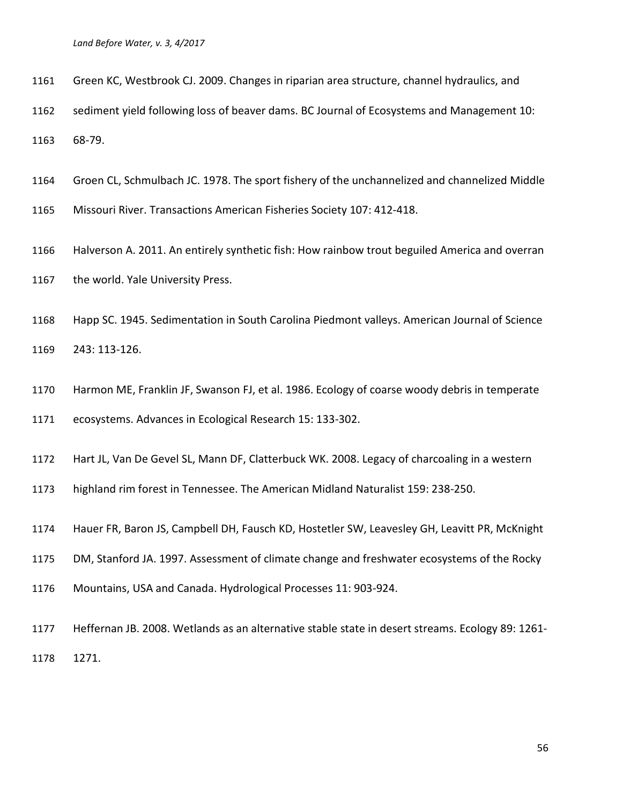- Green KC, Westbrook CJ. 2009. Changes in riparian area structure, channel hydraulics, and
- sediment yield following loss of beaver dams. BC Journal of Ecosystems and Management 10: 68-79.
- Groen CL, Schmulbach JC. 1978. The sport fishery of the unchannelized and channelized Middle
- Missouri River. Transactions American Fisheries Society 107: 412-418.
- Halverson A. 2011. An entirely synthetic fish: How rainbow trout beguiled America and overran 1167 the world. Yale University Press.
- Happ SC. 1945. Sedimentation in South Carolina Piedmont valleys. American Journal of Science 243: 113-126.
- Harmon ME, Franklin JF, Swanson FJ, et al. 1986. Ecology of coarse woody debris in temperate
- ecosystems. Advances in Ecological Research 15: 133-302.
- Hart JL, Van De Gevel SL, Mann DF, Clatterbuck WK. 2008. Legacy of charcoaling in a western
- highland rim forest in Tennessee. The American Midland Naturalist 159: 238-250.
- Hauer FR, Baron JS, Campbell DH, Fausch KD, Hostetler SW, Leavesley GH, Leavitt PR, McKnight
- DM, Stanford JA. 1997. Assessment of climate change and freshwater ecosystems of the Rocky
- Mountains, USA and Canada. Hydrological Processes 11: 903-924.
- Heffernan JB. 2008. Wetlands as an alternative stable state in desert streams. Ecology 89: 1261- 1271.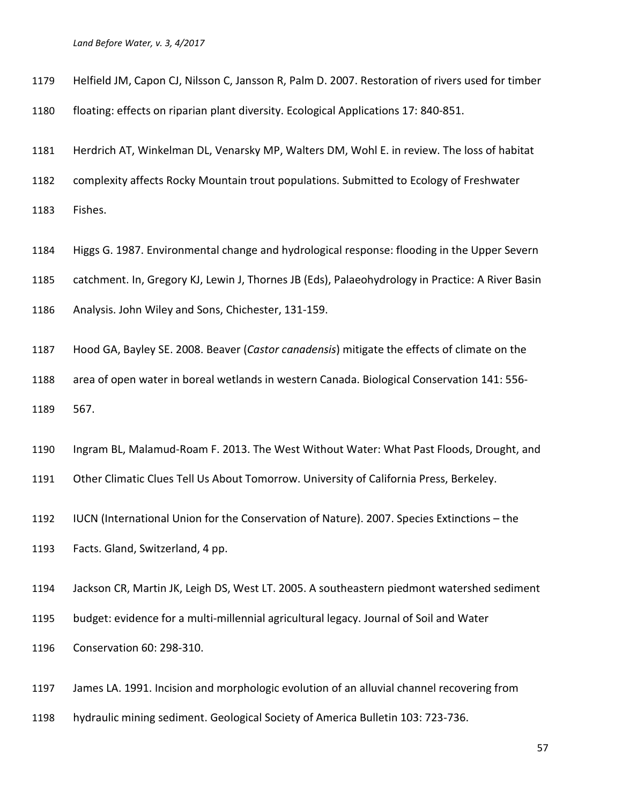- Helfield JM, Capon CJ, Nilsson C, Jansson R, Palm D. 2007. Restoration of rivers used for timber
- floating: effects on riparian plant diversity. Ecological Applications 17: 840-851.
- Herdrich AT, Winkelman DL, Venarsky MP, Walters DM, Wohl E. in review. The loss of habitat
- complexity affects Rocky Mountain trout populations. Submitted to Ecology of Freshwater
- Fishes.
- Higgs G. 1987. Environmental change and hydrological response: flooding in the Upper Severn
- catchment. In, Gregory KJ, Lewin J, Thornes JB (Eds), Palaeohydrology in Practice: A River Basin
- Analysis. John Wiley and Sons, Chichester, 131-159.
- Hood GA, Bayley SE. 2008. Beaver (*Castor canadensis*) mitigate the effects of climate on the area of open water in boreal wetlands in western Canada. Biological Conservation 141: 556- 567.
- Ingram BL, Malamud-Roam F. 2013. The West Without Water: What Past Floods, Drought, and
- Other Climatic Clues Tell Us About Tomorrow. University of California Press, Berkeley.
- IUCN (International Union for the Conservation of Nature). 2007. Species Extinctions the
- Facts. Gland, Switzerland, 4 pp.
- Jackson CR, Martin JK, Leigh DS, West LT. 2005. A southeastern piedmont watershed sediment
- budget: evidence for a multi-millennial agricultural legacy. Journal of Soil and Water
- Conservation 60: 298-310.
- James LA. 1991. Incision and morphologic evolution of an alluvial channel recovering from
- hydraulic mining sediment. Geological Society of America Bulletin 103: 723-736.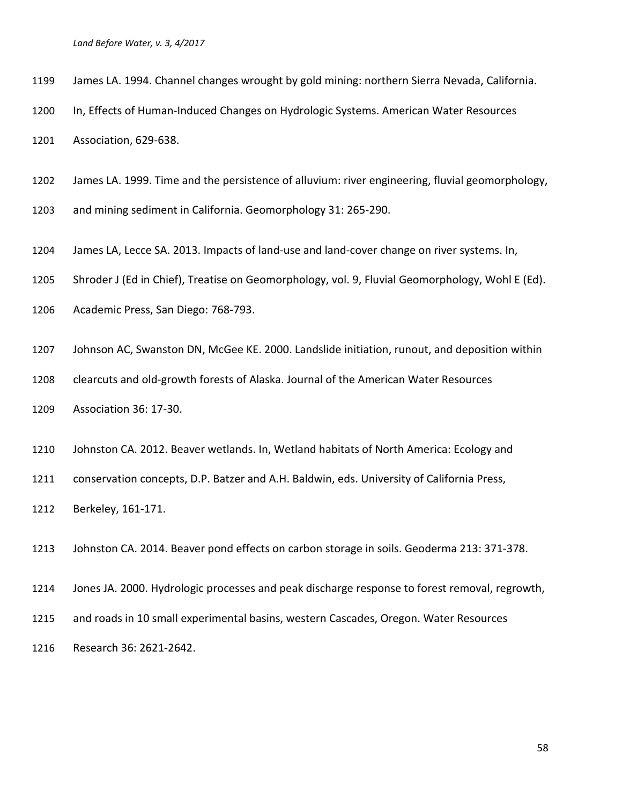- James LA. 1994. Channel changes wrought by gold mining: northern Sierra Nevada, California.
- In, Effects of Human-Induced Changes on Hydrologic Systems. American Water Resources

Association, 629-638.

- James LA. 1999. Time and the persistence of alluvium: river engineering, fluvial geomorphology,
- and mining sediment in California. Geomorphology 31: 265-290.
- James LA, Lecce SA. 2013. Impacts of land-use and land-cover change on river systems. In,
- Shroder J (Ed in Chief), Treatise on Geomorphology, vol. 9, Fluvial Geomorphology, Wohl E (Ed).
- Academic Press, San Diego: 768-793.
- Johnson AC, Swanston DN, McGee KE. 2000. Landslide initiation, runout, and deposition within
- clearcuts and old-growth forests of Alaska. Journal of the American Water Resources
- Association 36: 17-30.
- Johnston CA. 2012. Beaver wetlands. In, Wetland habitats of North America: Ecology and
- conservation concepts, D.P. Batzer and A.H. Baldwin, eds. University of California Press,
- Berkeley, 161-171.

Johnston CA. 2014. Beaver pond effects on carbon storage in soils. Geoderma 213: 371-378.

- Jones JA. 2000. Hydrologic processes and peak discharge response to forest removal, regrowth,
- and roads in 10 small experimental basins, western Cascades, Oregon. Water Resources
- Research 36: 2621-2642.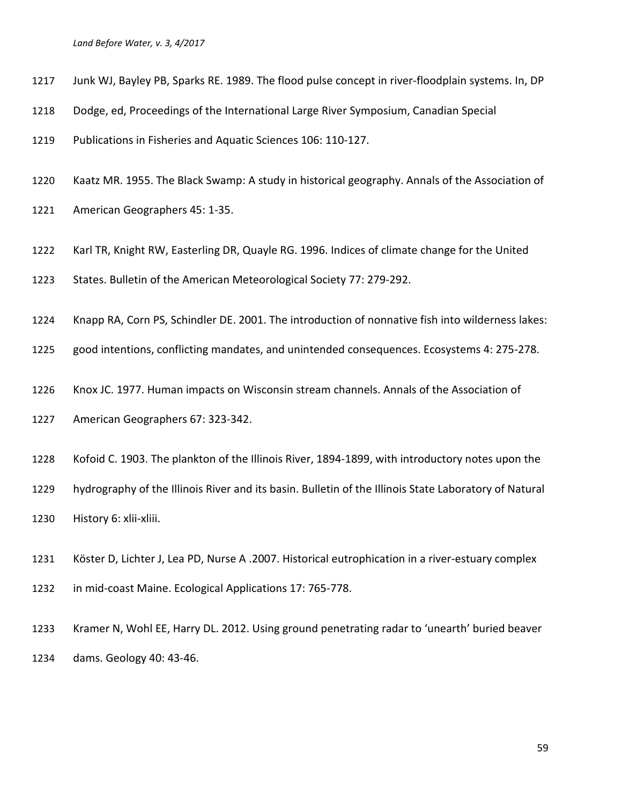- Junk WJ, Bayley PB, Sparks RE. 1989. The flood pulse concept in river-floodplain systems. In, DP
- Dodge, ed, Proceedings of the International Large River Symposium, Canadian Special
- Publications in Fisheries and Aquatic Sciences 106: 110-127.
- Kaatz MR. 1955. The Black Swamp: A study in historical geography. Annals of the Association of
- American Geographers 45: 1-35.
- Karl TR, Knight RW, Easterling DR, Quayle RG. 1996. Indices of climate change for the United
- States. Bulletin of the American Meteorological Society 77: 279-292.
- Knapp RA, Corn PS, Schindler DE. 2001. The introduction of nonnative fish into wilderness lakes:
- good intentions, conflicting mandates, and unintended consequences. Ecosystems 4: 275-278.
- Knox JC. 1977. Human impacts on Wisconsin stream channels. Annals of the Association of
- American Geographers 67: 323-342.
- Kofoid C. 1903. The plankton of the Illinois River, 1894-1899, with introductory notes upon the
- hydrography of the Illinois River and its basin. Bulletin of the Illinois State Laboratory of Natural History 6: xlii-xliii.
- Köster D, Lichter J, Lea PD, Nurse A .2007. Historical eutrophication in a river-estuary complex
- in mid-coast Maine. Ecological Applications 17: 765-778.
- Kramer N, Wohl EE, Harry DL. 2012. Using ground penetrating radar to 'unearth' buried beaver dams. Geology 40: 43-46.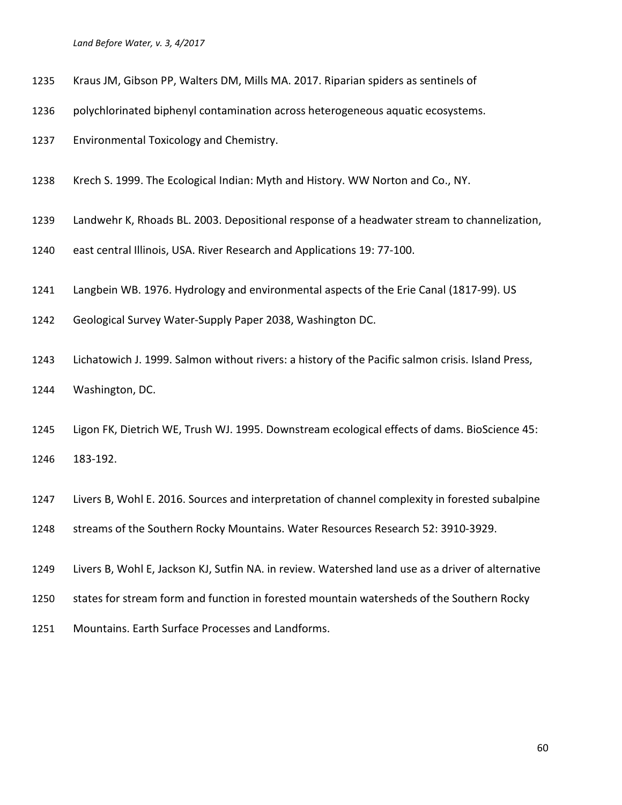- Kraus JM, Gibson PP, Walters DM, Mills MA. 2017. Riparian spiders as sentinels of
- polychlorinated biphenyl contamination across heterogeneous aquatic ecosystems.
- Environmental Toxicology and Chemistry.
- Krech S. 1999. The Ecological Indian: Myth and History. WW Norton and Co., NY.
- Landwehr K, Rhoads BL. 2003. Depositional response of a headwater stream to channelization,
- east central Illinois, USA. River Research and Applications 19: 77-100.
- Langbein WB. 1976. Hydrology and environmental aspects of the Erie Canal (1817-99). US
- Geological Survey Water-Supply Paper 2038, Washington DC.
- Lichatowich J. 1999. Salmon without rivers: a history of the Pacific salmon crisis. Island Press,
- Washington, DC.
- Ligon FK, Dietrich WE, Trush WJ. 1995. Downstream ecological effects of dams. BioScience 45: 183-192.
- Livers B, Wohl E. 2016. Sources and interpretation of channel complexity in forested subalpine
- streams of the Southern Rocky Mountains. Water Resources Research 52: 3910-3929.
- Livers B, Wohl E, Jackson KJ, Sutfin NA. in review. Watershed land use as a driver of alternative
- states for stream form and function in forested mountain watersheds of the Southern Rocky
- Mountains. Earth Surface Processes and Landforms.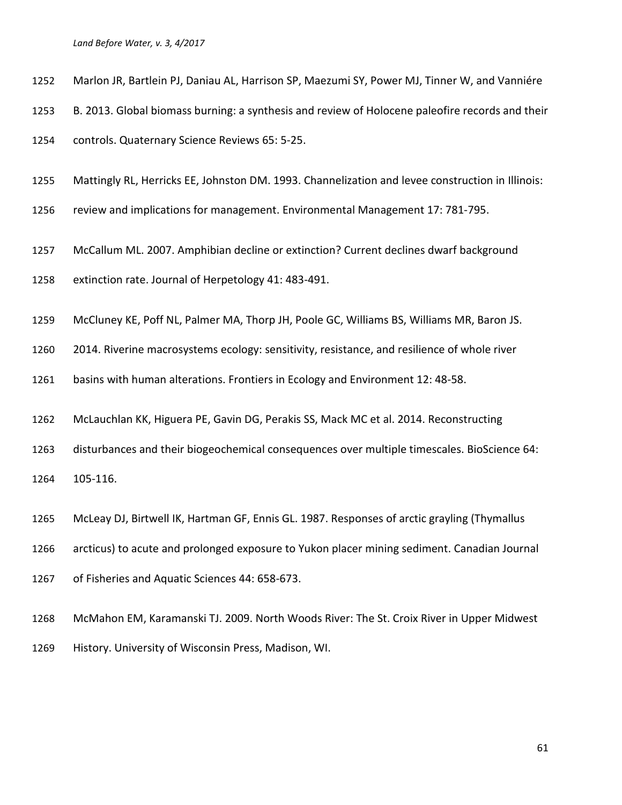- Marlon JR, Bartlein PJ, Daniau AL, Harrison SP, Maezumi SY, Power MJ, Tinner W, and Vanniére
- B. 2013. Global biomass burning: a synthesis and review of Holocene paleofire records and their
- controls. Quaternary Science Reviews 65: 5-25.
- Mattingly RL, Herricks EE, Johnston DM. 1993. Channelization and levee construction in Illinois:
- review and implications for management. Environmental Management 17: 781-795.
- McCallum ML. 2007. Amphibian decline or extinction? Current declines dwarf background
- extinction rate. Journal of Herpetology 41: 483-491.
- McCluney KE, Poff NL, Palmer MA, Thorp JH, Poole GC, Williams BS, Williams MR, Baron JS.
- 2014. Riverine macrosystems ecology: sensitivity, resistance, and resilience of whole river

basins with human alterations. Frontiers in Ecology and Environment 12: 48-58.

- McLauchlan KK, Higuera PE, Gavin DG, Perakis SS, Mack MC et al. 2014. Reconstructing
- disturbances and their biogeochemical consequences over multiple timescales. BioScience 64:
- 105-116.
- McLeay DJ, Birtwell IK, Hartman GF, Ennis GL. 1987. Responses of arctic grayling (Thymallus
- arcticus) to acute and prolonged exposure to Yukon placer mining sediment. Canadian Journal
- of Fisheries and Aquatic Sciences 44: 658-673.
- McMahon EM, Karamanski TJ. 2009. North Woods River: The St. Croix River in Upper Midwest History. University of Wisconsin Press, Madison, WI.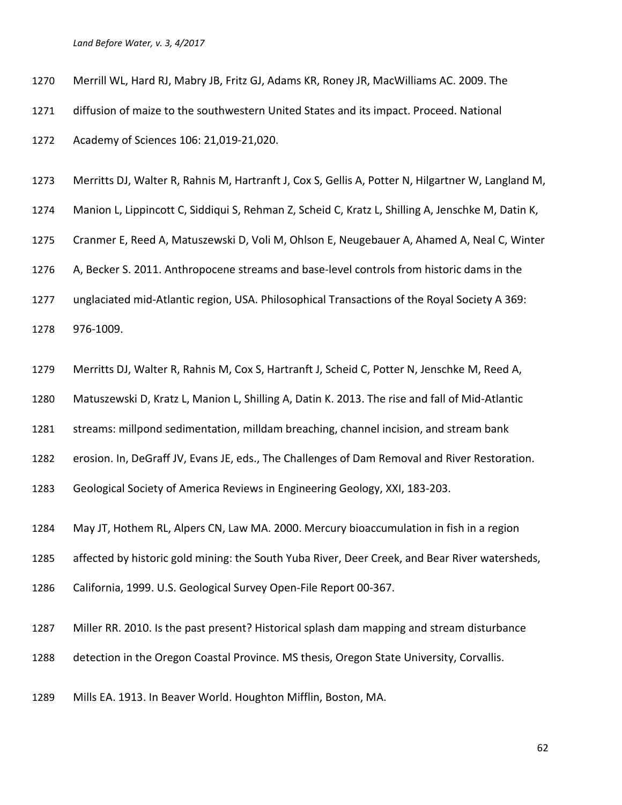- Merrill WL, Hard RJ, Mabry JB, Fritz GJ, Adams KR, Roney JR, MacWilliams AC. 2009. The
- diffusion of maize to the southwestern United States and its impact. Proceed. National

Academy of Sciences 106: 21,019-21,020.

- Merritts DJ, Walter R, Rahnis M, Hartranft J, Cox S, Gellis A, Potter N, Hilgartner W, Langland M,
- Manion L, Lippincott C, Siddiqui S, Rehman Z, Scheid C, Kratz L, Shilling A, Jenschke M, Datin K,
- Cranmer E, Reed A, Matuszewski D, Voli M, Ohlson E, Neugebauer A, Ahamed A, Neal C, Winter

A, Becker S. 2011. Anthropocene streams and base-level controls from historic dams in the

unglaciated mid-Atlantic region, USA. Philosophical Transactions of the Royal Society A 369:

976-1009.

Merritts DJ, Walter R, Rahnis M, Cox S, Hartranft J, Scheid C, Potter N, Jenschke M, Reed A,

Matuszewski D, Kratz L, Manion L, Shilling A, Datin K. 2013. The rise and fall of Mid-Atlantic

- streams: millpond sedimentation, milldam breaching, channel incision, and stream bank
- erosion. In, DeGraff JV, Evans JE, eds., The Challenges of Dam Removal and River Restoration.
- Geological Society of America Reviews in Engineering Geology, XXI, 183-203.
- May JT, Hothem RL, Alpers CN, Law MA. 2000. Mercury bioaccumulation in fish in a region
- affected by historic gold mining: the South Yuba River, Deer Creek, and Bear River watersheds,
- California, 1999. U.S. Geological Survey Open-File Report 00-367.
- Miller RR. 2010. Is the past present? Historical splash dam mapping and stream disturbance
- detection in the Oregon Coastal Province. MS thesis, Oregon State University, Corvallis.
- Mills EA. 1913. In Beaver World. Houghton Mifflin, Boston, MA.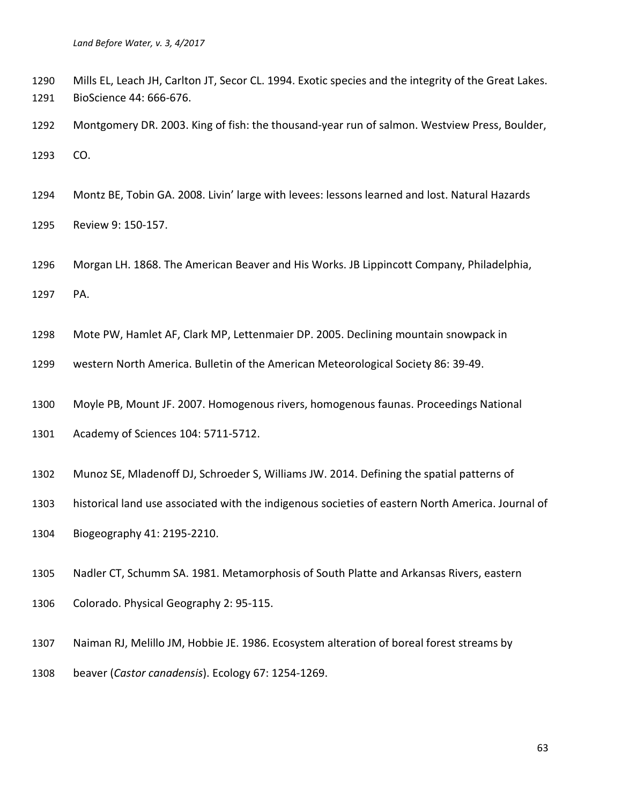Mills EL, Leach JH, Carlton JT, Secor CL. 1994. Exotic species and the integrity of the Great Lakes. BioScience 44: 666-676.

 Montgomery DR. 2003. King of fish: the thousand-year run of salmon. Westview Press, Boulder, CO.

Montz BE, Tobin GA. 2008. Livin' large with levees: lessons learned and lost. Natural Hazards

Review 9: 150-157.

 Morgan LH. 1868. The American Beaver and His Works. JB Lippincott Company, Philadelphia, PA.

Mote PW, Hamlet AF, Clark MP, Lettenmaier DP. 2005. Declining mountain snowpack in

western North America. Bulletin of the American Meteorological Society 86: 39-49.

Moyle PB, Mount JF. 2007. Homogenous rivers, homogenous faunas. Proceedings National

Academy of Sciences 104: 5711-5712.

Munoz SE, Mladenoff DJ, Schroeder S, Williams JW. 2014. Defining the spatial patterns of

historical land use associated with the indigenous societies of eastern North America. Journal of

Biogeography 41: 2195-2210.

Nadler CT, Schumm SA. 1981. Metamorphosis of South Platte and Arkansas Rivers, eastern

Colorado. Physical Geography 2: 95-115.

 Naiman RJ, Melillo JM, Hobbie JE. 1986. Ecosystem alteration of boreal forest streams by beaver (*Castor canadensis*). Ecology 67: 1254-1269.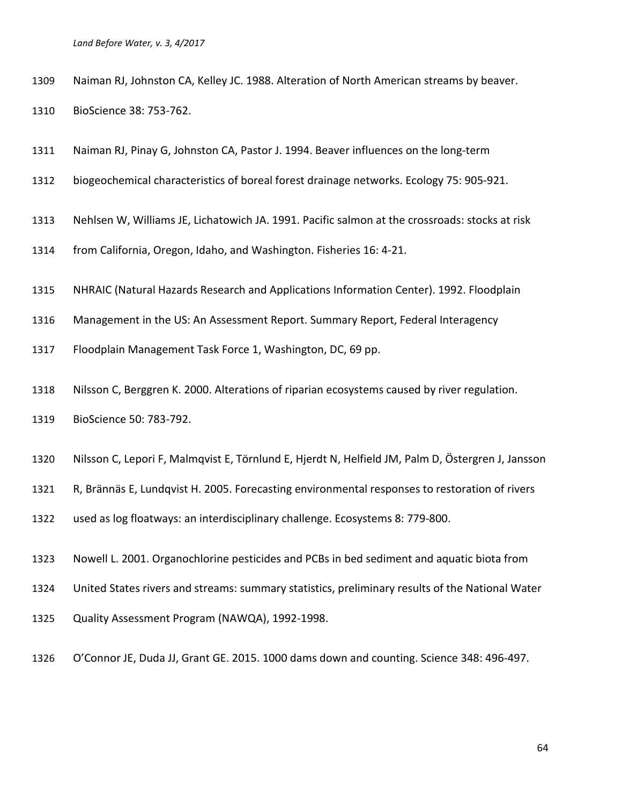| 1309 |  |  |  | Naiman RJ, Johnston CA, Kelley JC. 1988. Alteration of North American streams by beaver. |
|------|--|--|--|------------------------------------------------------------------------------------------|
|------|--|--|--|------------------------------------------------------------------------------------------|

BioScience 38: 753-762.

- Naiman RJ, Pinay G, Johnston CA, Pastor J. 1994. Beaver influences on the long-term
- biogeochemical characteristics of boreal forest drainage networks. Ecology 75: 905-921.
- Nehlsen W, Williams JE, Lichatowich JA. 1991. Pacific salmon at the crossroads: stocks at risk
- from California, Oregon, Idaho, and Washington. Fisheries 16: 4-21.
- NHRAIC (Natural Hazards Research and Applications Information Center). 1992. Floodplain
- Management in the US: An Assessment Report. Summary Report, Federal Interagency
- Floodplain Management Task Force 1, Washington, DC, 69 pp.
- Nilsson C, Berggren K. 2000. Alterations of riparian ecosystems caused by river regulation.
- BioScience 50: 783-792.
- Nilsson C, Lepori F, Malmqvist E, Törnlund E, Hjerdt N, Helfield JM, Palm D, Östergren J, Jansson
- R, Brännäs E, Lundqvist H. 2005. Forecasting environmental responses to restoration of rivers

used as log floatways: an interdisciplinary challenge. Ecosystems 8: 779-800.

- Nowell L. 2001. Organochlorine pesticides and PCBs in bed sediment and aquatic biota from
- United States rivers and streams: summary statistics, preliminary results of the National Water
- Quality Assessment Program (NAWQA), 1992-1998.
- O'Connor JE, Duda JJ, Grant GE. 2015. 1000 dams down and counting. Science 348: 496-497.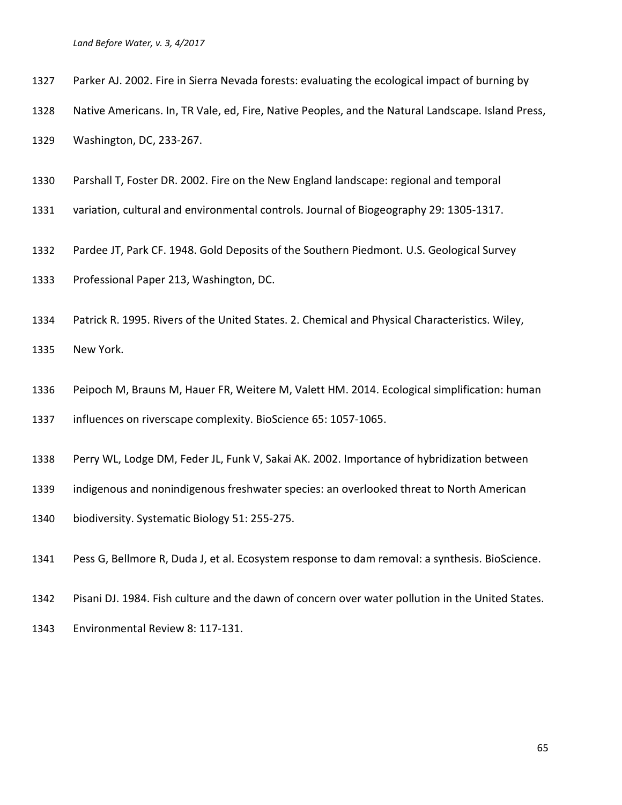- Parker AJ. 2002. Fire in Sierra Nevada forests: evaluating the ecological impact of burning by
- Native Americans. In, TR Vale, ed, Fire, Native Peoples, and the Natural Landscape. Island Press,
- Washington, DC, 233-267.
- Parshall T, Foster DR. 2002. Fire on the New England landscape: regional and temporal
- variation, cultural and environmental controls. Journal of Biogeography 29: 1305-1317.
- Pardee JT, Park CF. 1948. Gold Deposits of the Southern Piedmont. U.S. Geological Survey
- Professional Paper 213, Washington, DC.
- Patrick R. 1995. Rivers of the United States. 2. Chemical and Physical Characteristics. Wiley,

New York.

- Peipoch M, Brauns M, Hauer FR, Weitere M, Valett HM. 2014. Ecological simplification: human influences on riverscape complexity. BioScience 65: 1057-1065.
- Perry WL, Lodge DM, Feder JL, Funk V, Sakai AK. 2002. Importance of hybridization between
- indigenous and nonindigenous freshwater species: an overlooked threat to North American
- biodiversity. Systematic Biology 51: 255-275.
- Pess G, Bellmore R, Duda J, et al. Ecosystem response to dam removal: a synthesis. BioScience.
- Pisani DJ. 1984. Fish culture and the dawn of concern over water pollution in the United States.
- Environmental Review 8: 117-131.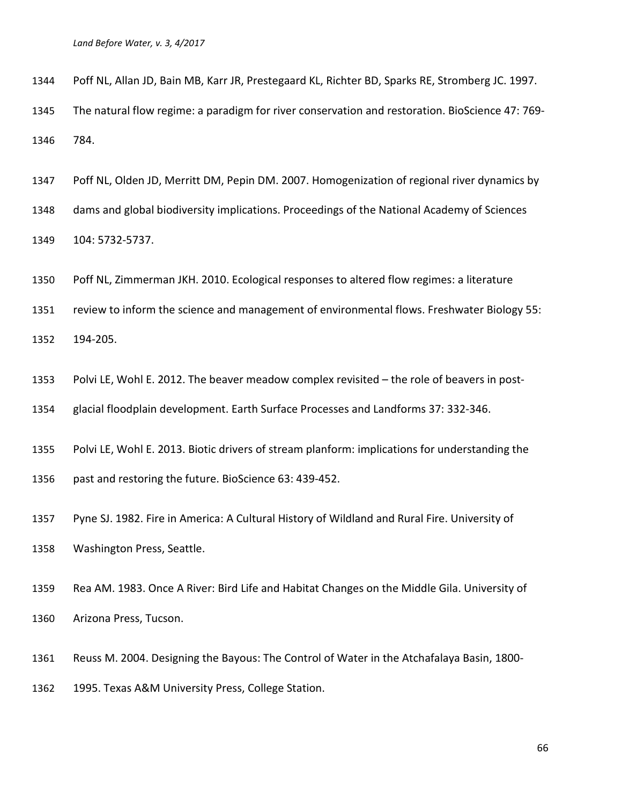Poff NL, Allan JD, Bain MB, Karr JR, Prestegaard KL, Richter BD, Sparks RE, Stromberg JC. 1997.

 The natural flow regime: a paradigm for river conservation and restoration. BioScience 47: 769- 784.

Poff NL, Olden JD, Merritt DM, Pepin DM. 2007. Homogenization of regional river dynamics by

dams and global biodiversity implications. Proceedings of the National Academy of Sciences

104: 5732-5737.

Poff NL, Zimmerman JKH. 2010. Ecological responses to altered flow regimes: a literature

review to inform the science and management of environmental flows. Freshwater Biology 55:

194-205.

Polvi LE, Wohl E. 2012. The beaver meadow complex revisited – the role of beavers in post-

glacial floodplain development. Earth Surface Processes and Landforms 37: 332-346.

Polvi LE, Wohl E. 2013. Biotic drivers of stream planform: implications for understanding the

past and restoring the future. BioScience 63: 439-452.

 Pyne SJ. 1982. Fire in America: A Cultural History of Wildland and Rural Fire. University of Washington Press, Seattle.

 Rea AM. 1983. Once A River: Bird Life and Habitat Changes on the Middle Gila. University of Arizona Press, Tucson.

 Reuss M. 2004. Designing the Bayous: The Control of Water in the Atchafalaya Basin, 1800- 1995. Texas A&M University Press, College Station.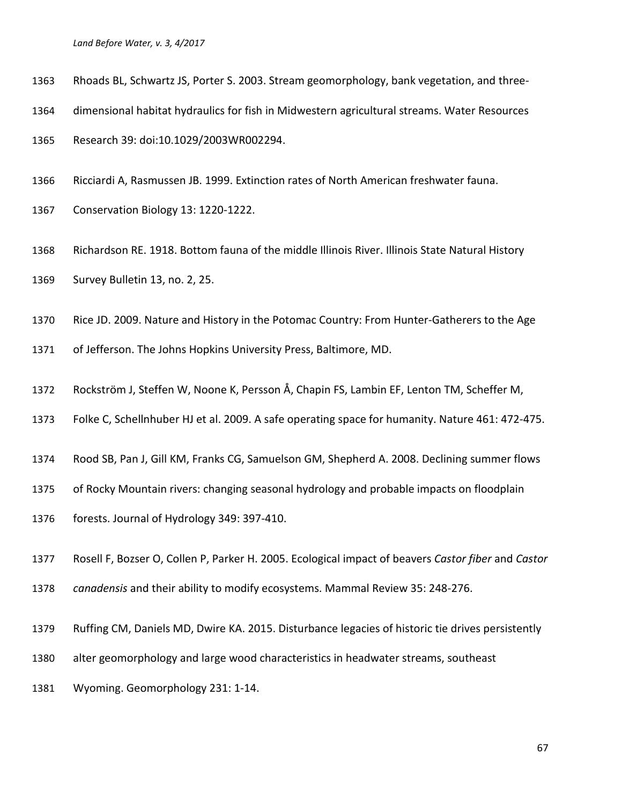- Rhoads BL, Schwartz JS, Porter S. 2003. Stream geomorphology, bank vegetation, and three-
- dimensional habitat hydraulics for fish in Midwestern agricultural streams. Water Resources

Research 39: doi:10.1029/2003WR002294.

Ricciardi A, Rasmussen JB. 1999. Extinction rates of North American freshwater fauna.

Conservation Biology 13: 1220-1222.

- Richardson RE. 1918. Bottom fauna of the middle Illinois River. Illinois State Natural History Survey Bulletin 13, no. 2, 25.
- Rice JD. 2009. Nature and History in the Potomac Country: From Hunter-Gatherers to the Age
- of Jefferson. The Johns Hopkins University Press, Baltimore, MD.
- Rockström J, Steffen W, Noone K, Persson Å, Chapin FS, Lambin EF, Lenton TM, Scheffer M,
- Folke C, Schellnhuber HJ et al. 2009. A safe operating space for humanity. Nature 461: 472-475.
- Rood SB, Pan J, Gill KM, Franks CG, Samuelson GM, Shepherd A. 2008. Declining summer flows
- of Rocky Mountain rivers: changing seasonal hydrology and probable impacts on floodplain
- forests. Journal of Hydrology 349: 397-410.
- Rosell F, Bozser O, Collen P, Parker H. 2005. Ecological impact of beavers *Castor fiber* and *Castor*
- *canadensis* and their ability to modify ecosystems. Mammal Review 35: 248-276.
- Ruffing CM, Daniels MD, Dwire KA. 2015. Disturbance legacies of historic tie drives persistently
- alter geomorphology and large wood characteristics in headwater streams, southeast
- Wyoming. Geomorphology 231: 1-14.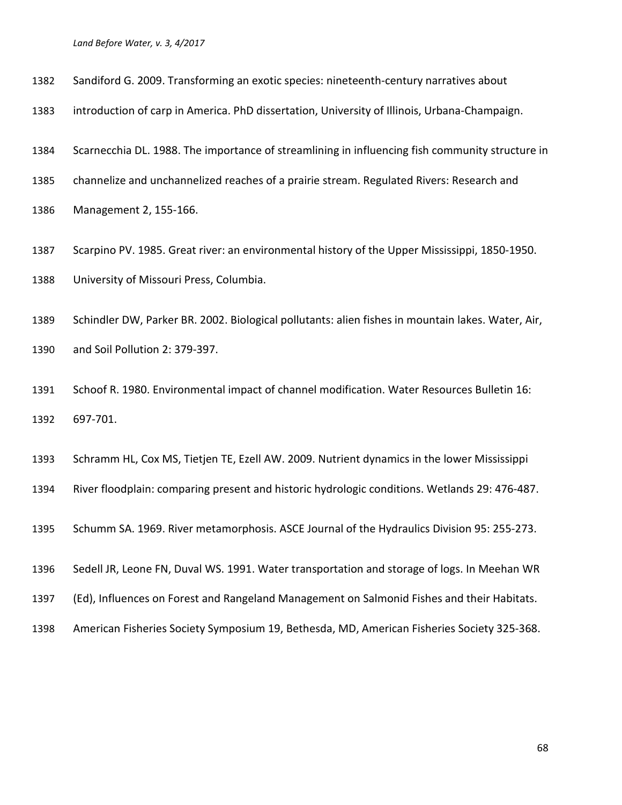| 1382 | Sandiford G. 2009. Transforming an exotic species: nineteenth-century narratives about |  |  |  |  |
|------|----------------------------------------------------------------------------------------|--|--|--|--|
|------|----------------------------------------------------------------------------------------|--|--|--|--|

introduction of carp in America. PhD dissertation, University of Illinois, Urbana-Champaign.

Scarnecchia DL. 1988. The importance of streamlining in influencing fish community structure in

- channelize and unchannelized reaches of a prairie stream. Regulated Rivers: Research and
- Management 2, 155-166.
- Scarpino PV. 1985. Great river: an environmental history of the Upper Mississippi, 1850-1950. University of Missouri Press, Columbia.
- Schindler DW, Parker BR. 2002. Biological pollutants: alien fishes in mountain lakes. Water, Air, and Soil Pollution 2: 379-397.
- Schoof R. 1980. Environmental impact of channel modification. Water Resources Bulletin 16: 697-701.
- Schramm HL, Cox MS, Tietjen TE, Ezell AW. 2009. Nutrient dynamics in the lower Mississippi
- River floodplain: comparing present and historic hydrologic conditions. Wetlands 29: 476-487.
- Schumm SA. 1969. River metamorphosis. ASCE Journal of the Hydraulics Division 95: 255-273.
- Sedell JR, Leone FN, Duval WS. 1991. Water transportation and storage of logs. In Meehan WR
- (Ed), Influences on Forest and Rangeland Management on Salmonid Fishes and their Habitats.
- American Fisheries Society Symposium 19, Bethesda, MD, American Fisheries Society 325-368.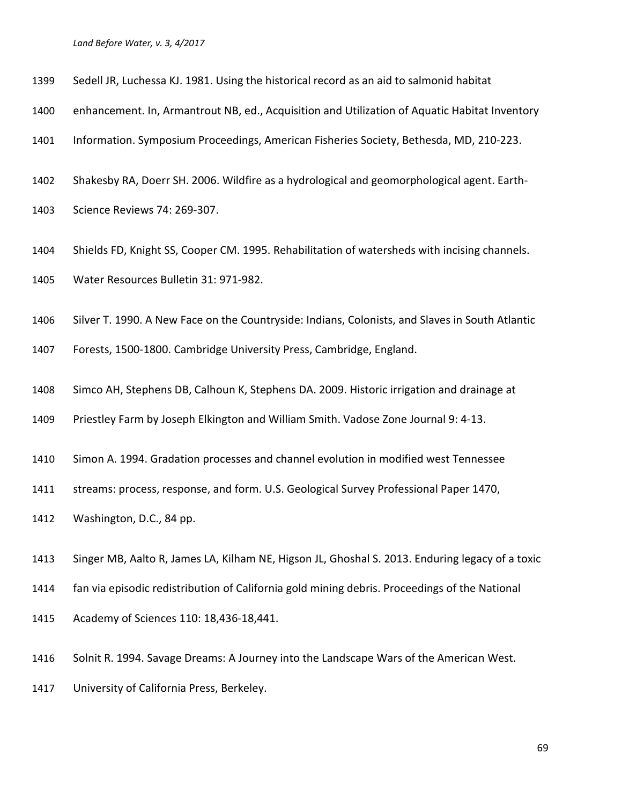- Sedell JR, Luchessa KJ. 1981. Using the historical record as an aid to salmonid habitat
- enhancement. In, Armantrout NB, ed., Acquisition and Utilization of Aquatic Habitat Inventory
- Information. Symposium Proceedings, American Fisheries Society, Bethesda, MD, 210-223.
- Shakesby RA, Doerr SH. 2006. Wildfire as a hydrological and geomorphological agent. Earth-
- Science Reviews 74: 269-307.
- Shields FD, Knight SS, Cooper CM. 1995. Rehabilitation of watersheds with incising channels.
- Water Resources Bulletin 31: 971-982.
- Silver T. 1990. A New Face on the Countryside: Indians, Colonists, and Slaves in South Atlantic
- Forests, 1500-1800. Cambridge University Press, Cambridge, England.
- Simco AH, Stephens DB, Calhoun K, Stephens DA. 2009. Historic irrigation and drainage at
- Priestley Farm by Joseph Elkington and William Smith. Vadose Zone Journal 9: 4-13.
- Simon A. 1994. Gradation processes and channel evolution in modified west Tennessee
- streams: process, response, and form. U.S. Geological Survey Professional Paper 1470,
- Washington, D.C., 84 pp.
- Singer MB, Aalto R, James LA, Kilham NE, Higson JL, Ghoshal S. 2013. Enduring legacy of a toxic
- fan via episodic redistribution of California gold mining debris. Proceedings of the National
- Academy of Sciences 110: 18,436-18,441.
- Solnit R. 1994. Savage Dreams: A Journey into the Landscape Wars of the American West.
- University of California Press, Berkeley.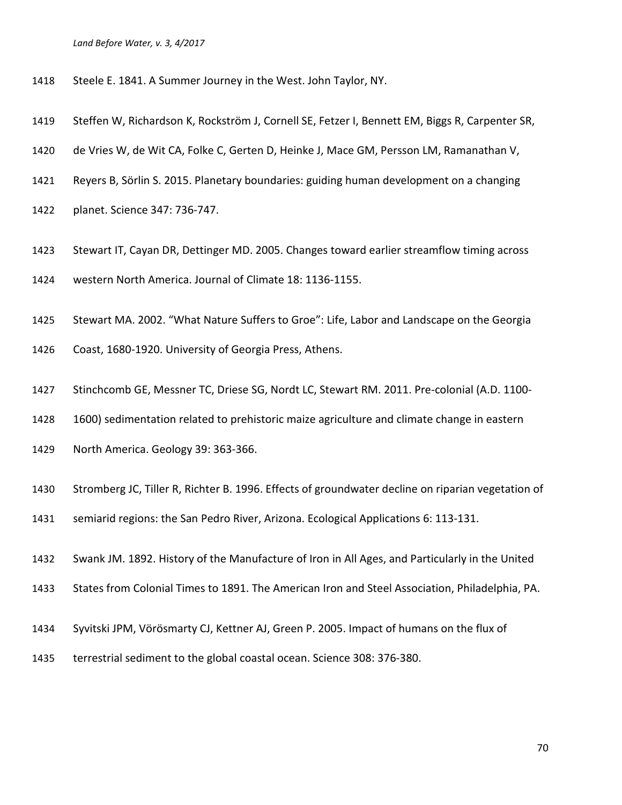- Steele E. 1841. A Summer Journey in the West. John Taylor, NY.
- Steffen W, Richardson K, Rockström J, Cornell SE, Fetzer I, Bennett EM, Biggs R, Carpenter SR,
- de Vries W, de Wit CA, Folke C, Gerten D, Heinke J, Mace GM, Persson LM, Ramanathan V,
- Reyers B, Sörlin S. 2015. Planetary boundaries: guiding human development on a changing
- planet. Science 347: 736-747.
- Stewart IT, Cayan DR, Dettinger MD. 2005. Changes toward earlier streamflow timing across
- western North America. Journal of Climate 18: 1136-1155.
- Stewart MA. 2002. "What Nature Suffers to Groe": Life, Labor and Landscape on the Georgia
- Coast, 1680-1920. University of Georgia Press, Athens.
- Stinchcomb GE, Messner TC, Driese SG, Nordt LC, Stewart RM. 2011. Pre-colonial (A.D. 1100-
- 1600) sedimentation related to prehistoric maize agriculture and climate change in eastern
- North America. Geology 39: 363-366.
- Stromberg JC, Tiller R, Richter B. 1996. Effects of groundwater decline on riparian vegetation of
- semiarid regions: the San Pedro River, Arizona. Ecological Applications 6: 113-131.
- Swank JM. 1892. History of the Manufacture of Iron in All Ages, and Particularly in the United
- States from Colonial Times to 1891. The American Iron and Steel Association, Philadelphia, PA.
- Syvitski JPM, Vörösmarty CJ, Kettner AJ, Green P. 2005. Impact of humans on the flux of
- terrestrial sediment to the global coastal ocean. Science 308: 376-380.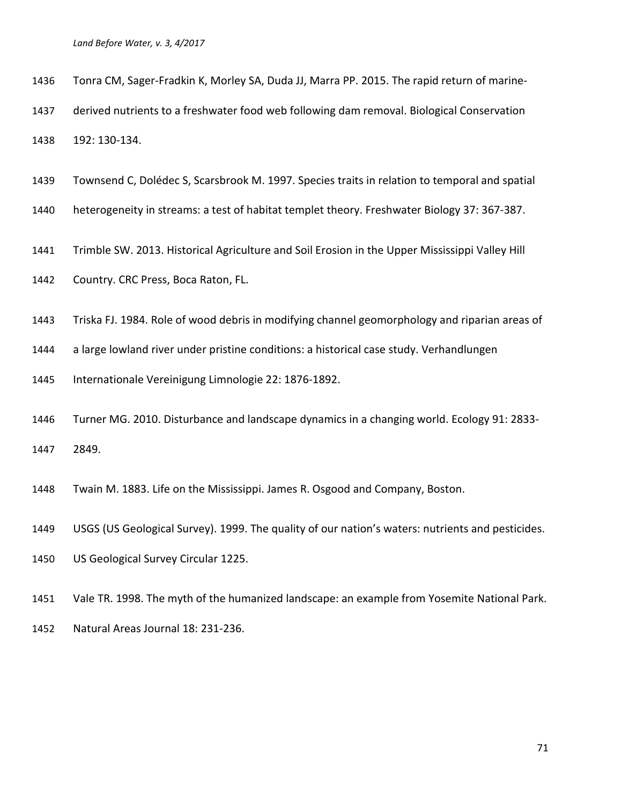Tonra CM, Sager-Fradkin K, Morley SA, Duda JJ, Marra PP. 2015. The rapid return of marine-

derived nutrients to a freshwater food web following dam removal. Biological Conservation

192: 130-134.

Townsend C, Dolédec S, Scarsbrook M. 1997. Species traits in relation to temporal and spatial

heterogeneity in streams: a test of habitat templet theory. Freshwater Biology 37: 367-387.

Trimble SW. 2013. Historical Agriculture and Soil Erosion in the Upper Mississippi Valley Hill

Country. CRC Press, Boca Raton, FL.

Triska FJ. 1984. Role of wood debris in modifying channel geomorphology and riparian areas of

a large lowland river under pristine conditions: a historical case study. Verhandlungen

Internationale Vereinigung Limnologie 22: 1876-1892.

 Turner MG. 2010. Disturbance and landscape dynamics in a changing world. Ecology 91: 2833- 2849.

Twain M. 1883. Life on the Mississippi. James R. Osgood and Company, Boston.

USGS (US Geological Survey). 1999. The quality of our nation's waters: nutrients and pesticides.

US Geological Survey Circular 1225.

Vale TR. 1998. The myth of the humanized landscape: an example from Yosemite National Park.

Natural Areas Journal 18: 231-236.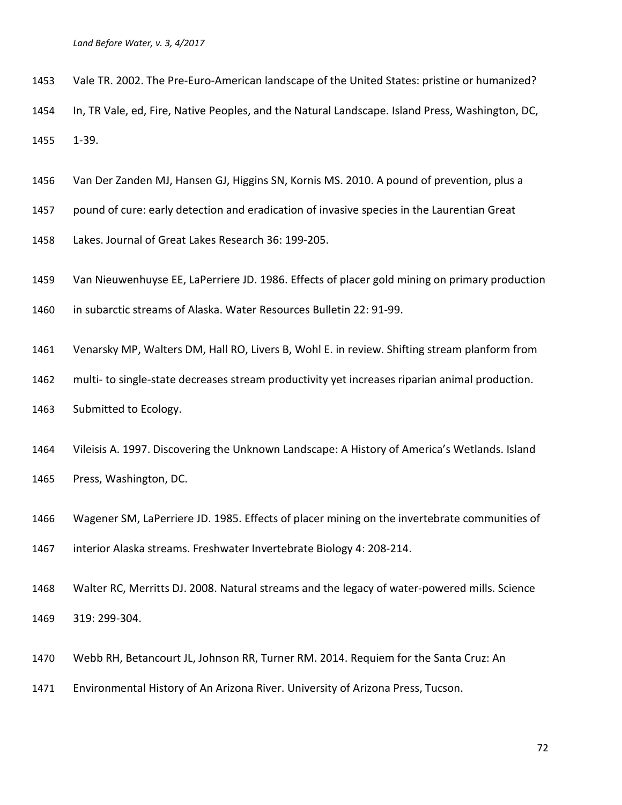- Vale TR. 2002. The Pre-Euro-American landscape of the United States: pristine or humanized?
- In, TR Vale, ed, Fire, Native Peoples, and the Natural Landscape. Island Press, Washington, DC, 1-39.
- Van Der Zanden MJ, Hansen GJ, Higgins SN, Kornis MS. 2010. A pound of prevention, plus a
- pound of cure: early detection and eradication of invasive species in the Laurentian Great
- Lakes. Journal of Great Lakes Research 36: 199-205.
- Van Nieuwenhuyse EE, LaPerriere JD. 1986. Effects of placer gold mining on primary production

in subarctic streams of Alaska. Water Resources Bulletin 22: 91-99.

- Venarsky MP, Walters DM, Hall RO, Livers B, Wohl E. in review. Shifting stream planform from
- multi- to single-state decreases stream productivity yet increases riparian animal production.
- Submitted to Ecology.
- Vileisis A. 1997. Discovering the Unknown Landscape: A History of America's Wetlands. Island Press, Washington, DC.
- Wagener SM, LaPerriere JD. 1985. Effects of placer mining on the invertebrate communities of interior Alaska streams. Freshwater Invertebrate Biology 4: 208-214.
- Walter RC, Merritts DJ. 2008. Natural streams and the legacy of water-powered mills. Science 319: 299-304.
- Webb RH, Betancourt JL, Johnson RR, Turner RM. 2014. Requiem for the Santa Cruz: An
- Environmental History of An Arizona River. University of Arizona Press, Tucson.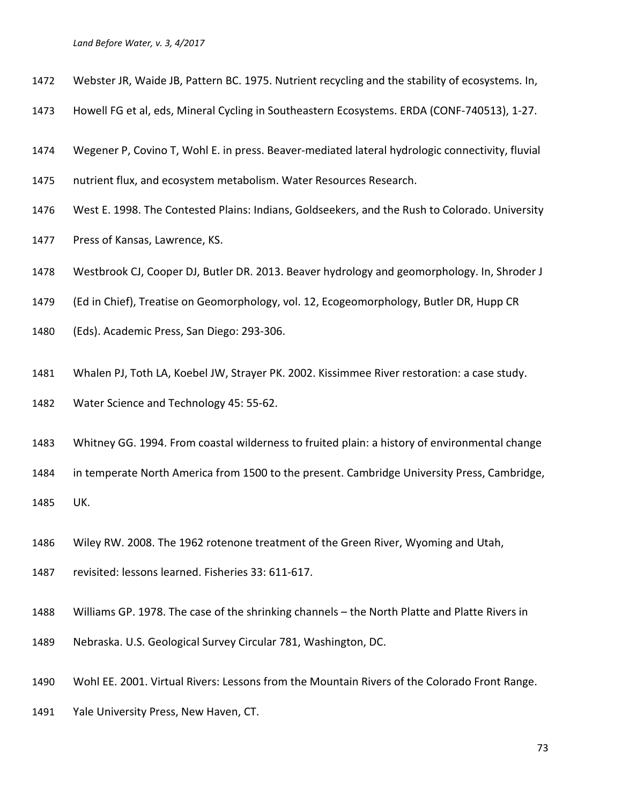- Webster JR, Waide JB, Pattern BC. 1975. Nutrient recycling and the stability of ecosystems. In,
- Howell FG et al, eds, Mineral Cycling in Southeastern Ecosystems. ERDA (CONF-740513), 1-27.
- Wegener P, Covino T, Wohl E. in press. Beaver-mediated lateral hydrologic connectivity, fluvial
- nutrient flux, and ecosystem metabolism. Water Resources Research.
- West E. 1998. The Contested Plains: Indians, Goldseekers, and the Rush to Colorado. University
- Press of Kansas, Lawrence, KS.
- Westbrook CJ, Cooper DJ, Butler DR. 2013. Beaver hydrology and geomorphology. In, Shroder J
- (Ed in Chief), Treatise on Geomorphology, vol. 12, Ecogeomorphology, Butler DR, Hupp CR
- (Eds). Academic Press, San Diego: 293-306.
- Whalen PJ, Toth LA, Koebel JW, Strayer PK. 2002. Kissimmee River restoration: a case study.
- Water Science and Technology 45: 55-62.
- Whitney GG. 1994. From coastal wilderness to fruited plain: a history of environmental change
- in temperate North America from 1500 to the present. Cambridge University Press, Cambridge,

UK.

- Wiley RW. 2008. The 1962 rotenone treatment of the Green River, Wyoming and Utah,
- revisited: lessons learned. Fisheries 33: 611-617.
- Williams GP. 1978. The case of the shrinking channels the North Platte and Platte Rivers in
- Nebraska. U.S. Geological Survey Circular 781, Washington, DC.
- Wohl EE. 2001. Virtual Rivers: Lessons from the Mountain Rivers of the Colorado Front Range.
- Yale University Press, New Haven, CT.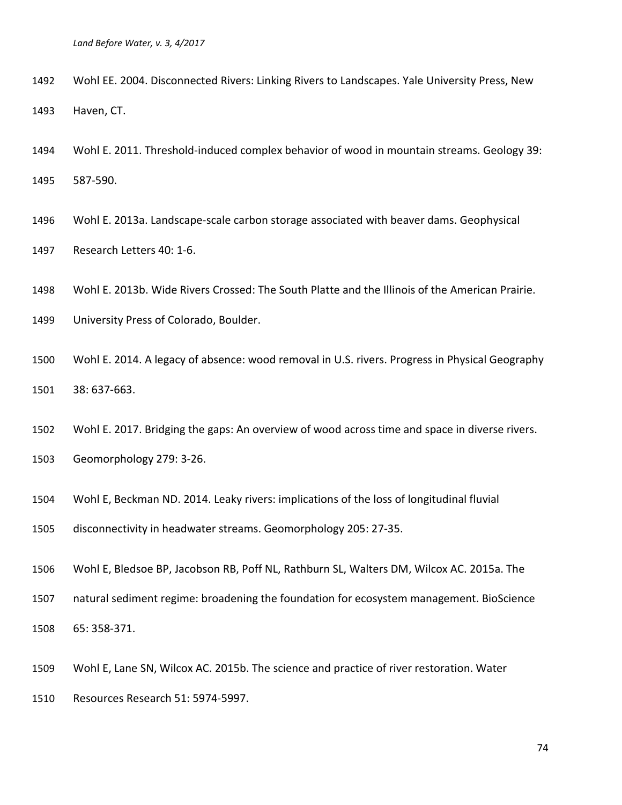- Wohl EE. 2004. Disconnected Rivers: Linking Rivers to Landscapes. Yale University Press, New Haven, CT.
- Wohl E. 2011. Threshold-induced complex behavior of wood in mountain streams. Geology 39: 587-590.
- Wohl E. 2013a. Landscape-scale carbon storage associated with beaver dams. Geophysical Research Letters 40: 1-6.
- Wohl E. 2013b. Wide Rivers Crossed: The South Platte and the Illinois of the American Prairie.
- University Press of Colorado, Boulder.
- Wohl E. 2014. A legacy of absence: wood removal in U.S. rivers. Progress in Physical Geography 38: 637-663.
- Wohl E. 2017. Bridging the gaps: An overview of wood across time and space in diverse rivers.
- Geomorphology 279: 3-26.
- Wohl E, Beckman ND. 2014. Leaky rivers: implications of the loss of longitudinal fluvial
- disconnectivity in headwater streams. Geomorphology 205: 27-35.
- Wohl E, Bledsoe BP, Jacobson RB, Poff NL, Rathburn SL, Walters DM, Wilcox AC. 2015a. The
- natural sediment regime: broadening the foundation for ecosystem management. BioScience

65: 358-371.

- Wohl E, Lane SN, Wilcox AC. 2015b. The science and practice of river restoration. Water
- Resources Research 51: 5974-5997.